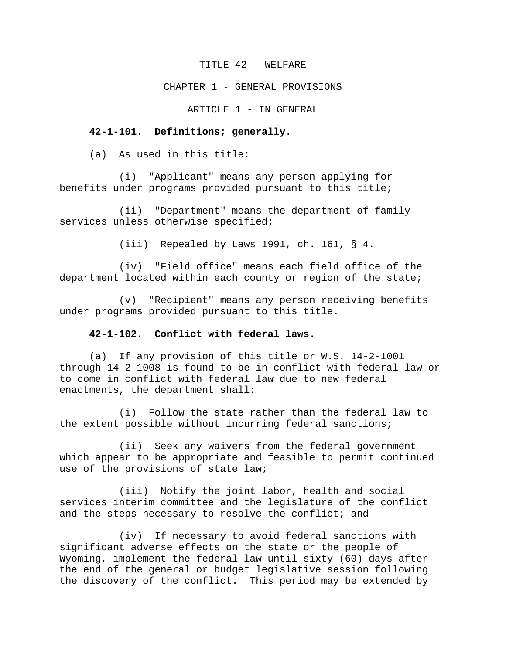#### TITLE 42 - WELFARE

#### CHAPTER 1 - GENERAL PROVISIONS

ARTICLE 1 - IN GENERAL

### **42-1-101. Definitions; generally.**

(a) As used in this title:

(i) "Applicant" means any person applying for benefits under programs provided pursuant to this title;

(ii) "Department" means the department of family services unless otherwise specified;

(iii) Repealed by Laws 1991, ch. 161, § 4.

(iv) "Field office" means each field office of the department located within each county or region of the state;

(v) "Recipient" means any person receiving benefits under programs provided pursuant to this title.

#### **42-1-102. Conflict with federal laws.**

(a) If any provision of this title or W.S. 14-2-1001 through 14-2-1008 is found to be in conflict with federal law or to come in conflict with federal law due to new federal enactments, the department shall:

(i) Follow the state rather than the federal law to the extent possible without incurring federal sanctions;

(ii) Seek any waivers from the federal government which appear to be appropriate and feasible to permit continued use of the provisions of state law;

(iii) Notify the joint labor, health and social services interim committee and the legislature of the conflict and the steps necessary to resolve the conflict; and

(iv) If necessary to avoid federal sanctions with significant adverse effects on the state or the people of Wyoming, implement the federal law until sixty (60) days after the end of the general or budget legislative session following the discovery of the conflict. This period may be extended by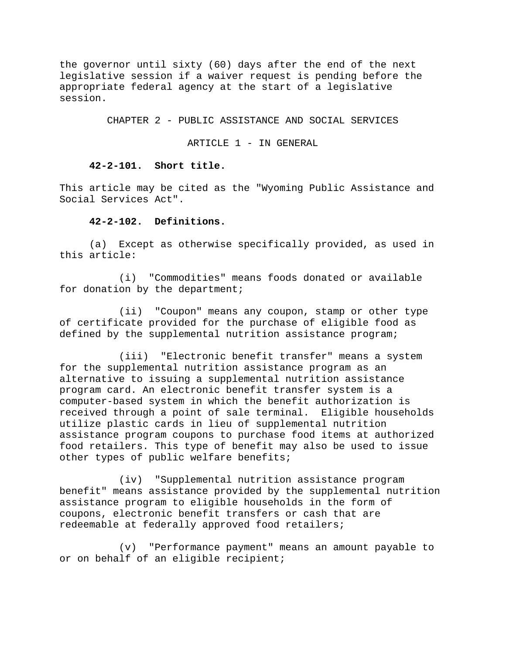the governor until sixty (60) days after the end of the next legislative session if a waiver request is pending before the appropriate federal agency at the start of a legislative session.

CHAPTER 2 - PUBLIC ASSISTANCE AND SOCIAL SERVICES

ARTICLE 1 - IN GENERAL

### **42-2-101. Short title.**

This article may be cited as the "Wyoming Public Assistance and Social Services Act".

#### **42-2-102. Definitions.**

(a) Except as otherwise specifically provided, as used in this article:

(i) "Commodities" means foods donated or available for donation by the department;

(ii) "Coupon" means any coupon, stamp or other type of certificate provided for the purchase of eligible food as defined by the supplemental nutrition assistance program;

(iii) "Electronic benefit transfer" means a system for the supplemental nutrition assistance program as an alternative to issuing a supplemental nutrition assistance program card. An electronic benefit transfer system is a computer-based system in which the benefit authorization is received through a point of sale terminal. Eligible households utilize plastic cards in lieu of supplemental nutrition assistance program coupons to purchase food items at authorized food retailers. This type of benefit may also be used to issue other types of public welfare benefits;

(iv) "Supplemental nutrition assistance program benefit" means assistance provided by the supplemental nutrition assistance program to eligible households in the form of coupons, electronic benefit transfers or cash that are redeemable at federally approved food retailers;

(v) "Performance payment" means an amount payable to or on behalf of an eligible recipient;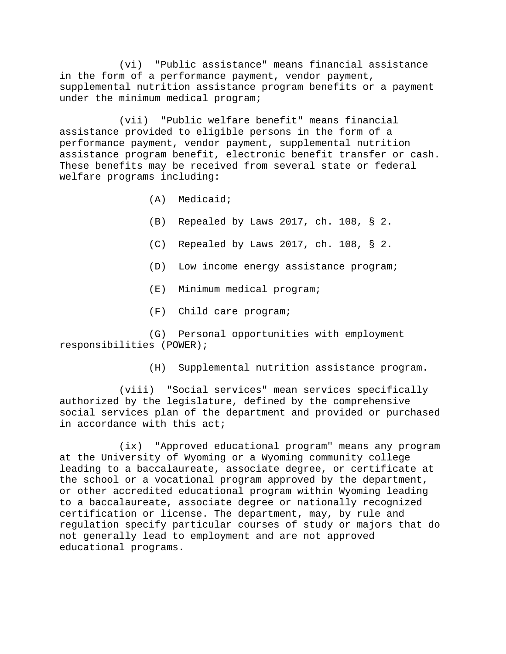(vi) "Public assistance" means financial assistance in the form of a performance payment, vendor payment, supplemental nutrition assistance program benefits or a payment under the minimum medical program;

(vii) "Public welfare benefit" means financial assistance provided to eligible persons in the form of a performance payment, vendor payment, supplemental nutrition assistance program benefit, electronic benefit transfer or cash. These benefits may be received from several state or federal welfare programs including:

- (A) Medicaid;
- (B) Repealed by Laws 2017, ch. 108, § 2.
- (C) Repealed by Laws 2017, ch. 108, § 2.
- (D) Low income energy assistance program;
- (E) Minimum medical program;
- (F) Child care program;

(G) Personal opportunities with employment responsibilities (POWER);

(H) Supplemental nutrition assistance program.

(viii) "Social services" mean services specifically authorized by the legislature, defined by the comprehensive social services plan of the department and provided or purchased in accordance with this act;

(ix) "Approved educational program" means any program at the University of Wyoming or a Wyoming community college leading to a baccalaureate, associate degree, or certificate at the school or a vocational program approved by the department, or other accredited educational program within Wyoming leading to a baccalaureate, associate degree or nationally recognized certification or license. The department, may, by rule and regulation specify particular courses of study or majors that do not generally lead to employment and are not approved educational programs.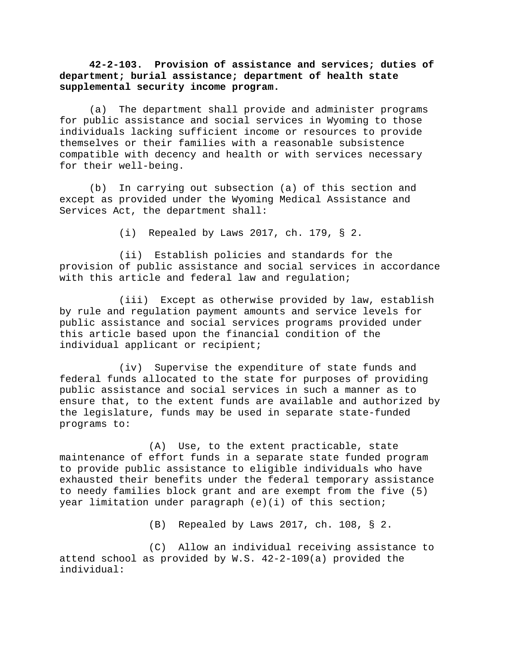**42-2-103. Provision of assistance and services; duties of department; burial assistance; department of health state supplemental security income program.** 

(a) The department shall provide and administer programs for public assistance and social services in Wyoming to those individuals lacking sufficient income or resources to provide themselves or their families with a reasonable subsistence compatible with decency and health or with services necessary for their well-being.

(b) In carrying out subsection (a) of this section and except as provided under the Wyoming Medical Assistance and Services Act, the department shall:

(i) Repealed by Laws 2017, ch. 179, § 2.

(ii) Establish policies and standards for the provision of public assistance and social services in accordance with this article and federal law and regulation;

(iii) Except as otherwise provided by law, establish by rule and regulation payment amounts and service levels for public assistance and social services programs provided under this article based upon the financial condition of the individual applicant or recipient;

(iv) Supervise the expenditure of state funds and federal funds allocated to the state for purposes of providing public assistance and social services in such a manner as to ensure that, to the extent funds are available and authorized by the legislature, funds may be used in separate state-funded programs to:

(A) Use, to the extent practicable, state maintenance of effort funds in a separate state funded program to provide public assistance to eligible individuals who have exhausted their benefits under the federal temporary assistance to needy families block grant and are exempt from the five (5) year limitation under paragraph (e)(i) of this section;

(B) Repealed by Laws 2017, ch. 108, § 2.

(C) Allow an individual receiving assistance to attend school as provided by W.S. 42-2-109(a) provided the individual: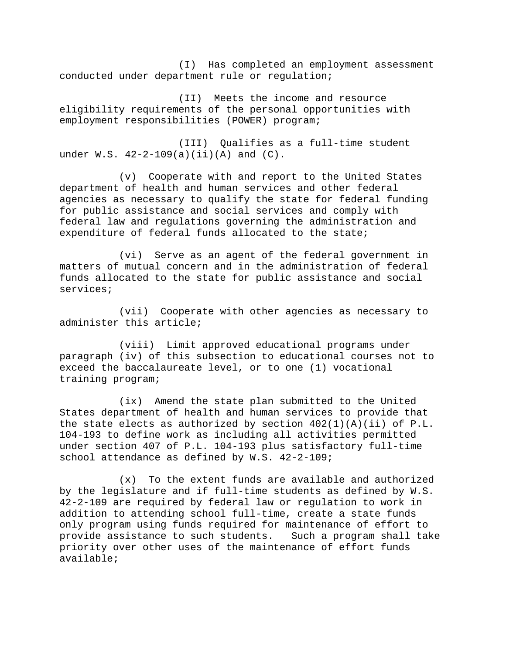(I) Has completed an employment assessment conducted under department rule or regulation;

(II) Meets the income and resource eligibility requirements of the personal opportunities with employment responsibilities (POWER) program;

(III) Qualifies as a full-time student under  $W.S. 42-2-109(a)(ii)(A)$  and  $(C).$ 

(v) Cooperate with and report to the United States department of health and human services and other federal agencies as necessary to qualify the state for federal funding for public assistance and social services and comply with federal law and regulations governing the administration and expenditure of federal funds allocated to the state;

(vi) Serve as an agent of the federal government in matters of mutual concern and in the administration of federal funds allocated to the state for public assistance and social services;

(vii) Cooperate with other agencies as necessary to administer this article;

(viii) Limit approved educational programs under paragraph (iv) of this subsection to educational courses not to exceed the baccalaureate level, or to one (1) vocational training program;

(ix) Amend the state plan submitted to the United States department of health and human services to provide that the state elects as authorized by section  $402(1)(A)(ii)$  of P.L. 104-193 to define work as including all activities permitted under section 407 of P.L. 104-193 plus satisfactory full-time school attendance as defined by W.S. 42-2-109;

(x) To the extent funds are available and authorized by the legislature and if full-time students as defined by W.S. 42-2-109 are required by federal law or regulation to work in addition to attending school full-time, create a state funds only program using funds required for maintenance of effort to provide assistance to such students. Such a program shall take priority over other uses of the maintenance of effort funds available;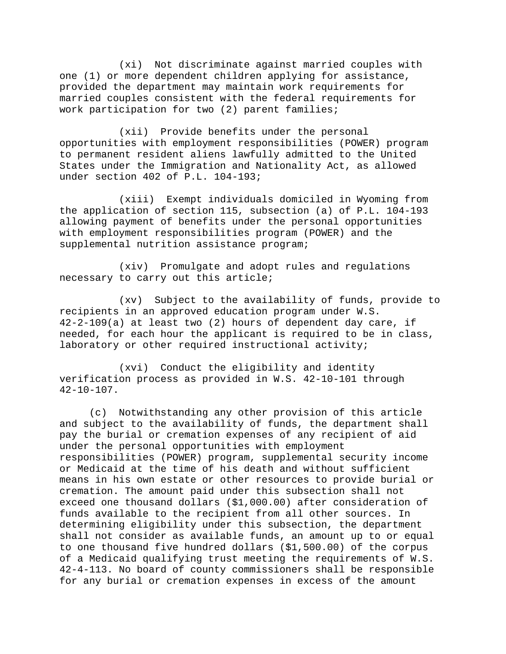(xi) Not discriminate against married couples with one (1) or more dependent children applying for assistance, provided the department may maintain work requirements for married couples consistent with the federal requirements for work participation for two (2) parent families;

(xii) Provide benefits under the personal opportunities with employment responsibilities (POWER) program to permanent resident aliens lawfully admitted to the United States under the Immigration and Nationality Act, as allowed under section 402 of P.L. 104-193;

(xiii) Exempt individuals domiciled in Wyoming from the application of section 115, subsection (a) of P.L. 104-193 allowing payment of benefits under the personal opportunities with employment responsibilities program (POWER) and the supplemental nutrition assistance program;

(xiv) Promulgate and adopt rules and regulations necessary to carry out this article;

(xv) Subject to the availability of funds, provide to recipients in an approved education program under W.S. 42-2-109(a) at least two (2) hours of dependent day care, if needed, for each hour the applicant is required to be in class, laboratory or other required instructional activity;

(xvi) Conduct the eligibility and identity verification process as provided in W.S. 42-10-101 through 42-10-107.

(c) Notwithstanding any other provision of this article and subject to the availability of funds, the department shall pay the burial or cremation expenses of any recipient of aid under the personal opportunities with employment responsibilities (POWER) program, supplemental security income or Medicaid at the time of his death and without sufficient means in his own estate or other resources to provide burial or cremation. The amount paid under this subsection shall not exceed one thousand dollars (\$1,000.00) after consideration of funds available to the recipient from all other sources. In determining eligibility under this subsection, the department shall not consider as available funds, an amount up to or equal to one thousand five hundred dollars (\$1,500.00) of the corpus of a Medicaid qualifying trust meeting the requirements of W.S. 42-4-113. No board of county commissioners shall be responsible for any burial or cremation expenses in excess of the amount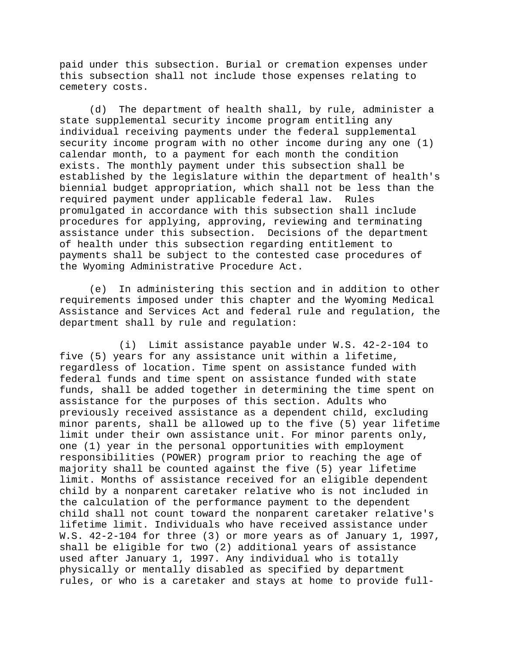paid under this subsection. Burial or cremation expenses under this subsection shall not include those expenses relating to cemetery costs.

(d) The department of health shall, by rule, administer a state supplemental security income program entitling any individual receiving payments under the federal supplemental security income program with no other income during any one (1) calendar month, to a payment for each month the condition exists. The monthly payment under this subsection shall be established by the legislature within the department of health's biennial budget appropriation, which shall not be less than the required payment under applicable federal law. Rules promulgated in accordance with this subsection shall include procedures for applying, approving, reviewing and terminating assistance under this subsection. Decisions of the department of health under this subsection regarding entitlement to payments shall be subject to the contested case procedures of the Wyoming Administrative Procedure Act.

(e) In administering this section and in addition to other requirements imposed under this chapter and the Wyoming Medical Assistance and Services Act and federal rule and regulation, the department shall by rule and regulation:

(i) Limit assistance payable under W.S. 42-2-104 to five (5) years for any assistance unit within a lifetime, regardless of location. Time spent on assistance funded with federal funds and time spent on assistance funded with state funds, shall be added together in determining the time spent on assistance for the purposes of this section. Adults who previously received assistance as a dependent child, excluding minor parents, shall be allowed up to the five (5) year lifetime limit under their own assistance unit. For minor parents only, one (1) year in the personal opportunities with employment responsibilities (POWER) program prior to reaching the age of majority shall be counted against the five (5) year lifetime limit. Months of assistance received for an eligible dependent child by a nonparent caretaker relative who is not included in the calculation of the performance payment to the dependent child shall not count toward the nonparent caretaker relative's lifetime limit. Individuals who have received assistance under W.S. 42-2-104 for three (3) or more years as of January 1, 1997, shall be eligible for two (2) additional years of assistance used after January 1, 1997. Any individual who is totally physically or mentally disabled as specified by department rules, or who is a caretaker and stays at home to provide full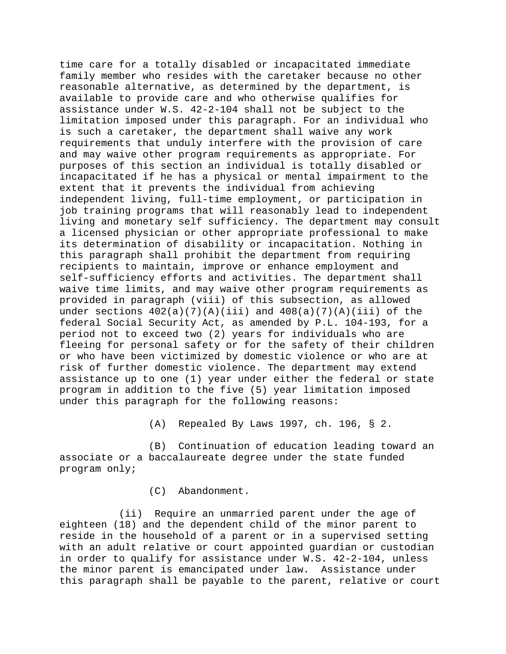time care for a totally disabled or incapacitated immediate family member who resides with the caretaker because no other reasonable alternative, as determined by the department, is available to provide care and who otherwise qualifies for assistance under W.S. 42-2-104 shall not be subject to the limitation imposed under this paragraph. For an individual who is such a caretaker, the department shall waive any work requirements that unduly interfere with the provision of care and may waive other program requirements as appropriate. For purposes of this section an individual is totally disabled or incapacitated if he has a physical or mental impairment to the extent that it prevents the individual from achieving independent living, full-time employment, or participation in job training programs that will reasonably lead to independent living and monetary self sufficiency. The department may consult a licensed physician or other appropriate professional to make its determination of disability or incapacitation. Nothing in this paragraph shall prohibit the department from requiring recipients to maintain, improve or enhance employment and self-sufficiency efforts and activities. The department shall waive time limits, and may waive other program requirements as provided in paragraph (viii) of this subsection, as allowed under sections  $402(a)(7)(A)(iii)$  and  $408(a)(7)(A)(iii)$  of the federal Social Security Act, as amended by P.L. 104-193, for a period not to exceed two (2) years for individuals who are fleeing for personal safety or for the safety of their children or who have been victimized by domestic violence or who are at risk of further domestic violence. The department may extend assistance up to one (1) year under either the federal or state program in addition to the five (5) year limitation imposed under this paragraph for the following reasons:

(A) Repealed By Laws 1997, ch. 196, § 2.

(B) Continuation of education leading toward an associate or a baccalaureate degree under the state funded program only;

(C) Abandonment.

(ii) Require an unmarried parent under the age of eighteen (18) and the dependent child of the minor parent to reside in the household of a parent or in a supervised setting with an adult relative or court appointed guardian or custodian in order to qualify for assistance under W.S. 42-2-104, unless the minor parent is emancipated under law. Assistance under this paragraph shall be payable to the parent, relative or court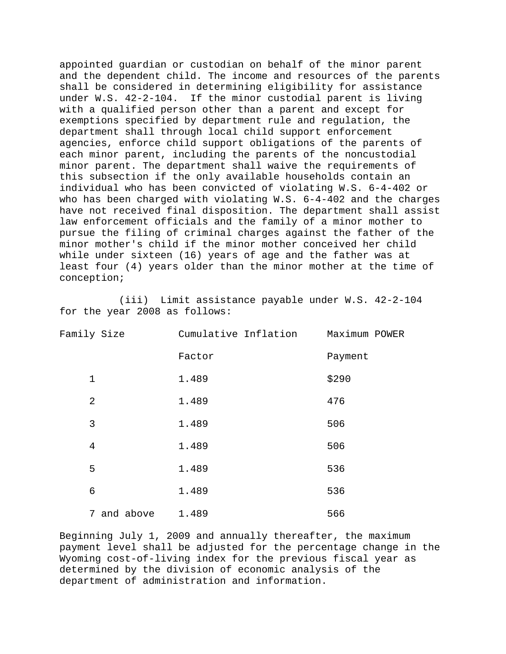appointed guardian or custodian on behalf of the minor parent and the dependent child. The income and resources of the parents shall be considered in determining eligibility for assistance under W.S. 42-2-104. If the minor custodial parent is living with a qualified person other than a parent and except for exemptions specified by department rule and regulation, the department shall through local child support enforcement agencies, enforce child support obligations of the parents of each minor parent, including the parents of the noncustodial minor parent. The department shall waive the requirements of this subsection if the only available households contain an individual who has been convicted of violating W.S. 6-4-402 or who has been charged with violating W.S. 6-4-402 and the charges have not received final disposition. The department shall assist law enforcement officials and the family of a minor mother to pursue the filing of criminal charges against the father of the minor mother's child if the minor mother conceived her child while under sixteen (16) years of age and the father was at least four (4) years older than the minor mother at the time of conception;

(iii) Limit assistance payable under W.S. 42-2-104 for the year 2008 as follows:

| Family Size    | Cumulative Inflation | Maximum POWER |
|----------------|----------------------|---------------|
|                | Factor               | Payment       |
| $\mathbf 1$    | 1.489                | \$290         |
| $\overline{2}$ | 1.489                | 476           |
| 3              | 1.489                | 506           |
| $\overline{4}$ | 1.489                | 506           |
| 5              | 1.489                | 536           |
| 6              | 1.489                | 536           |
| 7 and above    | 1.489                | 566           |

Beginning July 1, 2009 and annually thereafter, the maximum payment level shall be adjusted for the percentage change in the Wyoming cost-of-living index for the previous fiscal year as determined by the division of economic analysis of the department of administration and information.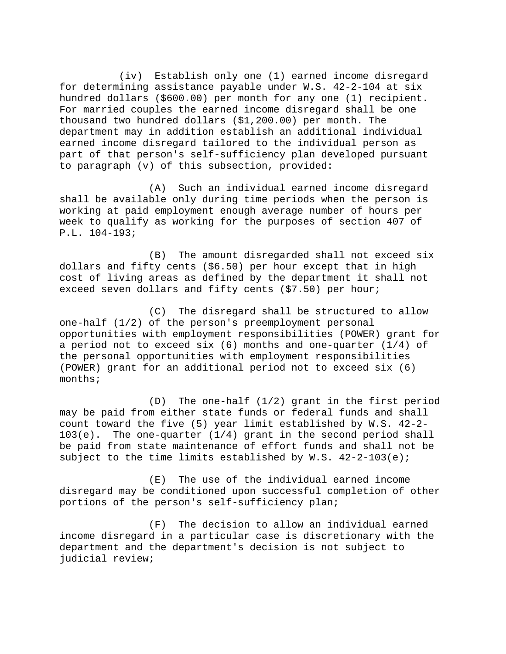(iv) Establish only one (1) earned income disregard for determining assistance payable under W.S. 42-2-104 at six hundred dollars (\$600.00) per month for any one (1) recipient. For married couples the earned income disregard shall be one thousand two hundred dollars (\$1,200.00) per month. The department may in addition establish an additional individual earned income disregard tailored to the individual person as part of that person's self-sufficiency plan developed pursuant to paragraph (v) of this subsection, provided:

(A) Such an individual earned income disregard shall be available only during time periods when the person is working at paid employment enough average number of hours per week to qualify as working for the purposes of section 407 of P.L. 104-193;

(B) The amount disregarded shall not exceed six dollars and fifty cents (\$6.50) per hour except that in high cost of living areas as defined by the department it shall not exceed seven dollars and fifty cents (\$7.50) per hour;

(C) The disregard shall be structured to allow one-half (1/2) of the person's preemployment personal opportunities with employment responsibilities (POWER) grant for a period not to exceed six (6) months and one-quarter (1/4) of the personal opportunities with employment responsibilities (POWER) grant for an additional period not to exceed six (6) months;

(D) The one-half (1/2) grant in the first period may be paid from either state funds or federal funds and shall count toward the five (5) year limit established by W.S. 42-2-  $103(e)$ . The one-quarter  $(1/4)$  grant in the second period shall be paid from state maintenance of effort funds and shall not be subject to the time limits established by  $W.S. 42-2-103(e)$ ;

(E) The use of the individual earned income disregard may be conditioned upon successful completion of other portions of the person's self-sufficiency plan;

(F) The decision to allow an individual earned income disregard in a particular case is discretionary with the department and the department's decision is not subject to judicial review;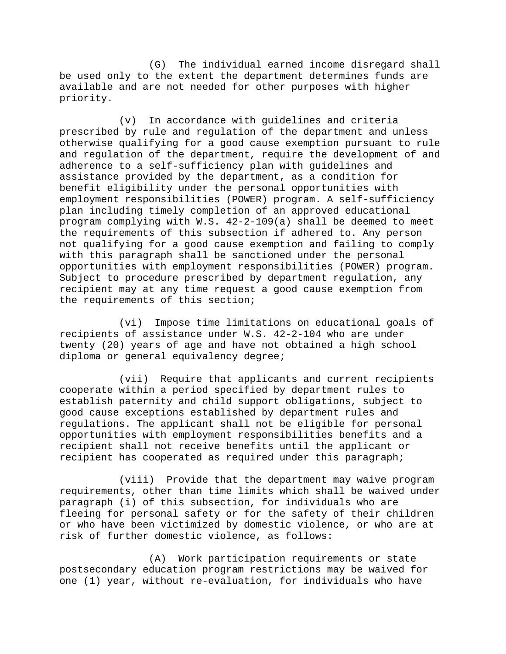(G) The individual earned income disregard shall be used only to the extent the department determines funds are available and are not needed for other purposes with higher priority.

(v) In accordance with guidelines and criteria prescribed by rule and regulation of the department and unless otherwise qualifying for a good cause exemption pursuant to rule and regulation of the department, require the development of and adherence to a self-sufficiency plan with guidelines and assistance provided by the department, as a condition for benefit eligibility under the personal opportunities with employment responsibilities (POWER) program. A self-sufficiency plan including timely completion of an approved educational program complying with W.S. 42-2-109(a) shall be deemed to meet the requirements of this subsection if adhered to. Any person not qualifying for a good cause exemption and failing to comply with this paragraph shall be sanctioned under the personal opportunities with employment responsibilities (POWER) program. Subject to procedure prescribed by department regulation, any recipient may at any time request a good cause exemption from the requirements of this section;

(vi) Impose time limitations on educational goals of recipients of assistance under W.S. 42-2-104 who are under twenty (20) years of age and have not obtained a high school diploma or general equivalency degree;

(vii) Require that applicants and current recipients cooperate within a period specified by department rules to establish paternity and child support obligations, subject to good cause exceptions established by department rules and regulations. The applicant shall not be eligible for personal opportunities with employment responsibilities benefits and a recipient shall not receive benefits until the applicant or recipient has cooperated as required under this paragraph;

(viii) Provide that the department may waive program requirements, other than time limits which shall be waived under paragraph (i) of this subsection, for individuals who are fleeing for personal safety or for the safety of their children or who have been victimized by domestic violence, or who are at risk of further domestic violence, as follows:

(A) Work participation requirements or state postsecondary education program restrictions may be waived for one (1) year, without re-evaluation, for individuals who have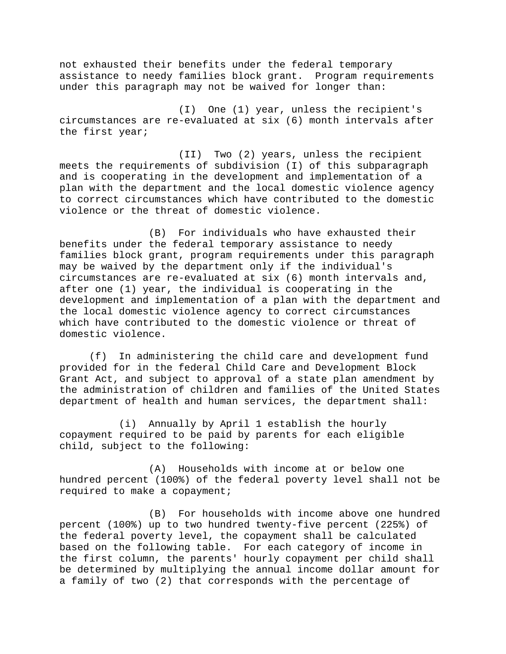not exhausted their benefits under the federal temporary assistance to needy families block grant. Program requirements under this paragraph may not be waived for longer than:

(I) One (1) year, unless the recipient's circumstances are re-evaluated at six (6) month intervals after the first year;

(II) Two (2) years, unless the recipient meets the requirements of subdivision (I) of this subparagraph and is cooperating in the development and implementation of a plan with the department and the local domestic violence agency to correct circumstances which have contributed to the domestic violence or the threat of domestic violence.

(B) For individuals who have exhausted their benefits under the federal temporary assistance to needy families block grant, program requirements under this paragraph may be waived by the department only if the individual's circumstances are re-evaluated at six (6) month intervals and, after one (1) year, the individual is cooperating in the development and implementation of a plan with the department and the local domestic violence agency to correct circumstances which have contributed to the domestic violence or threat of domestic violence.

(f) In administering the child care and development fund provided for in the federal Child Care and Development Block Grant Act, and subject to approval of a state plan amendment by the administration of children and families of the United States department of health and human services, the department shall:

(i) Annually by April 1 establish the hourly copayment required to be paid by parents for each eligible child, subject to the following:

(A) Households with income at or below one hundred percent (100%) of the federal poverty level shall not be required to make a copayment;

(B) For households with income above one hundred percent (100%) up to two hundred twenty-five percent (225%) of the federal poverty level, the copayment shall be calculated based on the following table. For each category of income in the first column, the parents' hourly copayment per child shall be determined by multiplying the annual income dollar amount for a family of two (2) that corresponds with the percentage of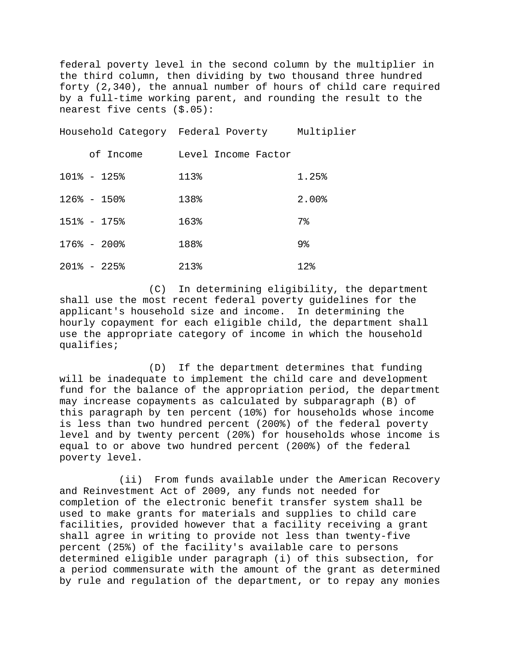federal poverty level in the second column by the multiplier in the third column, then dividing by two thousand three hundred forty (2,340), the annual number of hours of child care required by a full-time working parent, and rounding the result to the nearest five cents (\$.05):

Household Category Federal Poverty Multiplier

| of Income       | Level Income Factor |              |
|-----------------|---------------------|--------------|
| $101\% - 125\%$ | 113%                | 1.25%        |
| $126\% - 150\%$ | 138%                | 2.00%        |
| $151\% - 175\%$ | 163%                | 7%           |
| $176\% - 200\%$ | 188%                | 9%           |
| $201\% - 225\%$ | 213%                | $12$ $\circ$ |

(C) In determining eligibility, the department shall use the most recent federal poverty guidelines for the applicant's household size and income. In determining the hourly copayment for each eligible child, the department shall use the appropriate category of income in which the household qualifies;

(D) If the department determines that funding will be inadequate to implement the child care and development fund for the balance of the appropriation period, the department may increase copayments as calculated by subparagraph (B) of this paragraph by ten percent (10%) for households whose income is less than two hundred percent (200%) of the federal poverty level and by twenty percent (20%) for households whose income is equal to or above two hundred percent (200%) of the federal poverty level.

(ii) From funds available under the American Recovery and Reinvestment Act of 2009, any funds not needed for completion of the electronic benefit transfer system shall be used to make grants for materials and supplies to child care facilities, provided however that a facility receiving a grant shall agree in writing to provide not less than twenty-five percent (25%) of the facility's available care to persons determined eligible under paragraph (i) of this subsection, for a period commensurate with the amount of the grant as determined by rule and regulation of the department, or to repay any monies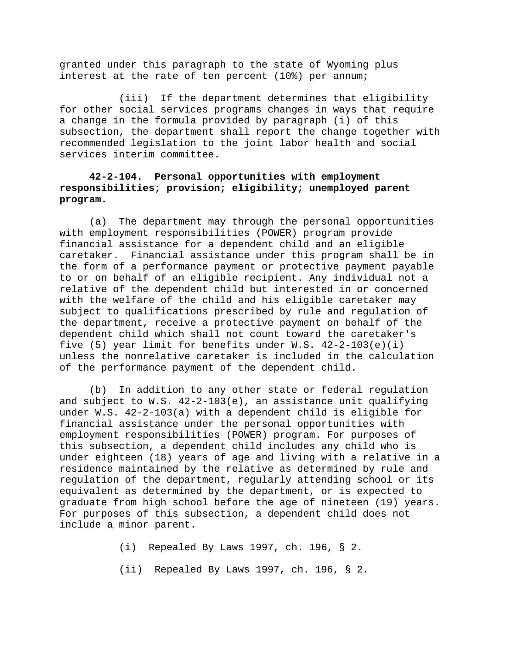granted under this paragraph to the state of Wyoming plus interest at the rate of ten percent (10%) per annum;

(iii) If the department determines that eligibility for other social services programs changes in ways that require a change in the formula provided by paragraph (i) of this subsection, the department shall report the change together with recommended legislation to the joint labor health and social services interim committee.

# **42-2-104. Personal opportunities with employment responsibilities; provision; eligibility; unemployed parent program.**

(a) The department may through the personal opportunities with employment responsibilities (POWER) program provide financial assistance for a dependent child and an eligible caretaker. Financial assistance under this program shall be in the form of a performance payment or protective payment payable to or on behalf of an eligible recipient. Any individual not a relative of the dependent child but interested in or concerned with the welfare of the child and his eligible caretaker may subject to qualifications prescribed by rule and regulation of the department, receive a protective payment on behalf of the dependent child which shall not count toward the caretaker's five (5) year limit for benefits under W.S. 42-2-103(e)(i) unless the nonrelative caretaker is included in the calculation of the performance payment of the dependent child.

(b) In addition to any other state or federal regulation and subject to  $W.S. 42-2-103(e)$ , an assistance unit qualifying under W.S. 42-2-103(a) with a dependent child is eligible for financial assistance under the personal opportunities with employment responsibilities (POWER) program. For purposes of this subsection, a dependent child includes any child who is under eighteen (18) years of age and living with a relative in a residence maintained by the relative as determined by rule and regulation of the department, regularly attending school or its equivalent as determined by the department, or is expected to graduate from high school before the age of nineteen (19) years. For purposes of this subsection, a dependent child does not include a minor parent.

(i) Repealed By Laws 1997, ch. 196, § 2.

(ii) Repealed By Laws 1997, ch. 196, § 2.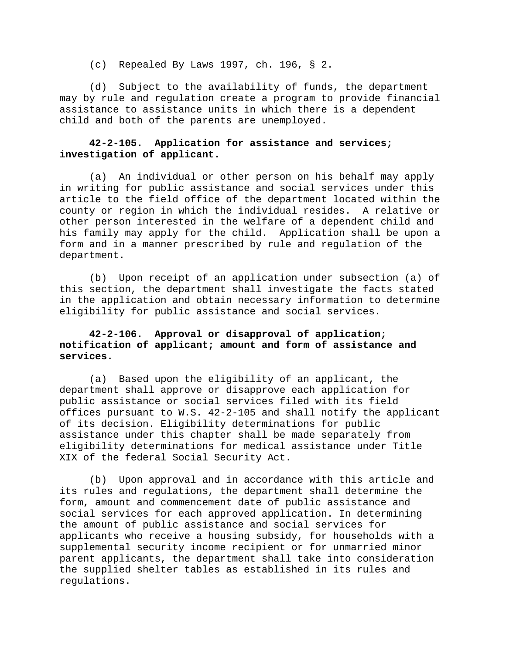(c) Repealed By Laws 1997, ch. 196, § 2.

(d) Subject to the availability of funds, the department may by rule and regulation create a program to provide financial assistance to assistance units in which there is a dependent child and both of the parents are unemployed.

### **42-2-105. Application for assistance and services; investigation of applicant.**

(a) An individual or other person on his behalf may apply in writing for public assistance and social services under this article to the field office of the department located within the county or region in which the individual resides. A relative or other person interested in the welfare of a dependent child and his family may apply for the child. Application shall be upon a form and in a manner prescribed by rule and regulation of the department.

(b) Upon receipt of an application under subsection (a) of this section, the department shall investigate the facts stated in the application and obtain necessary information to determine eligibility for public assistance and social services.

# **42-2-106. Approval or disapproval of application; notification of applicant; amount and form of assistance and services.**

(a) Based upon the eligibility of an applicant, the department shall approve or disapprove each application for public assistance or social services filed with its field offices pursuant to W.S. 42-2-105 and shall notify the applicant of its decision. Eligibility determinations for public assistance under this chapter shall be made separately from eligibility determinations for medical assistance under Title XIX of the federal Social Security Act.

(b) Upon approval and in accordance with this article and its rules and regulations, the department shall determine the form, amount and commencement date of public assistance and social services for each approved application. In determining the amount of public assistance and social services for applicants who receive a housing subsidy, for households with a supplemental security income recipient or for unmarried minor parent applicants, the department shall take into consideration the supplied shelter tables as established in its rules and regulations.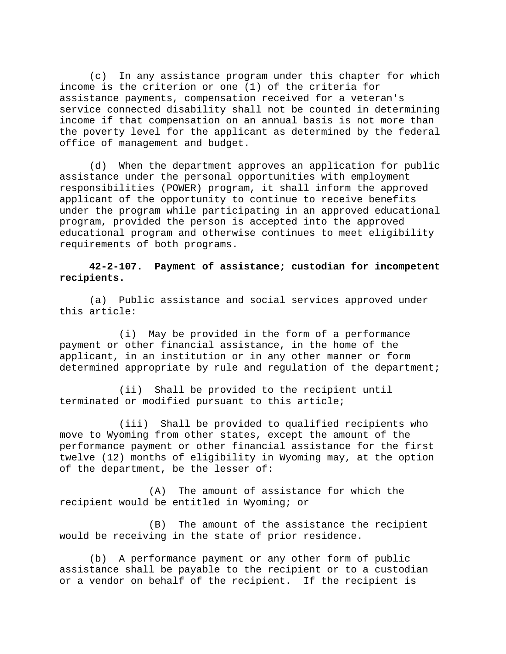(c) In any assistance program under this chapter for which income is the criterion or one (1) of the criteria for assistance payments, compensation received for a veteran's service connected disability shall not be counted in determining income if that compensation on an annual basis is not more than the poverty level for the applicant as determined by the federal office of management and budget.

(d) When the department approves an application for public assistance under the personal opportunities with employment responsibilities (POWER) program, it shall inform the approved applicant of the opportunity to continue to receive benefits under the program while participating in an approved educational program, provided the person is accepted into the approved educational program and otherwise continues to meet eligibility requirements of both programs.

## **42-2-107. Payment of assistance; custodian for incompetent recipients.**

(a) Public assistance and social services approved under this article:

(i) May be provided in the form of a performance payment or other financial assistance, in the home of the applicant, in an institution or in any other manner or form determined appropriate by rule and regulation of the department;

(ii) Shall be provided to the recipient until terminated or modified pursuant to this article;

(iii) Shall be provided to qualified recipients who move to Wyoming from other states, except the amount of the performance payment or other financial assistance for the first twelve (12) months of eligibility in Wyoming may, at the option of the department, be the lesser of:

(A) The amount of assistance for which the recipient would be entitled in Wyoming; or

(B) The amount of the assistance the recipient would be receiving in the state of prior residence.

(b) A performance payment or any other form of public assistance shall be payable to the recipient or to a custodian or a vendor on behalf of the recipient. If the recipient is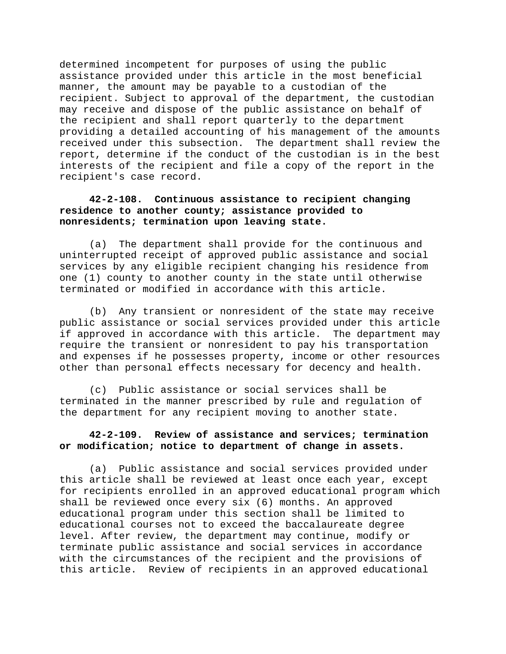determined incompetent for purposes of using the public assistance provided under this article in the most beneficial manner, the amount may be payable to a custodian of the recipient. Subject to approval of the department, the custodian may receive and dispose of the public assistance on behalf of the recipient and shall report quarterly to the department providing a detailed accounting of his management of the amounts received under this subsection. The department shall review the report, determine if the conduct of the custodian is in the best interests of the recipient and file a copy of the report in the recipient's case record.

# **42-2-108. Continuous assistance to recipient changing residence to another county; assistance provided to nonresidents; termination upon leaving state.**

(a) The department shall provide for the continuous and uninterrupted receipt of approved public assistance and social services by any eligible recipient changing his residence from one (1) county to another county in the state until otherwise terminated or modified in accordance with this article.

(b) Any transient or nonresident of the state may receive public assistance or social services provided under this article if approved in accordance with this article. The department may require the transient or nonresident to pay his transportation and expenses if he possesses property, income or other resources other than personal effects necessary for decency and health.

(c) Public assistance or social services shall be terminated in the manner prescribed by rule and regulation of the department for any recipient moving to another state.

## **42-2-109. Review of assistance and services; termination or modification; notice to department of change in assets.**

(a) Public assistance and social services provided under this article shall be reviewed at least once each year, except for recipients enrolled in an approved educational program which shall be reviewed once every six (6) months. An approved educational program under this section shall be limited to educational courses not to exceed the baccalaureate degree level. After review, the department may continue, modify or terminate public assistance and social services in accordance with the circumstances of the recipient and the provisions of this article. Review of recipients in an approved educational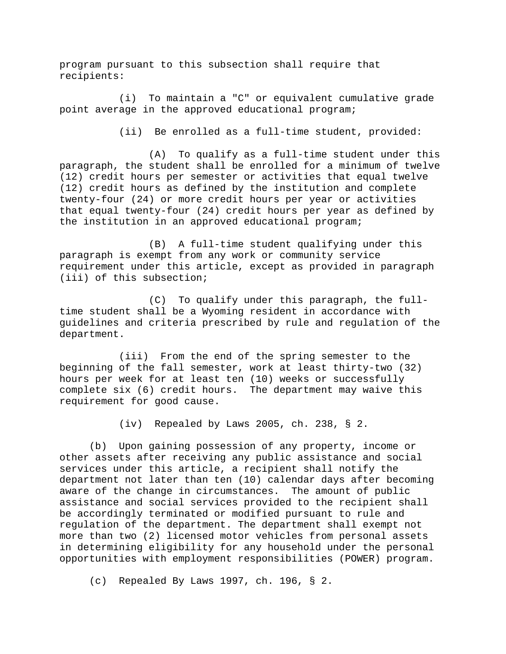program pursuant to this subsection shall require that recipients:

(i) To maintain a "C" or equivalent cumulative grade point average in the approved educational program;

(ii) Be enrolled as a full-time student, provided:

(A) To qualify as a full-time student under this paragraph, the student shall be enrolled for a minimum of twelve (12) credit hours per semester or activities that equal twelve (12) credit hours as defined by the institution and complete twenty-four (24) or more credit hours per year or activities that equal twenty-four (24) credit hours per year as defined by the institution in an approved educational program;

(B) A full-time student qualifying under this paragraph is exempt from any work or community service requirement under this article, except as provided in paragraph (iii) of this subsection;

(C) To qualify under this paragraph, the fulltime student shall be a Wyoming resident in accordance with guidelines and criteria prescribed by rule and regulation of the department.

(iii) From the end of the spring semester to the beginning of the fall semester, work at least thirty-two (32) hours per week for at least ten (10) weeks or successfully complete six (6) credit hours. The department may waive this requirement for good cause.

(iv) Repealed by Laws 2005, ch. 238, § 2.

(b) Upon gaining possession of any property, income or other assets after receiving any public assistance and social services under this article, a recipient shall notify the department not later than ten (10) calendar days after becoming aware of the change in circumstances. The amount of public assistance and social services provided to the recipient shall be accordingly terminated or modified pursuant to rule and regulation of the department. The department shall exempt not more than two (2) licensed motor vehicles from personal assets in determining eligibility for any household under the personal opportunities with employment responsibilities (POWER) program.

(c) Repealed By Laws 1997, ch. 196, § 2.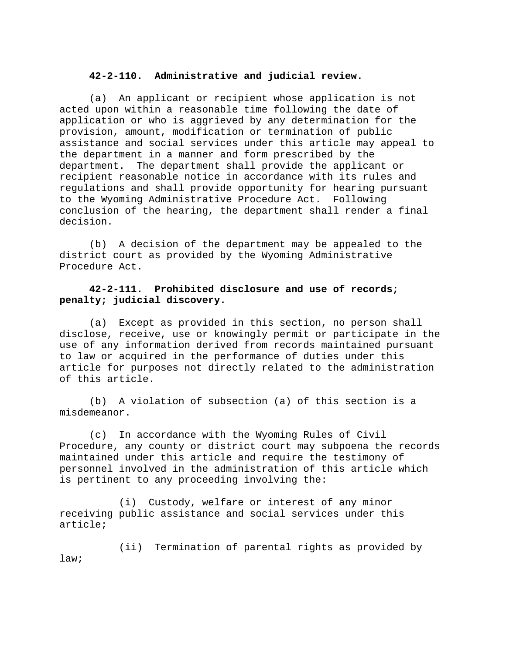### **42-2-110. Administrative and judicial review.**

(a) An applicant or recipient whose application is not acted upon within a reasonable time following the date of application or who is aggrieved by any determination for the provision, amount, modification or termination of public assistance and social services under this article may appeal to the department in a manner and form prescribed by the department. The department shall provide the applicant or recipient reasonable notice in accordance with its rules and regulations and shall provide opportunity for hearing pursuant to the Wyoming Administrative Procedure Act. Following conclusion of the hearing, the department shall render a final decision.

(b) A decision of the department may be appealed to the district court as provided by the Wyoming Administrative Procedure Act.

### **42-2-111. Prohibited disclosure and use of records; penalty; judicial discovery.**

(a) Except as provided in this section, no person shall disclose, receive, use or knowingly permit or participate in the use of any information derived from records maintained pursuant to law or acquired in the performance of duties under this article for purposes not directly related to the administration of this article.

(b) A violation of subsection (a) of this section is a misdemeanor.

(c) In accordance with the Wyoming Rules of Civil Procedure, any county or district court may subpoena the records maintained under this article and require the testimony of personnel involved in the administration of this article which is pertinent to any proceeding involving the:

(i) Custody, welfare or interest of any minor receiving public assistance and social services under this article;

(ii) Termination of parental rights as provided by law;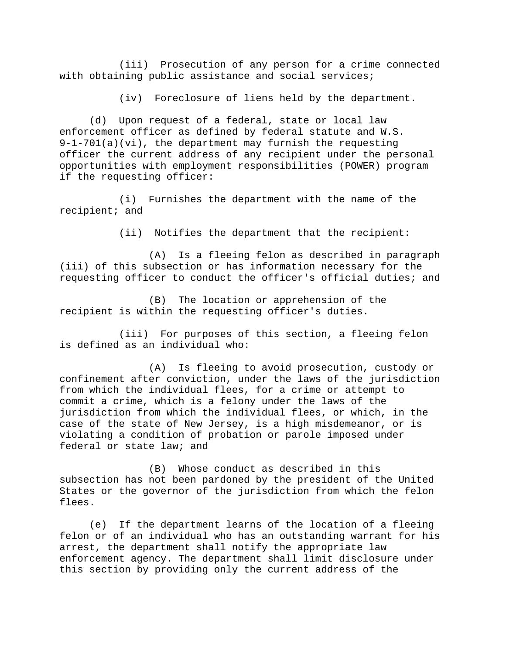(iii) Prosecution of any person for a crime connected with obtaining public assistance and social services;

(iv) Foreclosure of liens held by the department.

(d) Upon request of a federal, state or local law enforcement officer as defined by federal statute and W.S. 9-1-701(a)(vi), the department may furnish the requesting officer the current address of any recipient under the personal opportunities with employment responsibilities (POWER) program if the requesting officer:

(i) Furnishes the department with the name of the recipient; and

(ii) Notifies the department that the recipient:

(A) Is a fleeing felon as described in paragraph (iii) of this subsection or has information necessary for the requesting officer to conduct the officer's official duties; and

(B) The location or apprehension of the recipient is within the requesting officer's duties.

(iii) For purposes of this section, a fleeing felon is defined as an individual who:

(A) Is fleeing to avoid prosecution, custody or confinement after conviction, under the laws of the jurisdiction from which the individual flees, for a crime or attempt to commit a crime, which is a felony under the laws of the jurisdiction from which the individual flees, or which, in the case of the state of New Jersey, is a high misdemeanor, or is violating a condition of probation or parole imposed under federal or state law; and

(B) Whose conduct as described in this subsection has not been pardoned by the president of the United States or the governor of the jurisdiction from which the felon flees.

(e) If the department learns of the location of a fleeing felon or of an individual who has an outstanding warrant for his arrest, the department shall notify the appropriate law enforcement agency. The department shall limit disclosure under this section by providing only the current address of the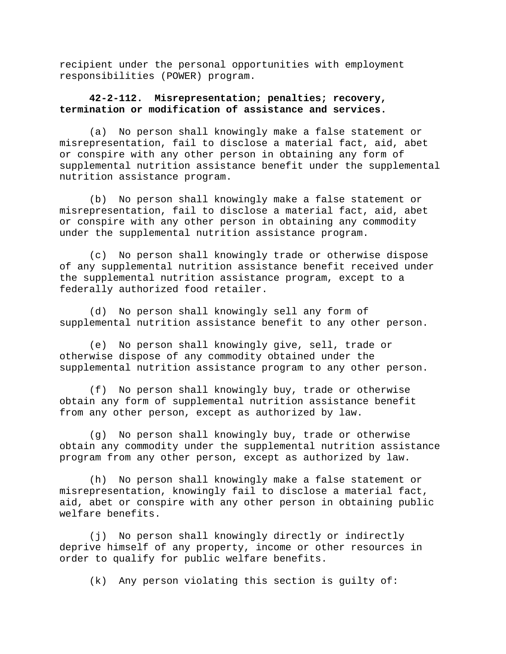recipient under the personal opportunities with employment responsibilities (POWER) program.

### **42-2-112. Misrepresentation; penalties; recovery, termination or modification of assistance and services.**

(a) No person shall knowingly make a false statement or misrepresentation, fail to disclose a material fact, aid, abet or conspire with any other person in obtaining any form of supplemental nutrition assistance benefit under the supplemental nutrition assistance program.

(b) No person shall knowingly make a false statement or misrepresentation, fail to disclose a material fact, aid, abet or conspire with any other person in obtaining any commodity under the supplemental nutrition assistance program.

(c) No person shall knowingly trade or otherwise dispose of any supplemental nutrition assistance benefit received under the supplemental nutrition assistance program, except to a federally authorized food retailer.

(d) No person shall knowingly sell any form of supplemental nutrition assistance benefit to any other person.

(e) No person shall knowingly give, sell, trade or otherwise dispose of any commodity obtained under the supplemental nutrition assistance program to any other person.

(f) No person shall knowingly buy, trade or otherwise obtain any form of supplemental nutrition assistance benefit from any other person, except as authorized by law.

(g) No person shall knowingly buy, trade or otherwise obtain any commodity under the supplemental nutrition assistance program from any other person, except as authorized by law.

(h) No person shall knowingly make a false statement or misrepresentation, knowingly fail to disclose a material fact, aid, abet or conspire with any other person in obtaining public welfare benefits.

(j) No person shall knowingly directly or indirectly deprive himself of any property, income or other resources in order to qualify for public welfare benefits.

(k) Any person violating this section is guilty of: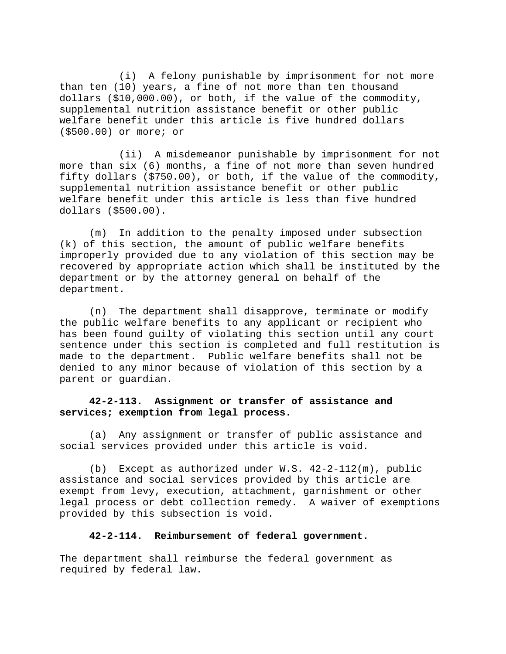(i) A felony punishable by imprisonment for not more than ten (10) years, a fine of not more than ten thousand dollars (\$10,000.00), or both, if the value of the commodity, supplemental nutrition assistance benefit or other public welfare benefit under this article is five hundred dollars (\$500.00) or more; or

(ii) A misdemeanor punishable by imprisonment for not more than six (6) months, a fine of not more than seven hundred fifty dollars (\$750.00), or both, if the value of the commodity, supplemental nutrition assistance benefit or other public welfare benefit under this article is less than five hundred dollars (\$500.00).

(m) In addition to the penalty imposed under subsection (k) of this section, the amount of public welfare benefits improperly provided due to any violation of this section may be recovered by appropriate action which shall be instituted by the department or by the attorney general on behalf of the department.

(n) The department shall disapprove, terminate or modify the public welfare benefits to any applicant or recipient who has been found guilty of violating this section until any court sentence under this section is completed and full restitution is made to the department. Public welfare benefits shall not be denied to any minor because of violation of this section by a parent or guardian.

### **42-2-113. Assignment or transfer of assistance and services; exemption from legal process.**

(a) Any assignment or transfer of public assistance and social services provided under this article is void.

(b) Except as authorized under  $W.S. 42-2-112(m)$ , public assistance and social services provided by this article are exempt from levy, execution, attachment, garnishment or other legal process or debt collection remedy. A waiver of exemptions provided by this subsection is void.

### **42-2-114. Reimbursement of federal government.**

The department shall reimburse the federal government as required by federal law.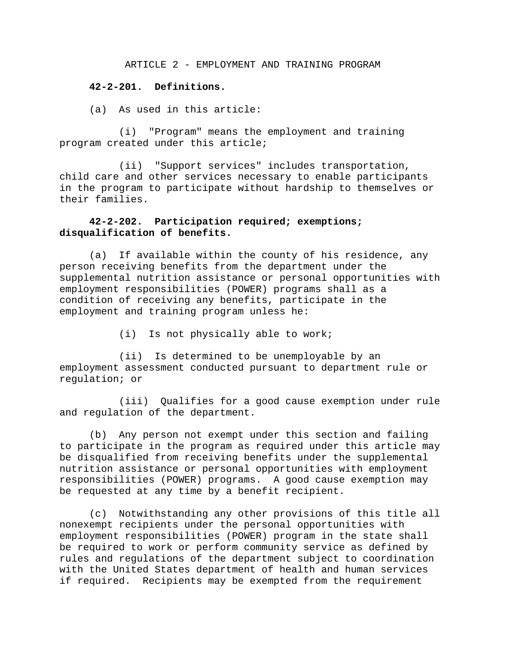ARTICLE 2 - EMPLOYMENT AND TRAINING PROGRAM

### **42-2-201. Definitions.**

(a) As used in this article:

(i) "Program" means the employment and training program created under this article;

(ii) "Support services" includes transportation, child care and other services necessary to enable participants in the program to participate without hardship to themselves or their families.

### **42-2-202. Participation required; exemptions; disqualification of benefits.**

(a) If available within the county of his residence, any person receiving benefits from the department under the supplemental nutrition assistance or personal opportunities with employment responsibilities (POWER) programs shall as a condition of receiving any benefits, participate in the employment and training program unless he:

(i) Is not physically able to work;

(ii) Is determined to be unemployable by an employment assessment conducted pursuant to department rule or regulation; or

(iii) Qualifies for a good cause exemption under rule and regulation of the department.

(b) Any person not exempt under this section and failing to participate in the program as required under this article may be disqualified from receiving benefits under the supplemental nutrition assistance or personal opportunities with employment responsibilities (POWER) programs. A good cause exemption may be requested at any time by a benefit recipient.

(c) Notwithstanding any other provisions of this title all nonexempt recipients under the personal opportunities with employment responsibilities (POWER) program in the state shall be required to work or perform community service as defined by rules and regulations of the department subject to coordination with the United States department of health and human services if required. Recipients may be exempted from the requirement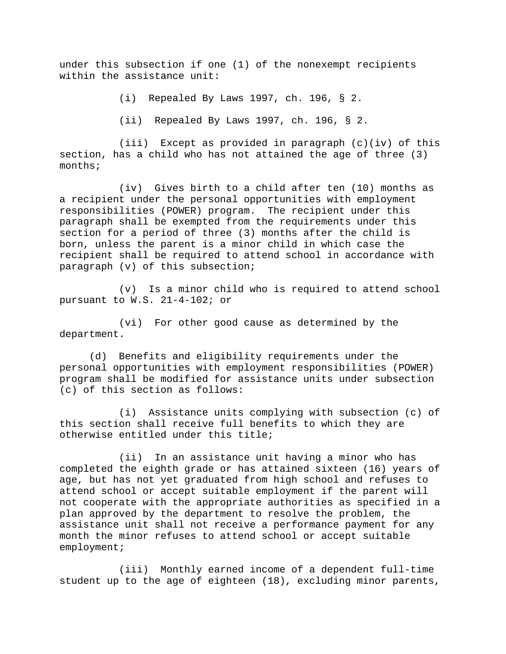under this subsection if one (1) of the nonexempt recipients within the assistance unit:

(i) Repealed By Laws 1997, ch. 196, § 2.

(ii) Repealed By Laws 1997, ch. 196, § 2.

(iii) Except as provided in paragraph (c)(iv) of this section, has a child who has not attained the age of three (3) months;

(iv) Gives birth to a child after ten (10) months as a recipient under the personal opportunities with employment responsibilities (POWER) program. The recipient under this paragraph shall be exempted from the requirements under this section for a period of three (3) months after the child is born, unless the parent is a minor child in which case the recipient shall be required to attend school in accordance with paragraph (v) of this subsection;

(v) Is a minor child who is required to attend school pursuant to W.S. 21-4-102; or

(vi) For other good cause as determined by the department.

(d) Benefits and eligibility requirements under the personal opportunities with employment responsibilities (POWER) program shall be modified for assistance units under subsection (c) of this section as follows:

(i) Assistance units complying with subsection (c) of this section shall receive full benefits to which they are otherwise entitled under this title;

(ii) In an assistance unit having a minor who has completed the eighth grade or has attained sixteen (16) years of age, but has not yet graduated from high school and refuses to attend school or accept suitable employment if the parent will not cooperate with the appropriate authorities as specified in a plan approved by the department to resolve the problem, the assistance unit shall not receive a performance payment for any month the minor refuses to attend school or accept suitable employment;

(iii) Monthly earned income of a dependent full-time student up to the age of eighteen (18), excluding minor parents,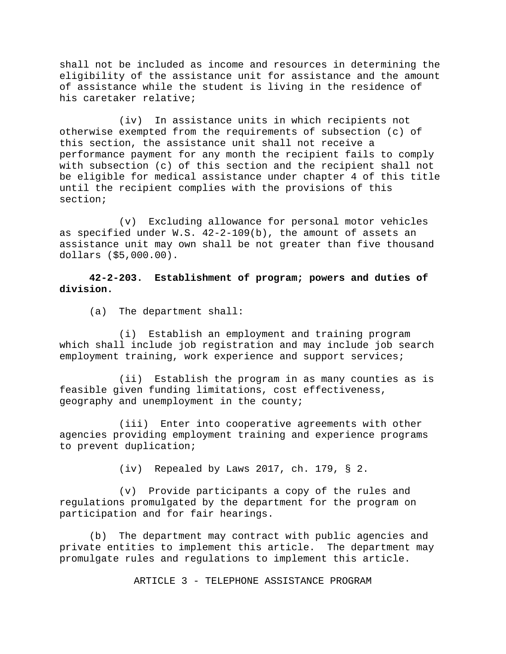shall not be included as income and resources in determining the eligibility of the assistance unit for assistance and the amount of assistance while the student is living in the residence of his caretaker relative;

(iv) In assistance units in which recipients not otherwise exempted from the requirements of subsection (c) of this section, the assistance unit shall not receive a performance payment for any month the recipient fails to comply with subsection (c) of this section and the recipient shall not be eligible for medical assistance under chapter 4 of this title until the recipient complies with the provisions of this section;

(v) Excluding allowance for personal motor vehicles as specified under W.S. 42-2-109(b), the amount of assets an assistance unit may own shall be not greater than five thousand dollars (\$5,000.00).

**42-2-203. Establishment of program; powers and duties of division.** 

(a) The department shall:

(i) Establish an employment and training program which shall include job registration and may include job search employment training, work experience and support services;

(ii) Establish the program in as many counties as is feasible given funding limitations, cost effectiveness, geography and unemployment in the county;

(iii) Enter into cooperative agreements with other agencies providing employment training and experience programs to prevent duplication;

(iv) Repealed by Laws 2017, ch. 179, § 2.

(v) Provide participants a copy of the rules and regulations promulgated by the department for the program on participation and for fair hearings.

(b) The department may contract with public agencies and private entities to implement this article. The department may promulgate rules and regulations to implement this article.

ARTICLE 3 - TELEPHONE ASSISTANCE PROGRAM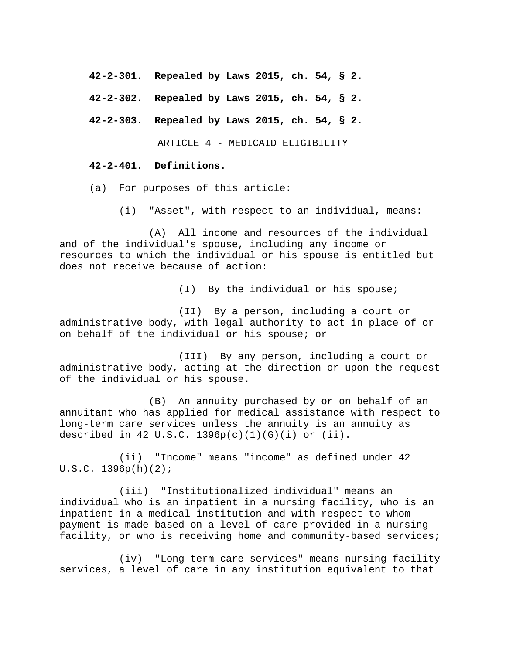**42-2-301. Repealed by Laws 2015, ch. 54, § 2.** 

**42-2-302. Repealed by Laws 2015, ch. 54, § 2.** 

**42-2-303. Repealed by Laws 2015, ch. 54, § 2.** 

ARTICLE 4 - MEDICAID ELIGIBILITY

#### **42-2-401. Definitions.**

(a) For purposes of this article:

(i) "Asset", with respect to an individual, means:

(A) All income and resources of the individual and of the individual's spouse, including any income or resources to which the individual or his spouse is entitled but does not receive because of action:

(I) By the individual or his spouse;

(II) By a person, including a court or administrative body, with legal authority to act in place of or on behalf of the individual or his spouse; or

(III) By any person, including a court or administrative body, acting at the direction or upon the request of the individual or his spouse.

(B) An annuity purchased by or on behalf of an annuitant who has applied for medical assistance with respect to long-term care services unless the annuity is an annuity as described in 42 U.S.C.  $1396p(c)(1)(G)(i)$  or  $(ii)$ .

(ii) "Income" means "income" as defined under 42 U.S.C. 1396p(h)(2);

(iii) "Institutionalized individual" means an individual who is an inpatient in a nursing facility, who is an inpatient in a medical institution and with respect to whom payment is made based on a level of care provided in a nursing facility, or who is receiving home and community-based services;

(iv) "Long-term care services" means nursing facility services, a level of care in any institution equivalent to that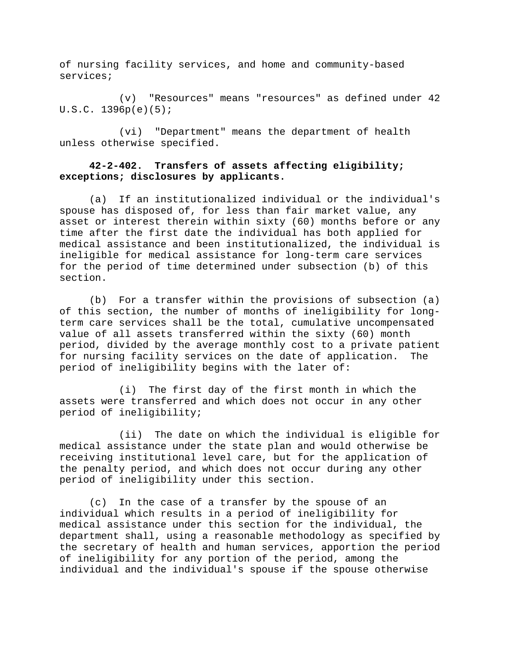of nursing facility services, and home and community-based services;

(v) "Resources" means "resources" as defined under 42 U.S.C. 1396p(e)(5);

(vi) "Department" means the department of health unless otherwise specified.

# **42-2-402. Transfers of assets affecting eligibility; exceptions; disclosures by applicants.**

(a) If an institutionalized individual or the individual's spouse has disposed of, for less than fair market value, any asset or interest therein within sixty (60) months before or any time after the first date the individual has both applied for medical assistance and been institutionalized, the individual is ineligible for medical assistance for long-term care services for the period of time determined under subsection (b) of this section.

(b) For a transfer within the provisions of subsection (a) of this section, the number of months of ineligibility for longterm care services shall be the total, cumulative uncompensated value of all assets transferred within the sixty (60) month period, divided by the average monthly cost to a private patient for nursing facility services on the date of application. The period of ineligibility begins with the later of:

(i) The first day of the first month in which the assets were transferred and which does not occur in any other period of ineligibility;

(ii) The date on which the individual is eligible for medical assistance under the state plan and would otherwise be receiving institutional level care, but for the application of the penalty period, and which does not occur during any other period of ineligibility under this section.

(c) In the case of a transfer by the spouse of an individual which results in a period of ineligibility for medical assistance under this section for the individual, the department shall, using a reasonable methodology as specified by the secretary of health and human services, apportion the period of ineligibility for any portion of the period, among the individual and the individual's spouse if the spouse otherwise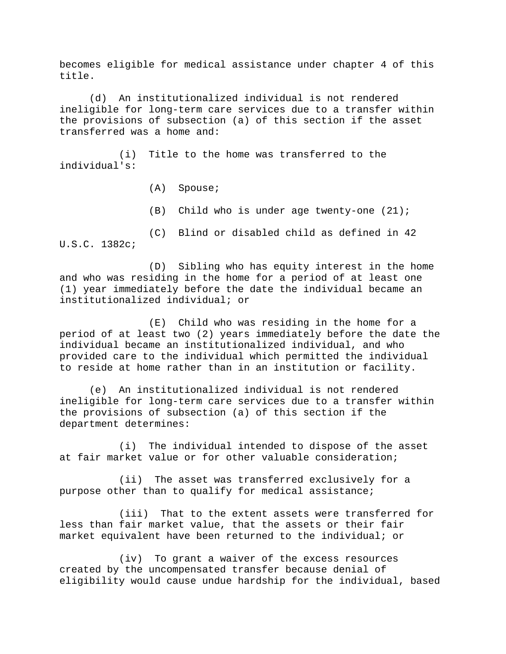becomes eligible for medical assistance under chapter 4 of this title.

(d) An institutionalized individual is not rendered ineligible for long-term care services due to a transfer within the provisions of subsection (a) of this section if the asset transferred was a home and:

(i) Title to the home was transferred to the individual's:

(A) Spouse;

(B) Child who is under age twenty-one (21);

(C) Blind or disabled child as defined in 42 U.S.C. 1382c;

(D) Sibling who has equity interest in the home and who was residing in the home for a period of at least one (1) year immediately before the date the individual became an institutionalized individual; or

(E) Child who was residing in the home for a period of at least two (2) years immediately before the date the individual became an institutionalized individual, and who provided care to the individual which permitted the individual to reside at home rather than in an institution or facility.

(e) An institutionalized individual is not rendered ineligible for long-term care services due to a transfer within the provisions of subsection (a) of this section if the department determines:

(i) The individual intended to dispose of the asset at fair market value or for other valuable consideration;

(ii) The asset was transferred exclusively for a purpose other than to qualify for medical assistance;

(iii) That to the extent assets were transferred for less than fair market value, that the assets or their fair market equivalent have been returned to the individual; or

(iv) To grant a waiver of the excess resources created by the uncompensated transfer because denial of eligibility would cause undue hardship for the individual, based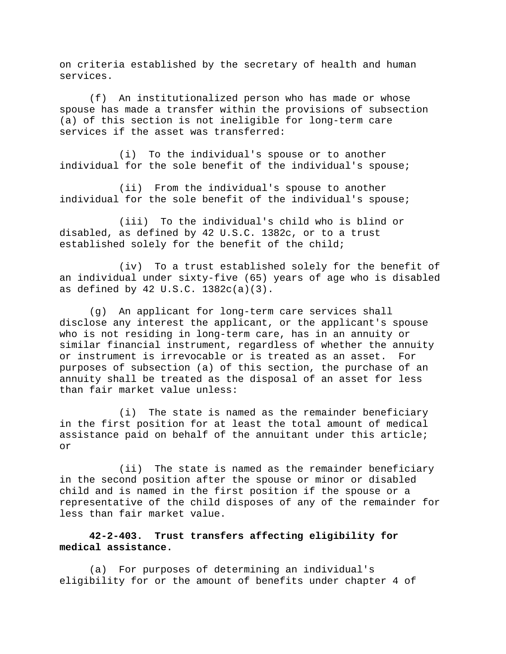on criteria established by the secretary of health and human services.

(f) An institutionalized person who has made or whose spouse has made a transfer within the provisions of subsection (a) of this section is not ineligible for long-term care services if the asset was transferred:

(i) To the individual's spouse or to another individual for the sole benefit of the individual's spouse;

(ii) From the individual's spouse to another individual for the sole benefit of the individual's spouse;

(iii) To the individual's child who is blind or disabled, as defined by 42 U.S.C. 1382c, or to a trust established solely for the benefit of the child;

(iv) To a trust established solely for the benefit of an individual under sixty-five (65) years of age who is disabled as defined by 42 U.S.C. 1382c(a)(3).

(g) An applicant for long-term care services shall disclose any interest the applicant, or the applicant's spouse who is not residing in long-term care, has in an annuity or similar financial instrument, regardless of whether the annuity or instrument is irrevocable or is treated as an asset. For purposes of subsection (a) of this section, the purchase of an annuity shall be treated as the disposal of an asset for less than fair market value unless:

(i) The state is named as the remainder beneficiary in the first position for at least the total amount of medical assistance paid on behalf of the annuitant under this article; or

(ii) The state is named as the remainder beneficiary in the second position after the spouse or minor or disabled child and is named in the first position if the spouse or a representative of the child disposes of any of the remainder for less than fair market value.

# **42-2-403. Trust transfers affecting eligibility for medical assistance.**

(a) For purposes of determining an individual's eligibility for or the amount of benefits under chapter 4 of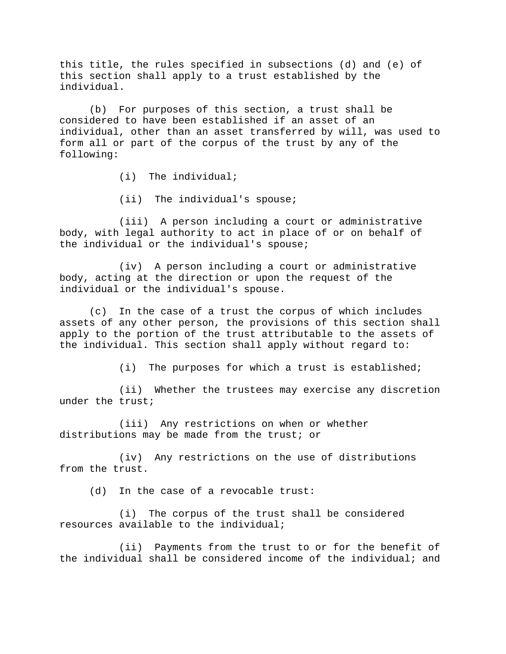this title, the rules specified in subsections (d) and (e) of this section shall apply to a trust established by the individual.

(b) For purposes of this section, a trust shall be considered to have been established if an asset of an individual, other than an asset transferred by will, was used to form all or part of the corpus of the trust by any of the following:

(i) The individual;

(ii) The individual's spouse;

(iii) A person including a court or administrative body, with legal authority to act in place of or on behalf of the individual or the individual's spouse;

(iv) A person including a court or administrative body, acting at the direction or upon the request of the individual or the individual's spouse.

(c) In the case of a trust the corpus of which includes assets of any other person, the provisions of this section shall apply to the portion of the trust attributable to the assets of the individual. This section shall apply without regard to:

(i) The purposes for which a trust is established;

(ii) Whether the trustees may exercise any discretion under the trust;

(iii) Any restrictions on when or whether distributions may be made from the trust; or

(iv) Any restrictions on the use of distributions from the trust.

(d) In the case of a revocable trust:

(i) The corpus of the trust shall be considered resources available to the individual;

(ii) Payments from the trust to or for the benefit of the individual shall be considered income of the individual; and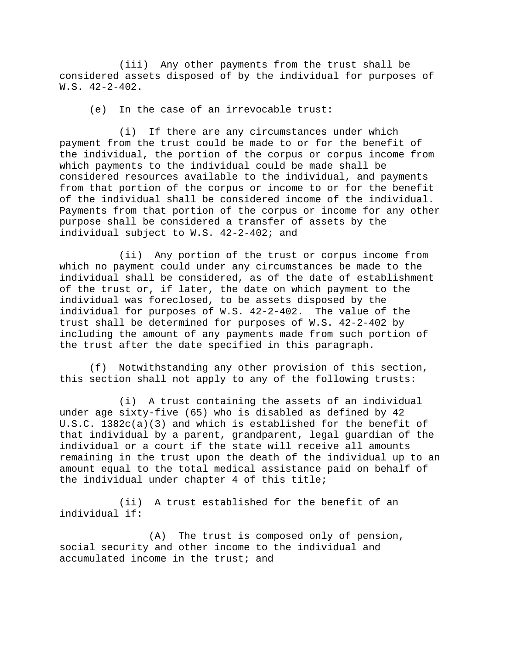(iii) Any other payments from the trust shall be considered assets disposed of by the individual for purposes of W.S. 42-2-402.

(e) In the case of an irrevocable trust:

(i) If there are any circumstances under which payment from the trust could be made to or for the benefit of the individual, the portion of the corpus or corpus income from which payments to the individual could be made shall be considered resources available to the individual, and payments from that portion of the corpus or income to or for the benefit of the individual shall be considered income of the individual. Payments from that portion of the corpus or income for any other purpose shall be considered a transfer of assets by the individual subject to W.S. 42-2-402; and

(ii) Any portion of the trust or corpus income from which no payment could under any circumstances be made to the individual shall be considered, as of the date of establishment of the trust or, if later, the date on which payment to the individual was foreclosed, to be assets disposed by the individual for purposes of W.S. 42-2-402. The value of the trust shall be determined for purposes of W.S. 42-2-402 by including the amount of any payments made from such portion of the trust after the date specified in this paragraph.

(f) Notwithstanding any other provision of this section, this section shall not apply to any of the following trusts:

(i) A trust containing the assets of an individual under age sixty-five (65) who is disabled as defined by 42 U.S.C. 1382c(a)(3) and which is established for the benefit of that individual by a parent, grandparent, legal guardian of the individual or a court if the state will receive all amounts remaining in the trust upon the death of the individual up to an amount equal to the total medical assistance paid on behalf of the individual under chapter 4 of this title;

(ii) A trust established for the benefit of an individual if:

(A) The trust is composed only of pension, social security and other income to the individual and accumulated income in the trust; and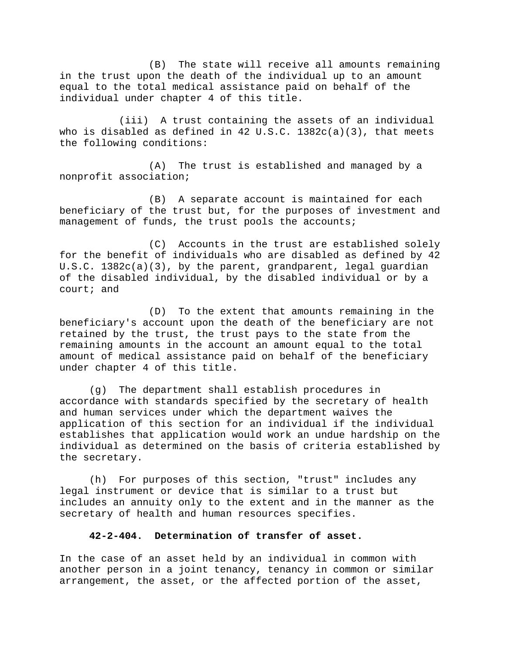(B) The state will receive all amounts remaining in the trust upon the death of the individual up to an amount equal to the total medical assistance paid on behalf of the individual under chapter 4 of this title.

(iii) A trust containing the assets of an individual who is disabled as defined in 42 U.S.C.  $1382c(a)(3)$ , that meets the following conditions:

(A) The trust is established and managed by a nonprofit association;

(B) A separate account is maintained for each beneficiary of the trust but, for the purposes of investment and management of funds, the trust pools the accounts;

(C) Accounts in the trust are established solely for the benefit of individuals who are disabled as defined by 42 U.S.C. 1382c(a)(3), by the parent, grandparent, legal guardian of the disabled individual, by the disabled individual or by a court; and

(D) To the extent that amounts remaining in the beneficiary's account upon the death of the beneficiary are not retained by the trust, the trust pays to the state from the remaining amounts in the account an amount equal to the total amount of medical assistance paid on behalf of the beneficiary under chapter 4 of this title.

(g) The department shall establish procedures in accordance with standards specified by the secretary of health and human services under which the department waives the application of this section for an individual if the individual establishes that application would work an undue hardship on the individual as determined on the basis of criteria established by the secretary.

(h) For purposes of this section, "trust" includes any legal instrument or device that is similar to a trust but includes an annuity only to the extent and in the manner as the secretary of health and human resources specifies.

### **42-2-404. Determination of transfer of asset.**

In the case of an asset held by an individual in common with another person in a joint tenancy, tenancy in common or similar arrangement, the asset, or the affected portion of the asset,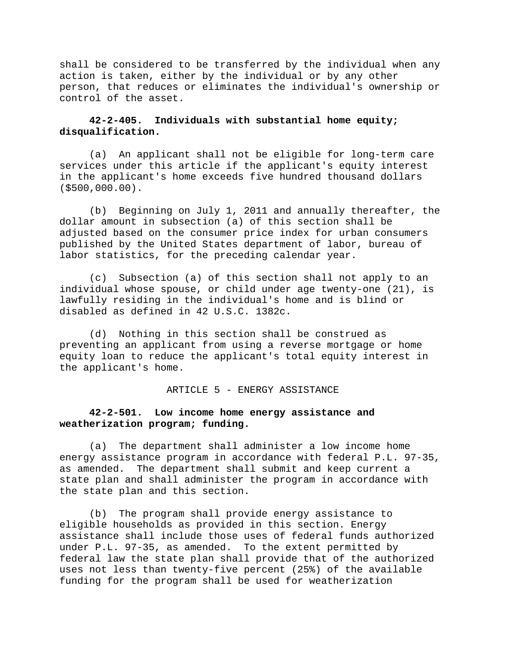shall be considered to be transferred by the individual when any action is taken, either by the individual or by any other person, that reduces or eliminates the individual's ownership or control of the asset.

### **42-2-405. Individuals with substantial home equity; disqualification.**

(a) An applicant shall not be eligible for long-term care services under this article if the applicant's equity interest in the applicant's home exceeds five hundred thousand dollars (\$500,000.00).

(b) Beginning on July 1, 2011 and annually thereafter, the dollar amount in subsection (a) of this section shall be adjusted based on the consumer price index for urban consumers published by the United States department of labor, bureau of labor statistics, for the preceding calendar year.

(c) Subsection (a) of this section shall not apply to an individual whose spouse, or child under age twenty-one (21), is lawfully residing in the individual's home and is blind or disabled as defined in 42 U.S.C. 1382c.

(d) Nothing in this section shall be construed as preventing an applicant from using a reverse mortgage or home equity loan to reduce the applicant's total equity interest in the applicant's home.

#### ARTICLE 5 - ENERGY ASSISTANCE

## **42-2-501. Low income home energy assistance and weatherization program; funding.**

(a) The department shall administer a low income home energy assistance program in accordance with federal P.L. 97-35, as amended. The department shall submit and keep current a state plan and shall administer the program in accordance with the state plan and this section.

(b) The program shall provide energy assistance to eligible households as provided in this section. Energy assistance shall include those uses of federal funds authorized under P.L. 97-35, as amended. To the extent permitted by federal law the state plan shall provide that of the authorized uses not less than twenty-five percent (25%) of the available funding for the program shall be used for weatherization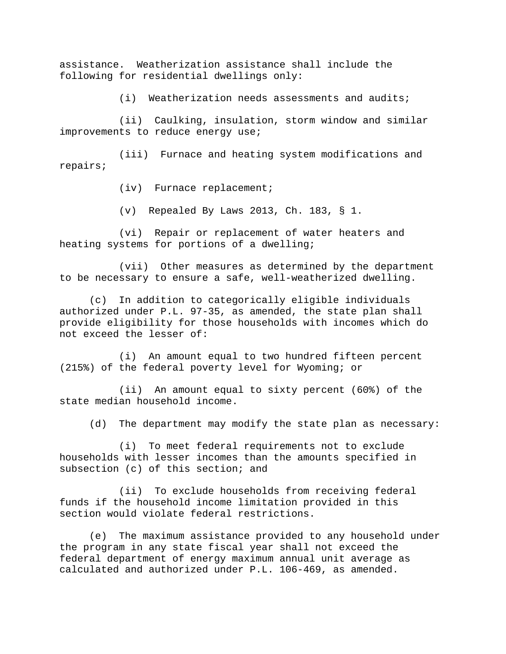assistance. Weatherization assistance shall include the following for residential dwellings only:

(i) Weatherization needs assessments and audits;

(ii) Caulking, insulation, storm window and similar improvements to reduce energy use;

(iii) Furnace and heating system modifications and repairs;

(iv) Furnace replacement;

(v) Repealed By Laws 2013, Ch. 183, § 1.

(vi) Repair or replacement of water heaters and heating systems for portions of a dwelling;

(vii) Other measures as determined by the department to be necessary to ensure a safe, well-weatherized dwelling.

(c) In addition to categorically eligible individuals authorized under P.L. 97-35, as amended, the state plan shall provide eligibility for those households with incomes which do not exceed the lesser of:

(i) An amount equal to two hundred fifteen percent (215%) of the federal poverty level for Wyoming; or

(ii) An amount equal to sixty percent (60%) of the state median household income.

(d) The department may modify the state plan as necessary:

(i) To meet federal requirements not to exclude households with lesser incomes than the amounts specified in subsection (c) of this section; and

(ii) To exclude households from receiving federal funds if the household income limitation provided in this section would violate federal restrictions.

(e) The maximum assistance provided to any household under the program in any state fiscal year shall not exceed the federal department of energy maximum annual unit average as calculated and authorized under P.L. 106-469, as amended.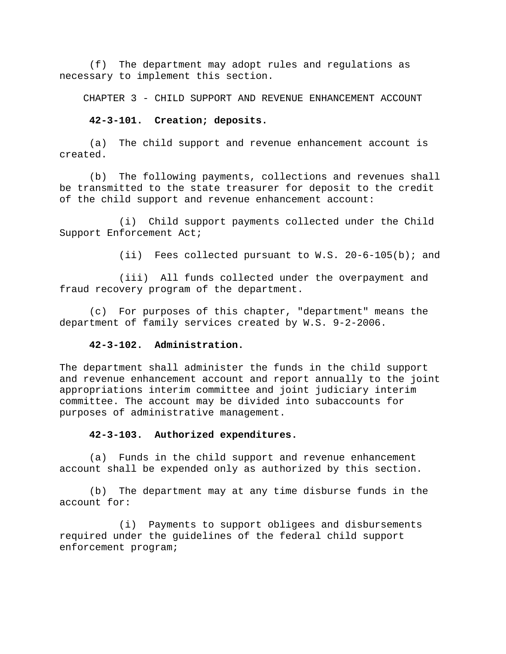(f) The department may adopt rules and regulations as necessary to implement this section.

CHAPTER 3 - CHILD SUPPORT AND REVENUE ENHANCEMENT ACCOUNT

### **42-3-101. Creation; deposits.**

(a) The child support and revenue enhancement account is created.

(b) The following payments, collections and revenues shall be transmitted to the state treasurer for deposit to the credit of the child support and revenue enhancement account:

(i) Child support payments collected under the Child Support Enforcement Act;

 $(iii)$  Fees collected pursuant to W.S. 20-6-105(b); and

(iii) All funds collected under the overpayment and fraud recovery program of the department.

(c) For purposes of this chapter, "department" means the department of family services created by W.S. 9-2-2006.

### **42-3-102. Administration.**

The department shall administer the funds in the child support and revenue enhancement account and report annually to the joint appropriations interim committee and joint judiciary interim committee. The account may be divided into subaccounts for purposes of administrative management.

#### **42-3-103. Authorized expenditures.**

(a) Funds in the child support and revenue enhancement account shall be expended only as authorized by this section.

(b) The department may at any time disburse funds in the account for:

(i) Payments to support obligees and disbursements required under the guidelines of the federal child support enforcement program;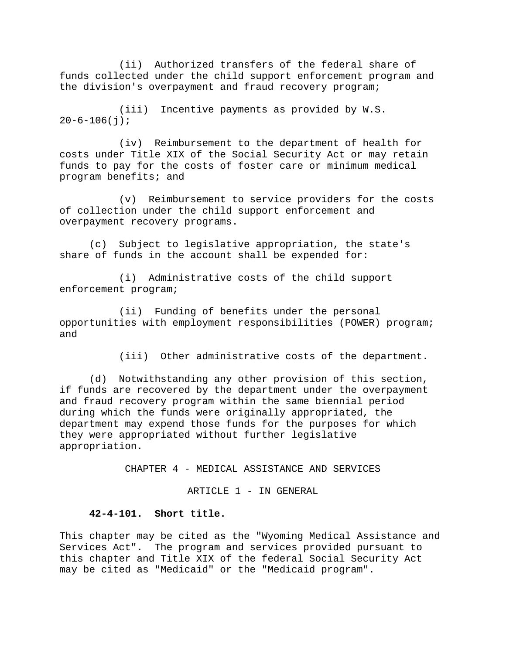(ii) Authorized transfers of the federal share of funds collected under the child support enforcement program and the division's overpayment and fraud recovery program;

(iii) Incentive payments as provided by W.S.  $20 - 6 - 106(j);$ 

(iv) Reimbursement to the department of health for costs under Title XIX of the Social Security Act or may retain funds to pay for the costs of foster care or minimum medical program benefits; and

(v) Reimbursement to service providers for the costs of collection under the child support enforcement and overpayment recovery programs.

(c) Subject to legislative appropriation, the state's share of funds in the account shall be expended for:

(i) Administrative costs of the child support enforcement program;

(ii) Funding of benefits under the personal opportunities with employment responsibilities (POWER) program; and

(iii) Other administrative costs of the department.

(d) Notwithstanding any other provision of this section, if funds are recovered by the department under the overpayment and fraud recovery program within the same biennial period during which the funds were originally appropriated, the department may expend those funds for the purposes for which they were appropriated without further legislative appropriation.

CHAPTER 4 - MEDICAL ASSISTANCE AND SERVICES

ARTICLE 1 - IN GENERAL

### **42-4-101. Short title.**

This chapter may be cited as the "Wyoming Medical Assistance and Services Act". The program and services provided pursuant to this chapter and Title XIX of the federal Social Security Act may be cited as "Medicaid" or the "Medicaid program".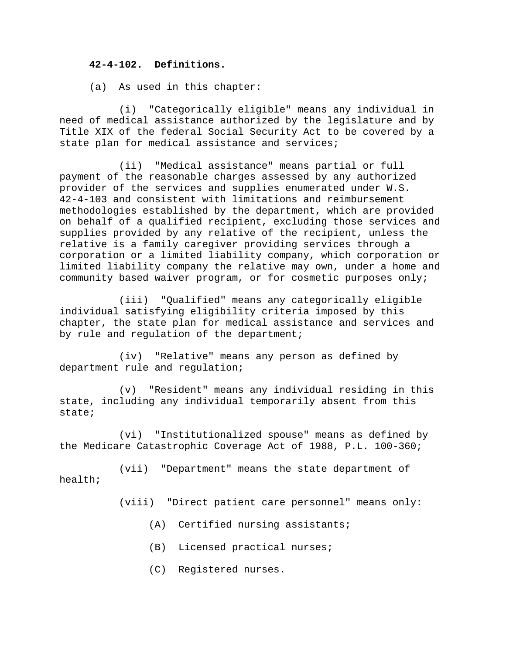### **42-4-102. Definitions.**

(a) As used in this chapter:

(i) "Categorically eligible" means any individual in need of medical assistance authorized by the legislature and by Title XIX of the federal Social Security Act to be covered by a state plan for medical assistance and services;

(ii) "Medical assistance" means partial or full payment of the reasonable charges assessed by any authorized provider of the services and supplies enumerated under W.S. 42-4-103 and consistent with limitations and reimbursement methodologies established by the department, which are provided on behalf of a qualified recipient, excluding those services and supplies provided by any relative of the recipient, unless the relative is a family caregiver providing services through a corporation or a limited liability company, which corporation or limited liability company the relative may own, under a home and community based waiver program, or for cosmetic purposes only;

(iii) "Qualified" means any categorically eligible individual satisfying eligibility criteria imposed by this chapter, the state plan for medical assistance and services and by rule and regulation of the department;

(iv) "Relative" means any person as defined by department rule and regulation;

(v) "Resident" means any individual residing in this state, including any individual temporarily absent from this state;

(vi) "Institutionalized spouse" means as defined by the Medicare Catastrophic Coverage Act of 1988, P.L. 100-360;

(vii) "Department" means the state department of health;

(viii) "Direct patient care personnel" means only:

- (A) Certified nursing assistants;
- (B) Licensed practical nurses;
- (C) Registered nurses.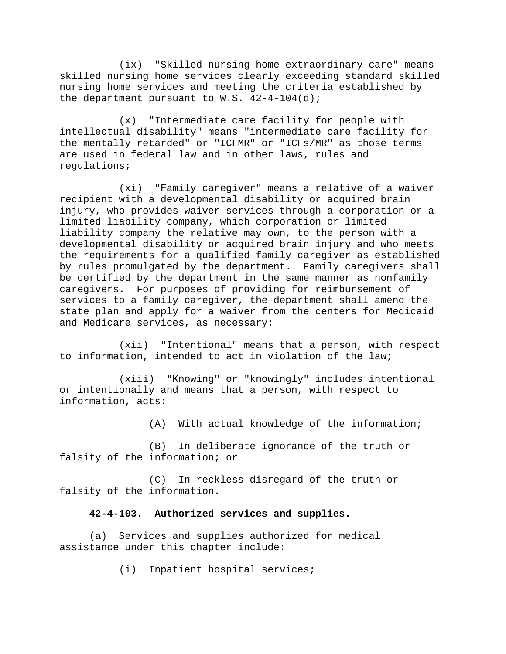(ix) "Skilled nursing home extraordinary care" means skilled nursing home services clearly exceeding standard skilled nursing home services and meeting the criteria established by the department pursuant to W.S.  $42-4-104(d)$ ;

(x) "Intermediate care facility for people with intellectual disability" means "intermediate care facility for the mentally retarded" or "ICFMR" or "ICFs/MR" as those terms are used in federal law and in other laws, rules and regulations;

(xi) "Family caregiver" means a relative of a waiver recipient with a developmental disability or acquired brain injury, who provides waiver services through a corporation or a limited liability company, which corporation or limited liability company the relative may own, to the person with a developmental disability or acquired brain injury and who meets the requirements for a qualified family caregiver as established by rules promulgated by the department. Family caregivers shall be certified by the department in the same manner as nonfamily caregivers. For purposes of providing for reimbursement of services to a family caregiver, the department shall amend the state plan and apply for a waiver from the centers for Medicaid and Medicare services, as necessary;

(xii) "Intentional" means that a person, with respect to information, intended to act in violation of the law;

(xiii) "Knowing" or "knowingly" includes intentional or intentionally and means that a person, with respect to information, acts:

(A) With actual knowledge of the information;

(B) In deliberate ignorance of the truth or falsity of the information; or

(C) In reckless disregard of the truth or falsity of the information.

## **42-4-103. Authorized services and supplies.**

(a) Services and supplies authorized for medical assistance under this chapter include:

(i) Inpatient hospital services;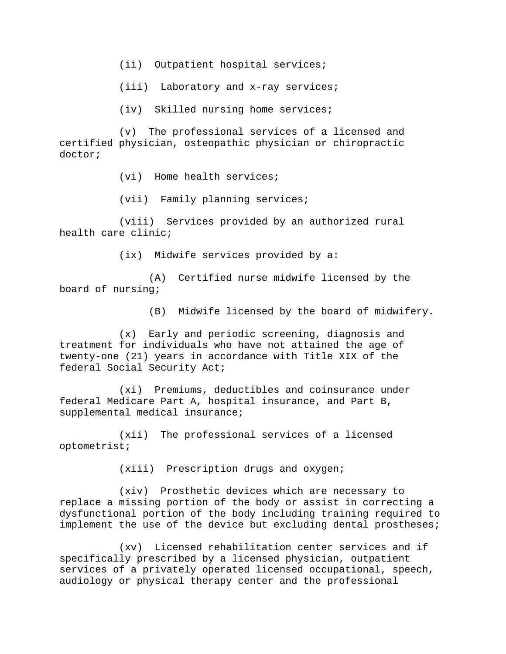(ii) Outpatient hospital services;

(iii) Laboratory and x-ray services;

(iv) Skilled nursing home services;

(v) The professional services of a licensed and certified physician, osteopathic physician or chiropractic doctor;

(vi) Home health services;

(vii) Family planning services;

(viii) Services provided by an authorized rural health care clinic;

(ix) Midwife services provided by a:

(A) Certified nurse midwife licensed by the board of nursing;

(B) Midwife licensed by the board of midwifery.

(x) Early and periodic screening, diagnosis and treatment for individuals who have not attained the age of twenty-one (21) years in accordance with Title XIX of the federal Social Security Act;

(xi) Premiums, deductibles and coinsurance under federal Medicare Part A, hospital insurance, and Part B, supplemental medical insurance;

(xii) The professional services of a licensed optometrist;

(xiii) Prescription drugs and oxygen;

(xiv) Prosthetic devices which are necessary to replace a missing portion of the body or assist in correcting a dysfunctional portion of the body including training required to implement the use of the device but excluding dental prostheses;

(xv) Licensed rehabilitation center services and if specifically prescribed by a licensed physician, outpatient services of a privately operated licensed occupational, speech, audiology or physical therapy center and the professional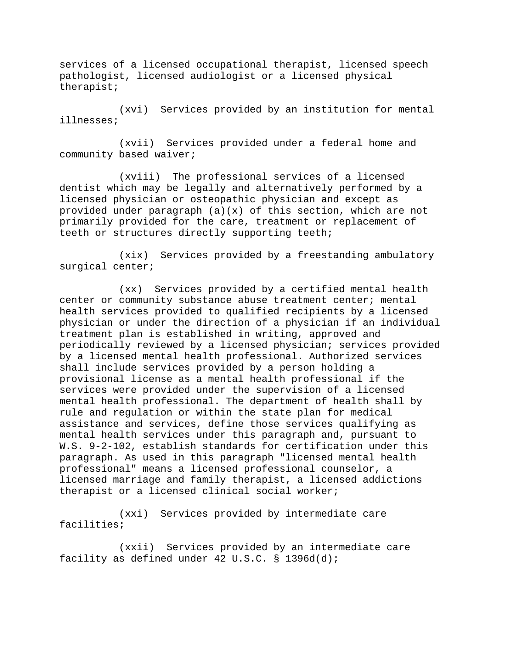services of a licensed occupational therapist, licensed speech pathologist, licensed audiologist or a licensed physical therapist;

(xvi) Services provided by an institution for mental illnesses;

(xvii) Services provided under a federal home and community based waiver;

(xviii) The professional services of a licensed dentist which may be legally and alternatively performed by a licensed physician or osteopathic physician and except as provided under paragraph (a)(x) of this section, which are not primarily provided for the care, treatment or replacement of teeth or structures directly supporting teeth;

(xix) Services provided by a freestanding ambulatory surgical center;

(xx) Services provided by a certified mental health center or community substance abuse treatment center; mental health services provided to qualified recipients by a licensed physician or under the direction of a physician if an individual treatment plan is established in writing, approved and periodically reviewed by a licensed physician; services provided by a licensed mental health professional. Authorized services shall include services provided by a person holding a provisional license as a mental health professional if the services were provided under the supervision of a licensed mental health professional. The department of health shall by rule and regulation or within the state plan for medical assistance and services, define those services qualifying as mental health services under this paragraph and, pursuant to W.S. 9-2-102, establish standards for certification under this paragraph. As used in this paragraph "licensed mental health professional" means a licensed professional counselor, a licensed marriage and family therapist, a licensed addictions therapist or a licensed clinical social worker;

(xxi) Services provided by intermediate care facilities;

(xxii) Services provided by an intermediate care facility as defined under 42 U.S.C. § 1396d(d);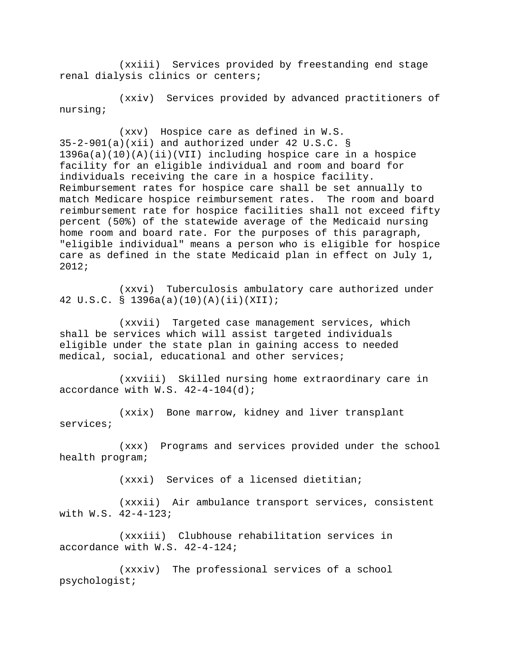(xxiii) Services provided by freestanding end stage renal dialysis clinics or centers;

(xxiv) Services provided by advanced practitioners of nursing;

(xxv) Hospice care as defined in W.S. 35-2-901(a)(xii) and authorized under 42 U.S.C. § 1396a(a)(10)(A)(ii)(VII) including hospice care in a hospice facility for an eligible individual and room and board for individuals receiving the care in a hospice facility. Reimbursement rates for hospice care shall be set annually to match Medicare hospice reimbursement rates. The room and board reimbursement rate for hospice facilities shall not exceed fifty percent (50%) of the statewide average of the Medicaid nursing home room and board rate. For the purposes of this paragraph, "eligible individual" means a person who is eligible for hospice care as defined in the state Medicaid plan in effect on July 1, 2012;

(xxvi) Tuberculosis ambulatory care authorized under 42 U.S.C. § 1396a(a)(10)(A)(ii)(XII);

(xxvii) Targeted case management services, which shall be services which will assist targeted individuals eligible under the state plan in gaining access to needed medical, social, educational and other services;

(xxviii) Skilled nursing home extraordinary care in accordance with  $W.S. 42-4-104(d);$ 

(xxix) Bone marrow, kidney and liver transplant services;

(xxx) Programs and services provided under the school health program;

(xxxi) Services of a licensed dietitian;

(xxxii) Air ambulance transport services, consistent with W.S. 42-4-123;

(xxxiii) Clubhouse rehabilitation services in accordance with W.S. 42-4-124;

(xxxiv) The professional services of a school psychologist;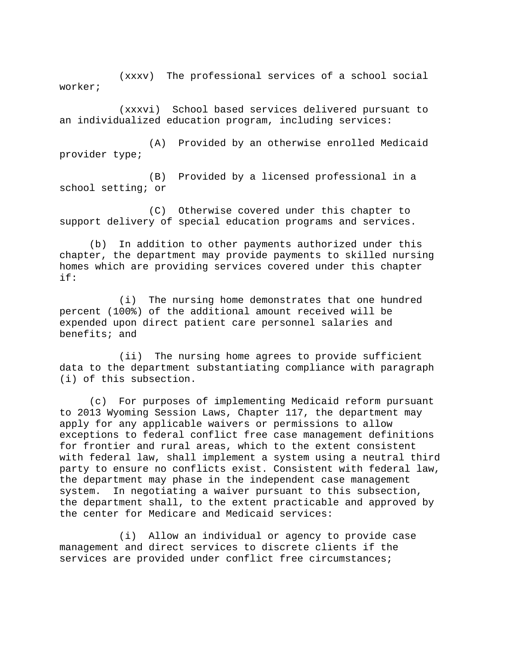(xxxv) The professional services of a school social worker;

(xxxvi) School based services delivered pursuant to an individualized education program, including services:

(A) Provided by an otherwise enrolled Medicaid provider type;

(B) Provided by a licensed professional in a school setting; or

(C) Otherwise covered under this chapter to support delivery of special education programs and services.

(b) In addition to other payments authorized under this chapter, the department may provide payments to skilled nursing homes which are providing services covered under this chapter if:

(i) The nursing home demonstrates that one hundred percent (100%) of the additional amount received will be expended upon direct patient care personnel salaries and benefits; and

(ii) The nursing home agrees to provide sufficient data to the department substantiating compliance with paragraph (i) of this subsection.

(c) For purposes of implementing Medicaid reform pursuant to 2013 Wyoming Session Laws, Chapter 117, the department may apply for any applicable waivers or permissions to allow exceptions to federal conflict free case management definitions for frontier and rural areas, which to the extent consistent with federal law, shall implement a system using a neutral third party to ensure no conflicts exist. Consistent with federal law, the department may phase in the independent case management system. In negotiating a waiver pursuant to this subsection, the department shall, to the extent practicable and approved by the center for Medicare and Medicaid services:

(i) Allow an individual or agency to provide case management and direct services to discrete clients if the services are provided under conflict free circumstances;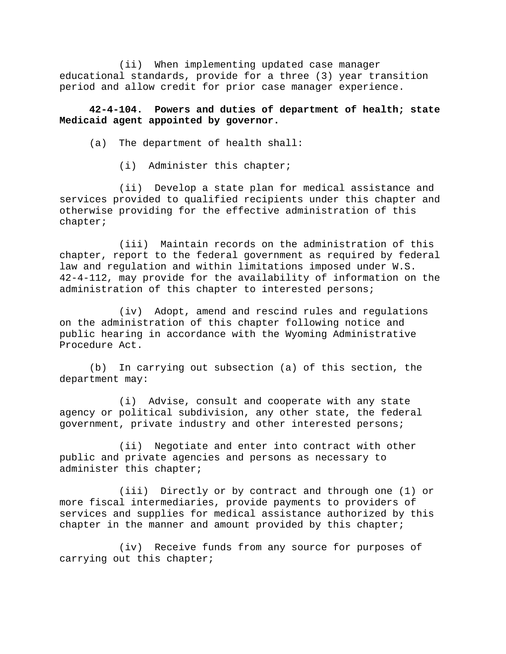(ii) When implementing updated case manager educational standards, provide for a three (3) year transition period and allow credit for prior case manager experience.

# **42-4-104. Powers and duties of department of health; state Medicaid agent appointed by governor.**

(a) The department of health shall:

(i) Administer this chapter;

(ii) Develop a state plan for medical assistance and services provided to qualified recipients under this chapter and otherwise providing for the effective administration of this chapter;

(iii) Maintain records on the administration of this chapter, report to the federal government as required by federal law and regulation and within limitations imposed under W.S. 42-4-112, may provide for the availability of information on the administration of this chapter to interested persons;

(iv) Adopt, amend and rescind rules and regulations on the administration of this chapter following notice and public hearing in accordance with the Wyoming Administrative Procedure Act.

(b) In carrying out subsection (a) of this section, the department may:

(i) Advise, consult and cooperate with any state agency or political subdivision, any other state, the federal government, private industry and other interested persons;

(ii) Negotiate and enter into contract with other public and private agencies and persons as necessary to administer this chapter;

(iii) Directly or by contract and through one (1) or more fiscal intermediaries, provide payments to providers of services and supplies for medical assistance authorized by this chapter in the manner and amount provided by this chapter;

(iv) Receive funds from any source for purposes of carrying out this chapter;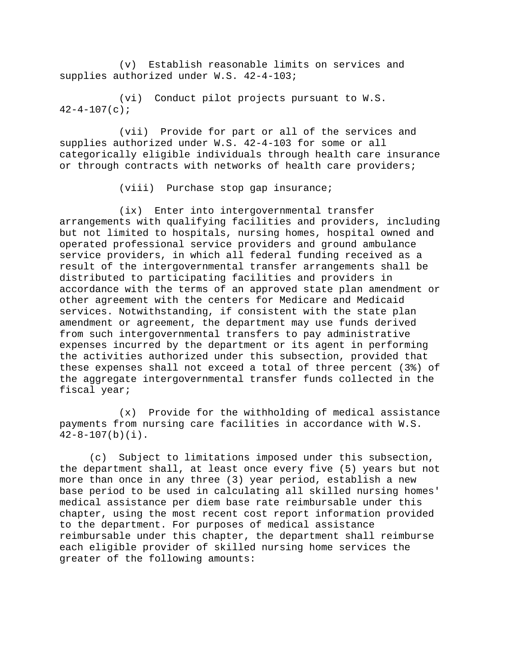(v) Establish reasonable limits on services and supplies authorized under W.S. 42-4-103;

(vi) Conduct pilot projects pursuant to W.S.  $42-4-107(c);$ 

(vii) Provide for part or all of the services and supplies authorized under W.S. 42-4-103 for some or all categorically eligible individuals through health care insurance or through contracts with networks of health care providers;

(viii) Purchase stop gap insurance;

(ix) Enter into intergovernmental transfer arrangements with qualifying facilities and providers, including but not limited to hospitals, nursing homes, hospital owned and operated professional service providers and ground ambulance service providers, in which all federal funding received as a result of the intergovernmental transfer arrangements shall be distributed to participating facilities and providers in accordance with the terms of an approved state plan amendment or other agreement with the centers for Medicare and Medicaid services. Notwithstanding, if consistent with the state plan amendment or agreement, the department may use funds derived from such intergovernmental transfers to pay administrative expenses incurred by the department or its agent in performing the activities authorized under this subsection, provided that these expenses shall not exceed a total of three percent (3%) of the aggregate intergovernmental transfer funds collected in the fiscal year;

(x) Provide for the withholding of medical assistance payments from nursing care facilities in accordance with W.S. 42-8-107(b)(i).

(c) Subject to limitations imposed under this subsection, the department shall, at least once every five (5) years but not more than once in any three (3) year period, establish a new base period to be used in calculating all skilled nursing homes' medical assistance per diem base rate reimbursable under this chapter, using the most recent cost report information provided to the department. For purposes of medical assistance reimbursable under this chapter, the department shall reimburse each eligible provider of skilled nursing home services the greater of the following amounts: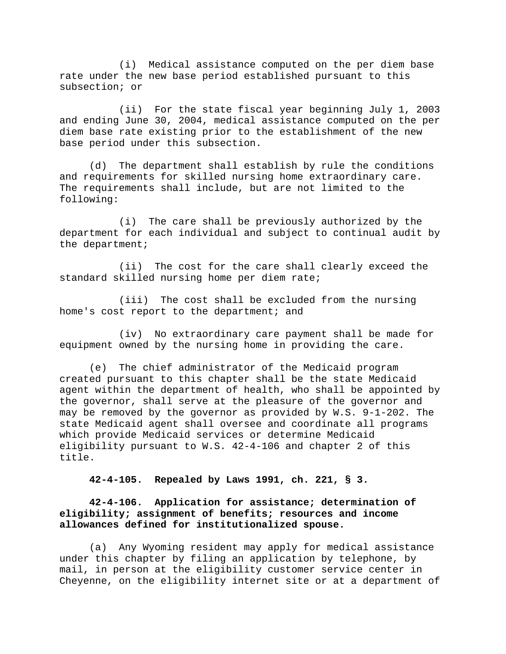(i) Medical assistance computed on the per diem base rate under the new base period established pursuant to this subsection; or

(ii) For the state fiscal year beginning July 1, 2003 and ending June 30, 2004, medical assistance computed on the per diem base rate existing prior to the establishment of the new base period under this subsection.

(d) The department shall establish by rule the conditions and requirements for skilled nursing home extraordinary care. The requirements shall include, but are not limited to the following:

(i) The care shall be previously authorized by the department for each individual and subject to continual audit by the department;

(ii) The cost for the care shall clearly exceed the standard skilled nursing home per diem rate;

(iii) The cost shall be excluded from the nursing home's cost report to the department; and

(iv) No extraordinary care payment shall be made for equipment owned by the nursing home in providing the care.

(e) The chief administrator of the Medicaid program created pursuant to this chapter shall be the state Medicaid agent within the department of health, who shall be appointed by the governor, shall serve at the pleasure of the governor and may be removed by the governor as provided by W.S. 9-1-202. The state Medicaid agent shall oversee and coordinate all programs which provide Medicaid services or determine Medicaid eligibility pursuant to W.S. 42-4-106 and chapter 2 of this title.

**42-4-105. Repealed by Laws 1991, ch. 221, § 3.** 

# **42-4-106. Application for assistance; determination of eligibility; assignment of benefits; resources and income allowances defined for institutionalized spouse.**

(a) Any Wyoming resident may apply for medical assistance under this chapter by filing an application by telephone, by mail, in person at the eligibility customer service center in Cheyenne, on the eligibility internet site or at a department of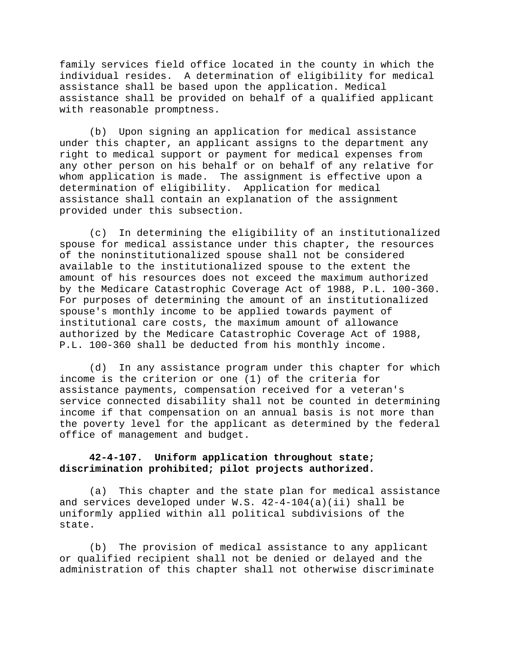family services field office located in the county in which the individual resides. A determination of eligibility for medical assistance shall be based upon the application. Medical assistance shall be provided on behalf of a qualified applicant with reasonable promptness.

(b) Upon signing an application for medical assistance under this chapter, an applicant assigns to the department any right to medical support or payment for medical expenses from any other person on his behalf or on behalf of any relative for whom application is made. The assignment is effective upon a determination of eligibility. Application for medical assistance shall contain an explanation of the assignment provided under this subsection.

(c) In determining the eligibility of an institutionalized spouse for medical assistance under this chapter, the resources of the noninstitutionalized spouse shall not be considered available to the institutionalized spouse to the extent the amount of his resources does not exceed the maximum authorized by the Medicare Catastrophic Coverage Act of 1988, P.L. 100-360. For purposes of determining the amount of an institutionalized spouse's monthly income to be applied towards payment of institutional care costs, the maximum amount of allowance authorized by the Medicare Catastrophic Coverage Act of 1988, P.L. 100-360 shall be deducted from his monthly income.

(d) In any assistance program under this chapter for which income is the criterion or one (1) of the criteria for assistance payments, compensation received for a veteran's service connected disability shall not be counted in determining income if that compensation on an annual basis is not more than the poverty level for the applicant as determined by the federal office of management and budget.

### **42-4-107. Uniform application throughout state; discrimination prohibited; pilot projects authorized.**

(a) This chapter and the state plan for medical assistance and services developed under W.S. 42-4-104(a)(ii) shall be uniformly applied within all political subdivisions of the state.

(b) The provision of medical assistance to any applicant or qualified recipient shall not be denied or delayed and the administration of this chapter shall not otherwise discriminate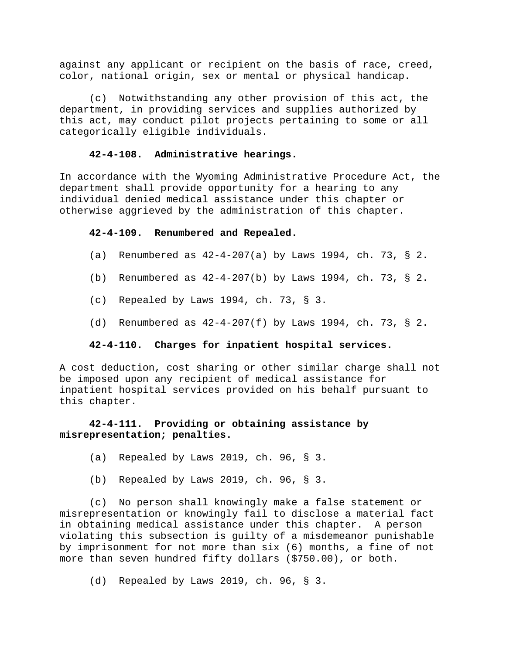against any applicant or recipient on the basis of race, creed, color, national origin, sex or mental or physical handicap.

(c) Notwithstanding any other provision of this act, the department, in providing services and supplies authorized by this act, may conduct pilot projects pertaining to some or all categorically eligible individuals.

# **42-4-108. Administrative hearings.**

In accordance with the Wyoming Administrative Procedure Act, the department shall provide opportunity for a hearing to any individual denied medical assistance under this chapter or otherwise aggrieved by the administration of this chapter.

## **42-4-109. Renumbered and Repealed.**

- (a) Renumbered as  $42-4-207(a)$  by Laws 1994, ch. 73, § 2.
- (b) Renumbered as  $42-4-207(b)$  by Laws 1994, ch. 73, § 2.
- (c) Repealed by Laws 1994, ch. 73, § 3.
- (d) Renumbered as 42-4-207(f) by Laws 1994, ch. 73, § 2.

## **42-4-110. Charges for inpatient hospital services.**

A cost deduction, cost sharing or other similar charge shall not be imposed upon any recipient of medical assistance for inpatient hospital services provided on his behalf pursuant to this chapter.

# **42-4-111. Providing or obtaining assistance by misrepresentation; penalties.**

- (a) Repealed by Laws 2019, ch. 96, § 3.
- (b) Repealed by Laws 2019, ch. 96, § 3.

(c) No person shall knowingly make a false statement or misrepresentation or knowingly fail to disclose a material fact in obtaining medical assistance under this chapter. A person violating this subsection is guilty of a misdemeanor punishable by imprisonment for not more than six (6) months, a fine of not more than seven hundred fifty dollars (\$750.00), or both.

(d) Repealed by Laws 2019, ch. 96, § 3.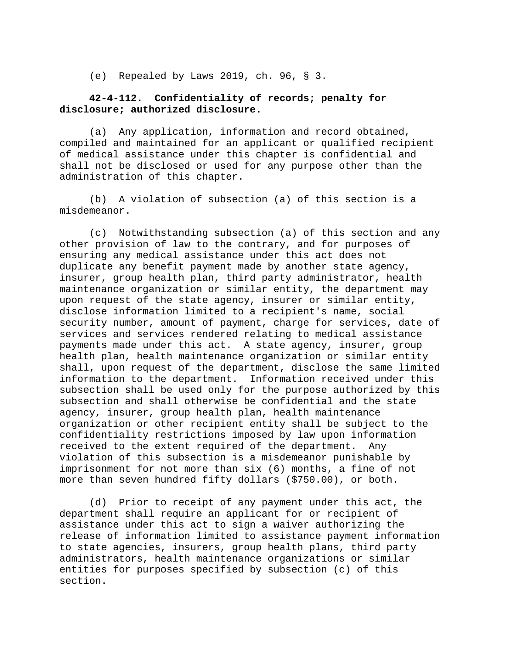(e) Repealed by Laws 2019, ch. 96, § 3.

## **42-4-112. Confidentiality of records; penalty for disclosure; authorized disclosure.**

(a) Any application, information and record obtained, compiled and maintained for an applicant or qualified recipient of medical assistance under this chapter is confidential and shall not be disclosed or used for any purpose other than the administration of this chapter.

(b) A violation of subsection (a) of this section is a misdemeanor.

(c) Notwithstanding subsection (a) of this section and any other provision of law to the contrary, and for purposes of ensuring any medical assistance under this act does not duplicate any benefit payment made by another state agency, insurer, group health plan, third party administrator, health maintenance organization or similar entity, the department may upon request of the state agency, insurer or similar entity, disclose information limited to a recipient's name, social security number, amount of payment, charge for services, date of services and services rendered relating to medical assistance payments made under this act. A state agency, insurer, group health plan, health maintenance organization or similar entity shall, upon request of the department, disclose the same limited information to the department. Information received under this subsection shall be used only for the purpose authorized by this subsection and shall otherwise be confidential and the state agency, insurer, group health plan, health maintenance organization or other recipient entity shall be subject to the confidentiality restrictions imposed by law upon information received to the extent required of the department. Any violation of this subsection is a misdemeanor punishable by imprisonment for not more than six (6) months, a fine of not more than seven hundred fifty dollars (\$750.00), or both.

(d) Prior to receipt of any payment under this act, the department shall require an applicant for or recipient of assistance under this act to sign a waiver authorizing the release of information limited to assistance payment information to state agencies, insurers, group health plans, third party administrators, health maintenance organizations or similar entities for purposes specified by subsection (c) of this section.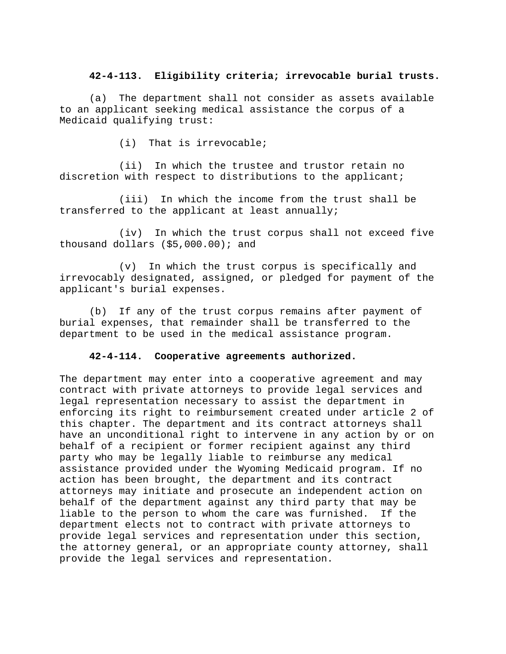## **42-4-113. Eligibility criteria; irrevocable burial trusts.**

(a) The department shall not consider as assets available to an applicant seeking medical assistance the corpus of a Medicaid qualifying trust:

(i) That is irrevocable;

(ii) In which the trustee and trustor retain no discretion with respect to distributions to the applicant;

(iii) In which the income from the trust shall be transferred to the applicant at least annually;

(iv) In which the trust corpus shall not exceed five thousand dollars (\$5,000.00); and

(v) In which the trust corpus is specifically and irrevocably designated, assigned, or pledged for payment of the applicant's burial expenses.

(b) If any of the trust corpus remains after payment of burial expenses, that remainder shall be transferred to the department to be used in the medical assistance program.

### **42-4-114. Cooperative agreements authorized.**

The department may enter into a cooperative agreement and may contract with private attorneys to provide legal services and legal representation necessary to assist the department in enforcing its right to reimbursement created under article 2 of this chapter. The department and its contract attorneys shall have an unconditional right to intervene in any action by or on behalf of a recipient or former recipient against any third party who may be legally liable to reimburse any medical assistance provided under the Wyoming Medicaid program. If no action has been brought, the department and its contract attorneys may initiate and prosecute an independent action on behalf of the department against any third party that may be liable to the person to whom the care was furnished. If the department elects not to contract with private attorneys to provide legal services and representation under this section, the attorney general, or an appropriate county attorney, shall provide the legal services and representation.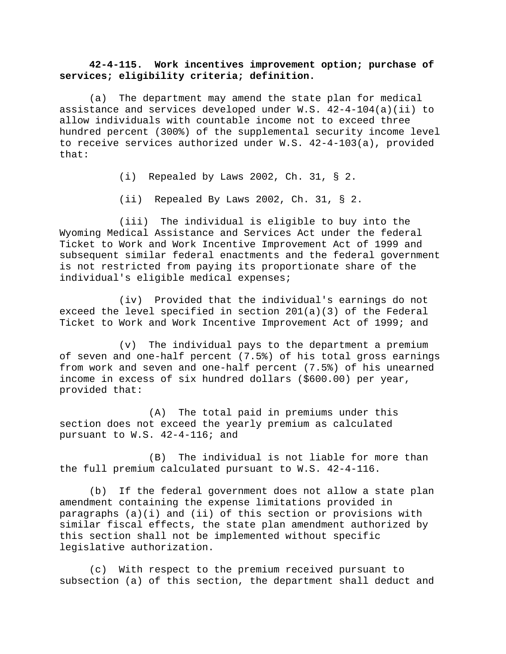## **42-4-115. Work incentives improvement option; purchase of services; eligibility criteria; definition.**

(a) The department may amend the state plan for medical assistance and services developed under W.S.  $42-4-104(a)(ii)$  to allow individuals with countable income not to exceed three hundred percent (300%) of the supplemental security income level to receive services authorized under W.S. 42-4-103(a), provided that:

(i) Repealed by Laws 2002, Ch. 31, § 2.

(ii) Repealed By Laws 2002, Ch. 31, § 2.

(iii) The individual is eligible to buy into the Wyoming Medical Assistance and Services Act under the federal Ticket to Work and Work Incentive Improvement Act of 1999 and subsequent similar federal enactments and the federal government is not restricted from paying its proportionate share of the individual's eligible medical expenses;

(iv) Provided that the individual's earnings do not exceed the level specified in section 201(a)(3) of the Federal Ticket to Work and Work Incentive Improvement Act of 1999; and

(v) The individual pays to the department a premium of seven and one-half percent (7.5%) of his total gross earnings from work and seven and one-half percent (7.5%) of his unearned income in excess of six hundred dollars (\$600.00) per year, provided that:

(A) The total paid in premiums under this section does not exceed the yearly premium as calculated pursuant to W.S. 42-4-116; and

(B) The individual is not liable for more than the full premium calculated pursuant to W.S. 42-4-116.

(b) If the federal government does not allow a state plan amendment containing the expense limitations provided in paragraphs (a)(i) and (ii) of this section or provisions with similar fiscal effects, the state plan amendment authorized by this section shall not be implemented without specific legislative authorization.

(c) With respect to the premium received pursuant to subsection (a) of this section, the department shall deduct and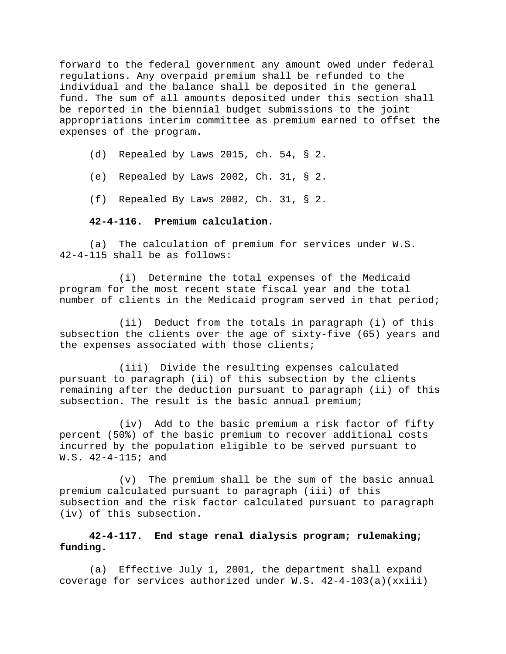forward to the federal government any amount owed under federal regulations. Any overpaid premium shall be refunded to the individual and the balance shall be deposited in the general fund. The sum of all amounts deposited under this section shall be reported in the biennial budget submissions to the joint appropriations interim committee as premium earned to offset the expenses of the program.

- (d) Repealed by Laws 2015, ch. 54, § 2.
- (e) Repealed by Laws 2002, Ch. 31, § 2.
- (f) Repealed By Laws 2002, Ch. 31, § 2.

#### **42-4-116. Premium calculation.**

(a) The calculation of premium for services under W.S. 42-4-115 shall be as follows:

(i) Determine the total expenses of the Medicaid program for the most recent state fiscal year and the total number of clients in the Medicaid program served in that period;

(ii) Deduct from the totals in paragraph (i) of this subsection the clients over the age of sixty-five (65) years and the expenses associated with those clients;

(iii) Divide the resulting expenses calculated pursuant to paragraph (ii) of this subsection by the clients remaining after the deduction pursuant to paragraph (ii) of this subsection. The result is the basic annual premium;

(iv) Add to the basic premium a risk factor of fifty percent (50%) of the basic premium to recover additional costs incurred by the population eligible to be served pursuant to W.S. 42-4-115; and

(v) The premium shall be the sum of the basic annual premium calculated pursuant to paragraph (iii) of this subsection and the risk factor calculated pursuant to paragraph (iv) of this subsection.

# **42-4-117. End stage renal dialysis program; rulemaking; funding.**

(a) Effective July 1, 2001, the department shall expand coverage for services authorized under W.S. 42-4-103(a)(xxiii)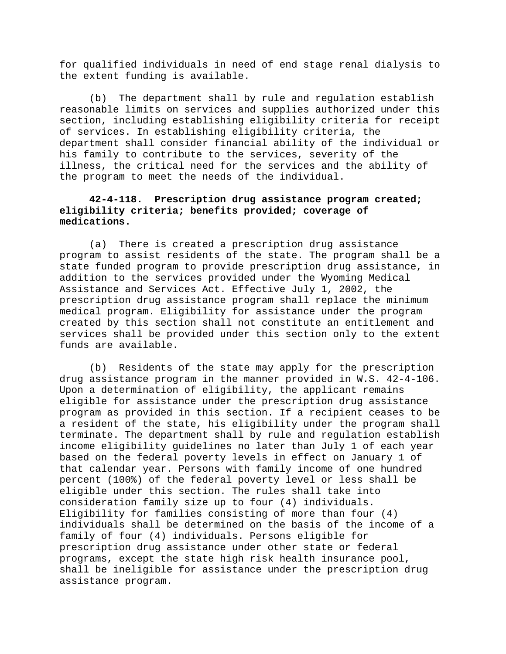for qualified individuals in need of end stage renal dialysis to the extent funding is available.

(b) The department shall by rule and regulation establish reasonable limits on services and supplies authorized under this section, including establishing eligibility criteria for receipt of services. In establishing eligibility criteria, the department shall consider financial ability of the individual or his family to contribute to the services, severity of the illness, the critical need for the services and the ability of the program to meet the needs of the individual.

# **42-4-118. Prescription drug assistance program created; eligibility criteria; benefits provided; coverage of medications.**

(a) There is created a prescription drug assistance program to assist residents of the state. The program shall be a state funded program to provide prescription drug assistance, in addition to the services provided under the Wyoming Medical Assistance and Services Act. Effective July 1, 2002, the prescription drug assistance program shall replace the minimum medical program. Eligibility for assistance under the program created by this section shall not constitute an entitlement and services shall be provided under this section only to the extent funds are available.

(b) Residents of the state may apply for the prescription drug assistance program in the manner provided in W.S. 42-4-106. Upon a determination of eligibility, the applicant remains eligible for assistance under the prescription drug assistance program as provided in this section. If a recipient ceases to be a resident of the state, his eligibility under the program shall terminate. The department shall by rule and regulation establish income eligibility guidelines no later than July 1 of each year based on the federal poverty levels in effect on January 1 of that calendar year. Persons with family income of one hundred percent (100%) of the federal poverty level or less shall be eligible under this section. The rules shall take into consideration family size up to four (4) individuals. Eligibility for families consisting of more than four (4) individuals shall be determined on the basis of the income of a family of four (4) individuals. Persons eligible for prescription drug assistance under other state or federal programs, except the state high risk health insurance pool, shall be ineligible for assistance under the prescription drug assistance program.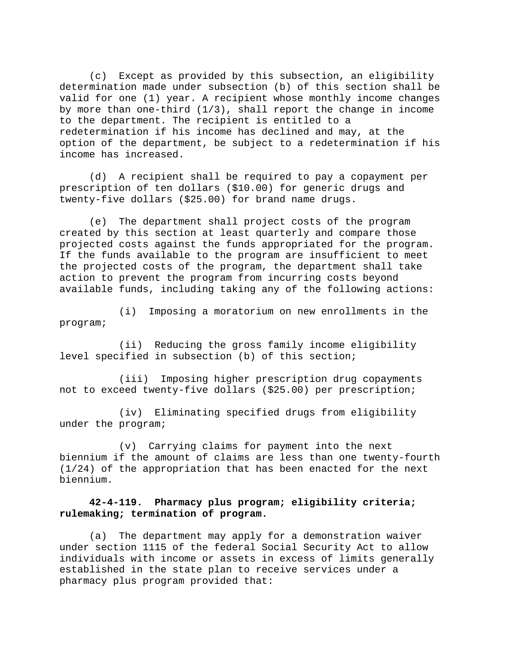(c) Except as provided by this subsection, an eligibility determination made under subsection (b) of this section shall be valid for one (1) year. A recipient whose monthly income changes by more than one-third  $(1/3)$ , shall report the change in income to the department. The recipient is entitled to a redetermination if his income has declined and may, at the option of the department, be subject to a redetermination if his income has increased.

(d) A recipient shall be required to pay a copayment per prescription of ten dollars (\$10.00) for generic drugs and twenty-five dollars (\$25.00) for brand name drugs.

(e) The department shall project costs of the program created by this section at least quarterly and compare those projected costs against the funds appropriated for the program. If the funds available to the program are insufficient to meet the projected costs of the program, the department shall take action to prevent the program from incurring costs beyond available funds, including taking any of the following actions:

(i) Imposing a moratorium on new enrollments in the program;

(ii) Reducing the gross family income eligibility level specified in subsection (b) of this section;

(iii) Imposing higher prescription drug copayments not to exceed twenty-five dollars (\$25.00) per prescription;

(iv) Eliminating specified drugs from eligibility under the program;

(v) Carrying claims for payment into the next biennium if the amount of claims are less than one twenty-fourth (1/24) of the appropriation that has been enacted for the next biennium.

## **42-4-119. Pharmacy plus program; eligibility criteria; rulemaking; termination of program.**

(a) The department may apply for a demonstration waiver under section 1115 of the federal Social Security Act to allow individuals with income or assets in excess of limits generally established in the state plan to receive services under a pharmacy plus program provided that: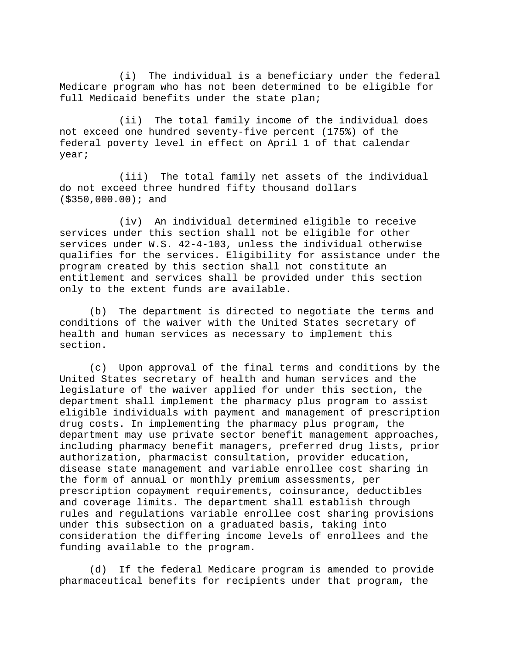(i) The individual is a beneficiary under the federal Medicare program who has not been determined to be eligible for full Medicaid benefits under the state plan;

(ii) The total family income of the individual does not exceed one hundred seventy-five percent (175%) of the federal poverty level in effect on April 1 of that calendar year;

(iii) The total family net assets of the individual do not exceed three hundred fifty thousand dollars (\$350,000.00); and

(iv) An individual determined eligible to receive services under this section shall not be eligible for other services under W.S. 42-4-103, unless the individual otherwise qualifies for the services. Eligibility for assistance under the program created by this section shall not constitute an entitlement and services shall be provided under this section only to the extent funds are available.

(b) The department is directed to negotiate the terms and conditions of the waiver with the United States secretary of health and human services as necessary to implement this section.

(c) Upon approval of the final terms and conditions by the United States secretary of health and human services and the legislature of the waiver applied for under this section, the department shall implement the pharmacy plus program to assist eligible individuals with payment and management of prescription drug costs. In implementing the pharmacy plus program, the department may use private sector benefit management approaches, including pharmacy benefit managers, preferred drug lists, prior authorization, pharmacist consultation, provider education, disease state management and variable enrollee cost sharing in the form of annual or monthly premium assessments, per prescription copayment requirements, coinsurance, deductibles and coverage limits. The department shall establish through rules and regulations variable enrollee cost sharing provisions under this subsection on a graduated basis, taking into consideration the differing income levels of enrollees and the funding available to the program.

(d) If the federal Medicare program is amended to provide pharmaceutical benefits for recipients under that program, the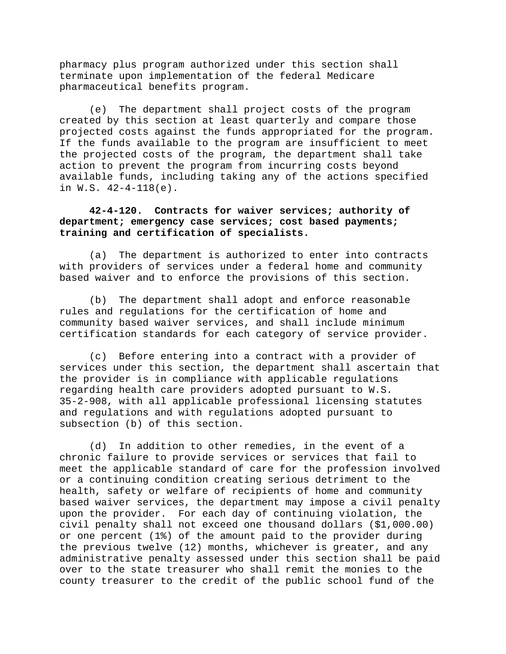pharmacy plus program authorized under this section shall terminate upon implementation of the federal Medicare pharmaceutical benefits program.

(e) The department shall project costs of the program created by this section at least quarterly and compare those projected costs against the funds appropriated for the program. If the funds available to the program are insufficient to meet the projected costs of the program, the department shall take action to prevent the program from incurring costs beyond available funds, including taking any of the actions specified in W.S. 42-4-118(e).

# **42-4-120. Contracts for waiver services; authority of department; emergency case services; cost based payments; training and certification of specialists.**

(a) The department is authorized to enter into contracts with providers of services under a federal home and community based waiver and to enforce the provisions of this section.

(b) The department shall adopt and enforce reasonable rules and regulations for the certification of home and community based waiver services, and shall include minimum certification standards for each category of service provider.

(c) Before entering into a contract with a provider of services under this section, the department shall ascertain that the provider is in compliance with applicable regulations regarding health care providers adopted pursuant to W.S. 35-2-908, with all applicable professional licensing statutes and regulations and with regulations adopted pursuant to subsection (b) of this section.

(d) In addition to other remedies, in the event of a chronic failure to provide services or services that fail to meet the applicable standard of care for the profession involved or a continuing condition creating serious detriment to the health, safety or welfare of recipients of home and community based waiver services, the department may impose a civil penalty upon the provider. For each day of continuing violation, the civil penalty shall not exceed one thousand dollars (\$1,000.00) or one percent (1%) of the amount paid to the provider during the previous twelve (12) months, whichever is greater, and any administrative penalty assessed under this section shall be paid over to the state treasurer who shall remit the monies to the county treasurer to the credit of the public school fund of the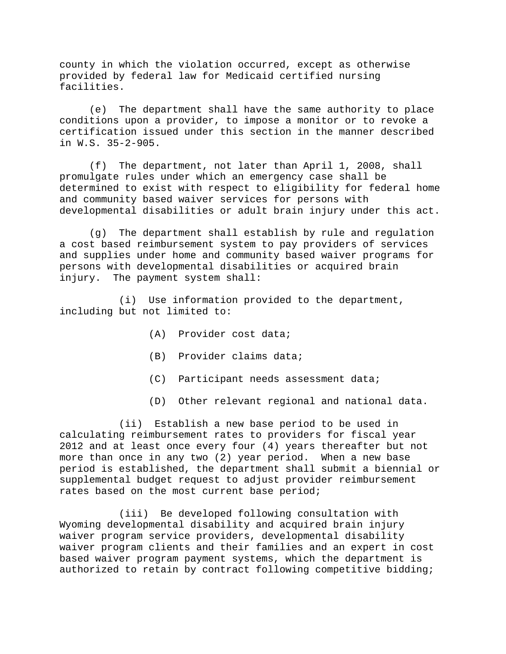county in which the violation occurred, except as otherwise provided by federal law for Medicaid certified nursing facilities.

(e) The department shall have the same authority to place conditions upon a provider, to impose a monitor or to revoke a certification issued under this section in the manner described in W.S. 35-2-905.

(f) The department, not later than April 1, 2008, shall promulgate rules under which an emergency case shall be determined to exist with respect to eligibility for federal home and community based waiver services for persons with developmental disabilities or adult brain injury under this act.

(g) The department shall establish by rule and regulation a cost based reimbursement system to pay providers of services and supplies under home and community based waiver programs for persons with developmental disabilities or acquired brain injury. The payment system shall:

(i) Use information provided to the department, including but not limited to:

- (A) Provider cost data;
- (B) Provider claims data;
- (C) Participant needs assessment data;
- (D) Other relevant regional and national data.

(ii) Establish a new base period to be used in calculating reimbursement rates to providers for fiscal year 2012 and at least once every four (4) years thereafter but not more than once in any two (2) year period. When a new base period is established, the department shall submit a biennial or supplemental budget request to adjust provider reimbursement rates based on the most current base period;

(iii) Be developed following consultation with Wyoming developmental disability and acquired brain injury waiver program service providers, developmental disability waiver program clients and their families and an expert in cost based waiver program payment systems, which the department is authorized to retain by contract following competitive bidding;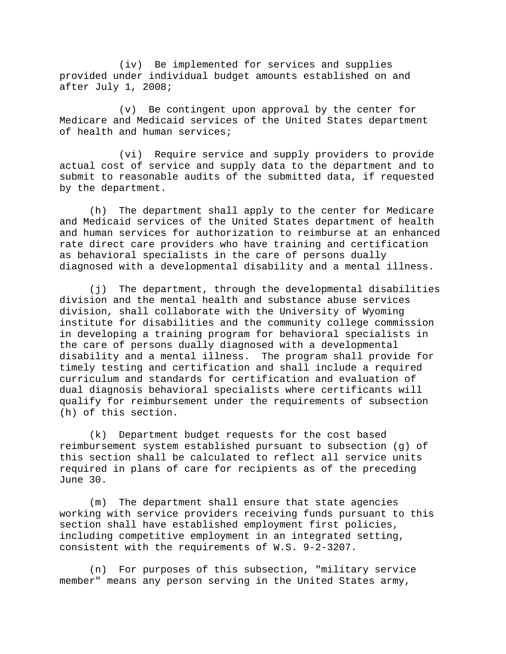(iv) Be implemented for services and supplies provided under individual budget amounts established on and after July 1, 2008;

(v) Be contingent upon approval by the center for Medicare and Medicaid services of the United States department of health and human services;

(vi) Require service and supply providers to provide actual cost of service and supply data to the department and to submit to reasonable audits of the submitted data, if requested by the department.

(h) The department shall apply to the center for Medicare and Medicaid services of the United States department of health and human services for authorization to reimburse at an enhanced rate direct care providers who have training and certification as behavioral specialists in the care of persons dually diagnosed with a developmental disability and a mental illness.

(j) The department, through the developmental disabilities division and the mental health and substance abuse services division, shall collaborate with the University of Wyoming institute for disabilities and the community college commission in developing a training program for behavioral specialists in the care of persons dually diagnosed with a developmental disability and a mental illness. The program shall provide for timely testing and certification and shall include a required curriculum and standards for certification and evaluation of dual diagnosis behavioral specialists where certificants will qualify for reimbursement under the requirements of subsection (h) of this section.

(k) Department budget requests for the cost based reimbursement system established pursuant to subsection (g) of this section shall be calculated to reflect all service units required in plans of care for recipients as of the preceding June 30.

(m) The department shall ensure that state agencies working with service providers receiving funds pursuant to this section shall have established employment first policies, including competitive employment in an integrated setting, consistent with the requirements of W.S. 9-2-3207.

(n) For purposes of this subsection, "military service member" means any person serving in the United States army,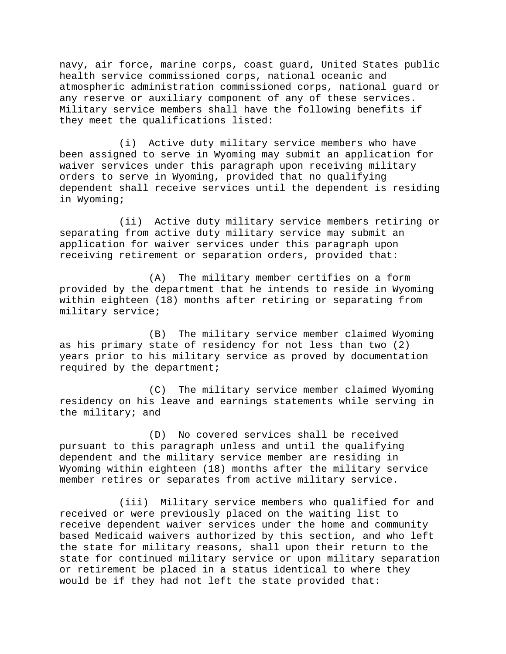navy, air force, marine corps, coast guard, United States public health service commissioned corps, national oceanic and atmospheric administration commissioned corps, national guard or any reserve or auxiliary component of any of these services. Military service members shall have the following benefits if they meet the qualifications listed:

(i) Active duty military service members who have been assigned to serve in Wyoming may submit an application for waiver services under this paragraph upon receiving military orders to serve in Wyoming, provided that no qualifying dependent shall receive services until the dependent is residing in Wyoming;

(ii) Active duty military service members retiring or separating from active duty military service may submit an application for waiver services under this paragraph upon receiving retirement or separation orders, provided that:

(A) The military member certifies on a form provided by the department that he intends to reside in Wyoming within eighteen (18) months after retiring or separating from military service;

(B) The military service member claimed Wyoming as his primary state of residency for not less than two (2) years prior to his military service as proved by documentation required by the department;

(C) The military service member claimed Wyoming residency on his leave and earnings statements while serving in the military; and

(D) No covered services shall be received pursuant to this paragraph unless and until the qualifying dependent and the military service member are residing in Wyoming within eighteen (18) months after the military service member retires or separates from active military service.

(iii) Military service members who qualified for and received or were previously placed on the waiting list to receive dependent waiver services under the home and community based Medicaid waivers authorized by this section, and who left the state for military reasons, shall upon their return to the state for continued military service or upon military separation or retirement be placed in a status identical to where they would be if they had not left the state provided that: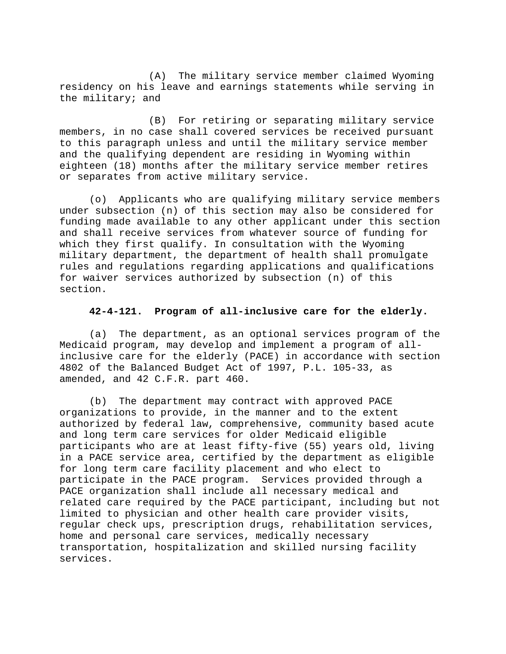(A) The military service member claimed Wyoming residency on his leave and earnings statements while serving in the military; and

(B) For retiring or separating military service members, in no case shall covered services be received pursuant to this paragraph unless and until the military service member and the qualifying dependent are residing in Wyoming within eighteen (18) months after the military service member retires or separates from active military service.

(o) Applicants who are qualifying military service members under subsection (n) of this section may also be considered for funding made available to any other applicant under this section and shall receive services from whatever source of funding for which they first qualify. In consultation with the Wyoming military department, the department of health shall promulgate rules and regulations regarding applications and qualifications for waiver services authorized by subsection (n) of this section.

### **42-4-121. Program of all-inclusive care for the elderly.**

(a) The department, as an optional services program of the Medicaid program, may develop and implement a program of allinclusive care for the elderly (PACE) in accordance with section 4802 of the Balanced Budget Act of 1997, P.L. 105-33, as amended, and 42 C.F.R. part 460.

(b) The department may contract with approved PACE organizations to provide, in the manner and to the extent authorized by federal law, comprehensive, community based acute and long term care services for older Medicaid eligible participants who are at least fifty-five (55) years old, living in a PACE service area, certified by the department as eligible for long term care facility placement and who elect to participate in the PACE program. Services provided through a PACE organization shall include all necessary medical and related care required by the PACE participant, including but not limited to physician and other health care provider visits, regular check ups, prescription drugs, rehabilitation services, home and personal care services, medically necessary transportation, hospitalization and skilled nursing facility services.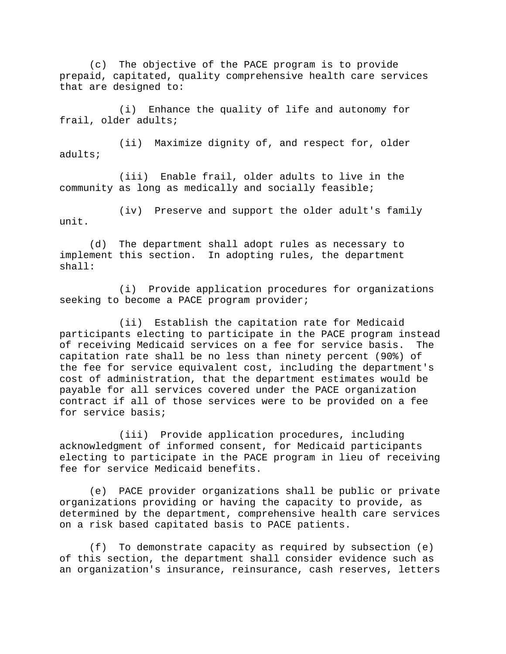(c) The objective of the PACE program is to provide prepaid, capitated, quality comprehensive health care services that are designed to:

(i) Enhance the quality of life and autonomy for frail, older adults;

(ii) Maximize dignity of, and respect for, older adults;

(iii) Enable frail, older adults to live in the community as long as medically and socially feasible;

(iv) Preserve and support the older adult's family unit.

(d) The department shall adopt rules as necessary to implement this section. In adopting rules, the department shall:

(i) Provide application procedures for organizations seeking to become a PACE program provider;

(ii) Establish the capitation rate for Medicaid participants electing to participate in the PACE program instead of receiving Medicaid services on a fee for service basis. The capitation rate shall be no less than ninety percent (90%) of the fee for service equivalent cost, including the department's cost of administration, that the department estimates would be payable for all services covered under the PACE organization contract if all of those services were to be provided on a fee for service basis;

(iii) Provide application procedures, including acknowledgment of informed consent, for Medicaid participants electing to participate in the PACE program in lieu of receiving fee for service Medicaid benefits.

(e) PACE provider organizations shall be public or private organizations providing or having the capacity to provide, as determined by the department, comprehensive health care services on a risk based capitated basis to PACE patients.

(f) To demonstrate capacity as required by subsection (e) of this section, the department shall consider evidence such as an organization's insurance, reinsurance, cash reserves, letters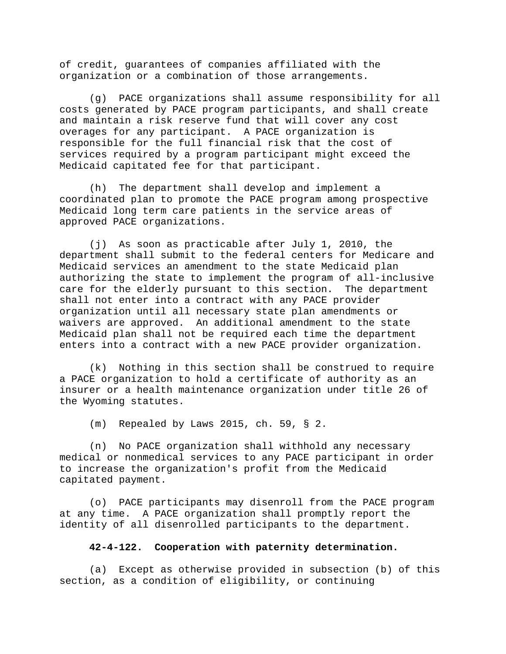of credit, guarantees of companies affiliated with the organization or a combination of those arrangements.

(g) PACE organizations shall assume responsibility for all costs generated by PACE program participants, and shall create and maintain a risk reserve fund that will cover any cost overages for any participant. A PACE organization is responsible for the full financial risk that the cost of services required by a program participant might exceed the Medicaid capitated fee for that participant.

(h) The department shall develop and implement a coordinated plan to promote the PACE program among prospective Medicaid long term care patients in the service areas of approved PACE organizations.

(j) As soon as practicable after July 1, 2010, the department shall submit to the federal centers for Medicare and Medicaid services an amendment to the state Medicaid plan authorizing the state to implement the program of all-inclusive care for the elderly pursuant to this section. The department shall not enter into a contract with any PACE provider organization until all necessary state plan amendments or waivers are approved. An additional amendment to the state Medicaid plan shall not be required each time the department enters into a contract with a new PACE provider organization.

(k) Nothing in this section shall be construed to require a PACE organization to hold a certificate of authority as an insurer or a health maintenance organization under title 26 of the Wyoming statutes.

(m) Repealed by Laws 2015, ch. 59, § 2.

(n) No PACE organization shall withhold any necessary medical or nonmedical services to any PACE participant in order to increase the organization's profit from the Medicaid capitated payment.

(o) PACE participants may disenroll from the PACE program at any time. A PACE organization shall promptly report the identity of all disenrolled participants to the department.

### **42-4-122. Cooperation with paternity determination.**

(a) Except as otherwise provided in subsection (b) of this section, as a condition of eligibility, or continuing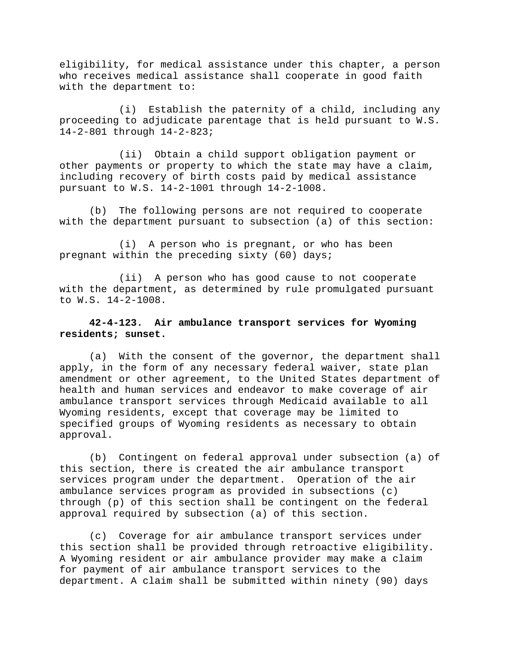eligibility, for medical assistance under this chapter, a person who receives medical assistance shall cooperate in good faith with the department to:

(i) Establish the paternity of a child, including any proceeding to adjudicate parentage that is held pursuant to W.S. 14-2-801 through 14-2-823;

(ii) Obtain a child support obligation payment or other payments or property to which the state may have a claim, including recovery of birth costs paid by medical assistance pursuant to W.S. 14-2-1001 through 14-2-1008.

(b) The following persons are not required to cooperate with the department pursuant to subsection (a) of this section:

(i) A person who is pregnant, or who has been pregnant within the preceding sixty (60) days;

(ii) A person who has good cause to not cooperate with the department, as determined by rule promulgated pursuant to W.S. 14-2-1008.

## **42-4-123. Air ambulance transport services for Wyoming residents; sunset.**

(a) With the consent of the governor, the department shall apply, in the form of any necessary federal waiver, state plan amendment or other agreement, to the United States department of health and human services and endeavor to make coverage of air ambulance transport services through Medicaid available to all Wyoming residents, except that coverage may be limited to specified groups of Wyoming residents as necessary to obtain approval.

(b) Contingent on federal approval under subsection (a) of this section, there is created the air ambulance transport services program under the department. Operation of the air ambulance services program as provided in subsections (c) through (p) of this section shall be contingent on the federal approval required by subsection (a) of this section.

(c) Coverage for air ambulance transport services under this section shall be provided through retroactive eligibility. A Wyoming resident or air ambulance provider may make a claim for payment of air ambulance transport services to the department. A claim shall be submitted within ninety (90) days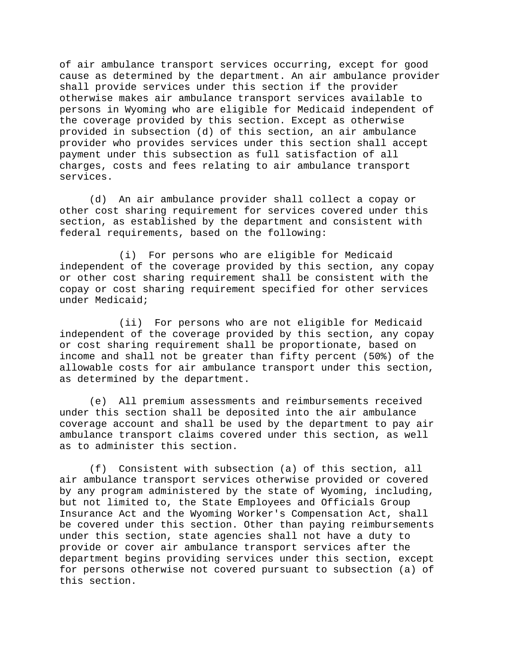of air ambulance transport services occurring, except for good cause as determined by the department. An air ambulance provider shall provide services under this section if the provider otherwise makes air ambulance transport services available to persons in Wyoming who are eligible for Medicaid independent of the coverage provided by this section. Except as otherwise provided in subsection (d) of this section, an air ambulance provider who provides services under this section shall accept payment under this subsection as full satisfaction of all charges, costs and fees relating to air ambulance transport services.

(d) An air ambulance provider shall collect a copay or other cost sharing requirement for services covered under this section, as established by the department and consistent with federal requirements, based on the following:

(i) For persons who are eligible for Medicaid independent of the coverage provided by this section, any copay or other cost sharing requirement shall be consistent with the copay or cost sharing requirement specified for other services under Medicaid;

(ii) For persons who are not eligible for Medicaid independent of the coverage provided by this section, any copay or cost sharing requirement shall be proportionate, based on income and shall not be greater than fifty percent (50%) of the allowable costs for air ambulance transport under this section, as determined by the department.

(e) All premium assessments and reimbursements received under this section shall be deposited into the air ambulance coverage account and shall be used by the department to pay air ambulance transport claims covered under this section, as well as to administer this section.

(f) Consistent with subsection (a) of this section, all air ambulance transport services otherwise provided or covered by any program administered by the state of Wyoming, including, but not limited to, the State Employees and Officials Group Insurance Act and the Wyoming Worker's Compensation Act, shall be covered under this section. Other than paying reimbursements under this section, state agencies shall not have a duty to provide or cover air ambulance transport services after the department begins providing services under this section, except for persons otherwise not covered pursuant to subsection (a) of this section.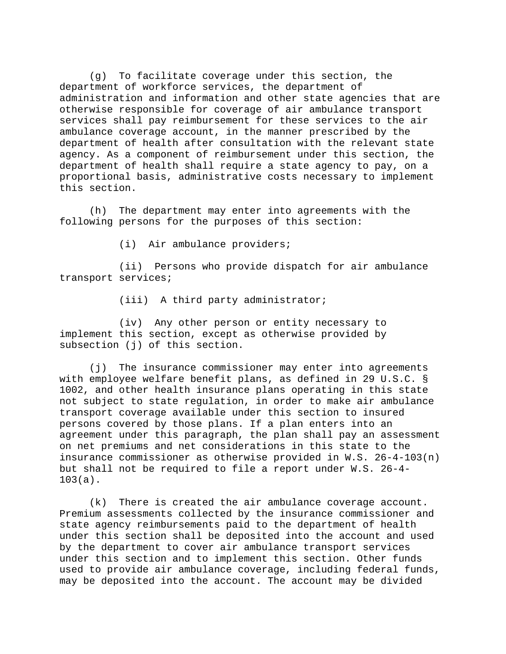(g) To facilitate coverage under this section, the department of workforce services, the department of administration and information and other state agencies that are otherwise responsible for coverage of air ambulance transport services shall pay reimbursement for these services to the air ambulance coverage account, in the manner prescribed by the department of health after consultation with the relevant state agency. As a component of reimbursement under this section, the department of health shall require a state agency to pay, on a proportional basis, administrative costs necessary to implement this section.

(h) The department may enter into agreements with the following persons for the purposes of this section:

(i) Air ambulance providers;

(ii) Persons who provide dispatch for air ambulance transport services;

(iii) A third party administrator;

(iv) Any other person or entity necessary to implement this section, except as otherwise provided by subsection (j) of this section.

(j) The insurance commissioner may enter into agreements with employee welfare benefit plans, as defined in 29 U.S.C. § 1002, and other health insurance plans operating in this state not subject to state regulation, in order to make air ambulance transport coverage available under this section to insured persons covered by those plans. If a plan enters into an agreement under this paragraph, the plan shall pay an assessment on net premiums and net considerations in this state to the insurance commissioner as otherwise provided in W.S. 26-4-103(n) but shall not be required to file a report under W.S. 26-4- 103(a).

(k) There is created the air ambulance coverage account. Premium assessments collected by the insurance commissioner and state agency reimbursements paid to the department of health under this section shall be deposited into the account and used by the department to cover air ambulance transport services under this section and to implement this section. Other funds used to provide air ambulance coverage, including federal funds, may be deposited into the account. The account may be divided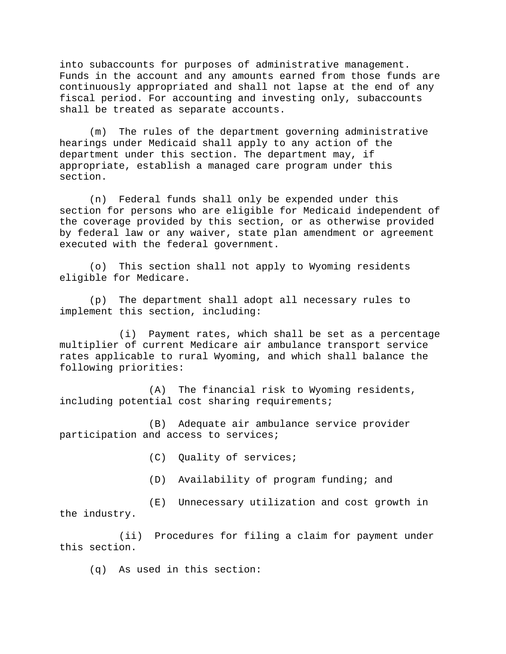into subaccounts for purposes of administrative management. Funds in the account and any amounts earned from those funds are continuously appropriated and shall not lapse at the end of any fiscal period. For accounting and investing only, subaccounts shall be treated as separate accounts.

(m) The rules of the department governing administrative hearings under Medicaid shall apply to any action of the department under this section. The department may, if appropriate, establish a managed care program under this section.

(n) Federal funds shall only be expended under this section for persons who are eligible for Medicaid independent of the coverage provided by this section, or as otherwise provided by federal law or any waiver, state plan amendment or agreement executed with the federal government.

(o) This section shall not apply to Wyoming residents eligible for Medicare.

(p) The department shall adopt all necessary rules to implement this section, including:

(i) Payment rates, which shall be set as a percentage multiplier of current Medicare air ambulance transport service rates applicable to rural Wyoming, and which shall balance the following priorities:

(A) The financial risk to Wyoming residents, including potential cost sharing requirements;

(B) Adequate air ambulance service provider participation and access to services;

(C) Quality of services;

(D) Availability of program funding; and

(E) Unnecessary utilization and cost growth in the industry.

(ii) Procedures for filing a claim for payment under this section.

(q) As used in this section: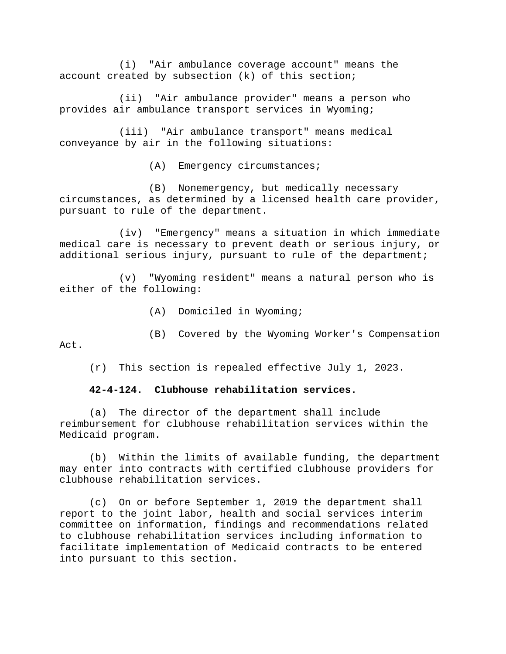(i) "Air ambulance coverage account" means the account created by subsection (k) of this section;

(ii) "Air ambulance provider" means a person who provides air ambulance transport services in Wyoming;

(iii) "Air ambulance transport" means medical conveyance by air in the following situations:

(A) Emergency circumstances;

(B) Nonemergency, but medically necessary circumstances, as determined by a licensed health care provider, pursuant to rule of the department.

(iv) "Emergency" means a situation in which immediate medical care is necessary to prevent death or serious injury, or additional serious injury, pursuant to rule of the department;

(v) "Wyoming resident" means a natural person who is either of the following:

- (A) Domiciled in Wyoming;
- (B) Covered by the Wyoming Worker's Compensation

Act.

(r) This section is repealed effective July 1, 2023.

### **42-4-124. Clubhouse rehabilitation services.**

(a) The director of the department shall include reimbursement for clubhouse rehabilitation services within the Medicaid program.

(b) Within the limits of available funding, the department may enter into contracts with certified clubhouse providers for clubhouse rehabilitation services.

(c) On or before September 1, 2019 the department shall report to the joint labor, health and social services interim committee on information, findings and recommendations related to clubhouse rehabilitation services including information to facilitate implementation of Medicaid contracts to be entered into pursuant to this section.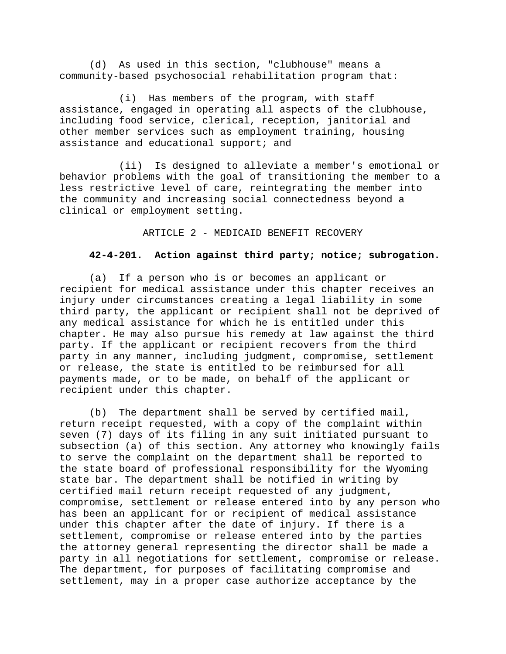(d) As used in this section, "clubhouse" means a community-based psychosocial rehabilitation program that:

(i) Has members of the program, with staff assistance, engaged in operating all aspects of the clubhouse, including food service, clerical, reception, janitorial and other member services such as employment training, housing assistance and educational support; and

(ii) Is designed to alleviate a member's emotional or behavior problems with the goal of transitioning the member to a less restrictive level of care, reintegrating the member into the community and increasing social connectedness beyond a clinical or employment setting.

ARTICLE 2 - MEDICAID BENEFIT RECOVERY

### **42-4-201. Action against third party; notice; subrogation.**

(a) If a person who is or becomes an applicant or recipient for medical assistance under this chapter receives an injury under circumstances creating a legal liability in some third party, the applicant or recipient shall not be deprived of any medical assistance for which he is entitled under this chapter. He may also pursue his remedy at law against the third party. If the applicant or recipient recovers from the third party in any manner, including judgment, compromise, settlement or release, the state is entitled to be reimbursed for all payments made, or to be made, on behalf of the applicant or recipient under this chapter.

(b) The department shall be served by certified mail, return receipt requested, with a copy of the complaint within seven (7) days of its filing in any suit initiated pursuant to subsection (a) of this section. Any attorney who knowingly fails to serve the complaint on the department shall be reported to the state board of professional responsibility for the Wyoming state bar. The department shall be notified in writing by certified mail return receipt requested of any judgment, compromise, settlement or release entered into by any person who has been an applicant for or recipient of medical assistance under this chapter after the date of injury. If there is a settlement, compromise or release entered into by the parties the attorney general representing the director shall be made a party in all negotiations for settlement, compromise or release. The department, for purposes of facilitating compromise and settlement, may in a proper case authorize acceptance by the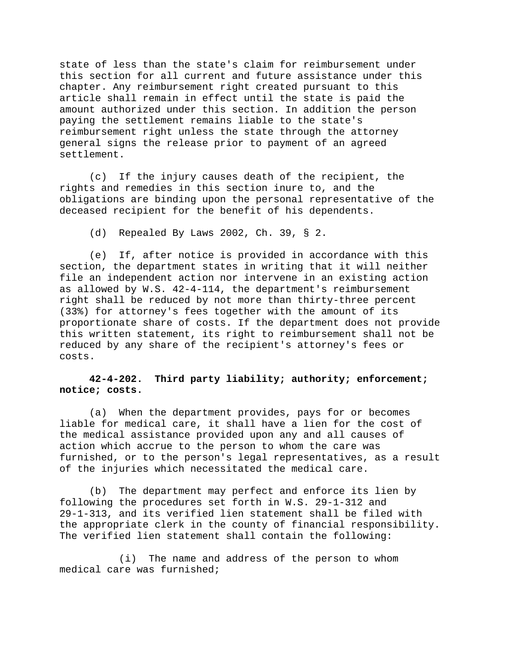state of less than the state's claim for reimbursement under this section for all current and future assistance under this chapter. Any reimbursement right created pursuant to this article shall remain in effect until the state is paid the amount authorized under this section. In addition the person paying the settlement remains liable to the state's reimbursement right unless the state through the attorney general signs the release prior to payment of an agreed settlement.

(c) If the injury causes death of the recipient, the rights and remedies in this section inure to, and the obligations are binding upon the personal representative of the deceased recipient for the benefit of his dependents.

(d) Repealed By Laws 2002, Ch. 39, § 2.

(e) If, after notice is provided in accordance with this section, the department states in writing that it will neither file an independent action nor intervene in an existing action as allowed by W.S. 42-4-114, the department's reimbursement right shall be reduced by not more than thirty-three percent (33%) for attorney's fees together with the amount of its proportionate share of costs. If the department does not provide this written statement, its right to reimbursement shall not be reduced by any share of the recipient's attorney's fees or costs.

## **42-4-202. Third party liability; authority; enforcement; notice; costs.**

(a) When the department provides, pays for or becomes liable for medical care, it shall have a lien for the cost of the medical assistance provided upon any and all causes of action which accrue to the person to whom the care was furnished, or to the person's legal representatives, as a result of the injuries which necessitated the medical care.

(b) The department may perfect and enforce its lien by following the procedures set forth in W.S. 29-1-312 and 29-1-313, and its verified lien statement shall be filed with the appropriate clerk in the county of financial responsibility. The verified lien statement shall contain the following:

(i) The name and address of the person to whom medical care was furnished;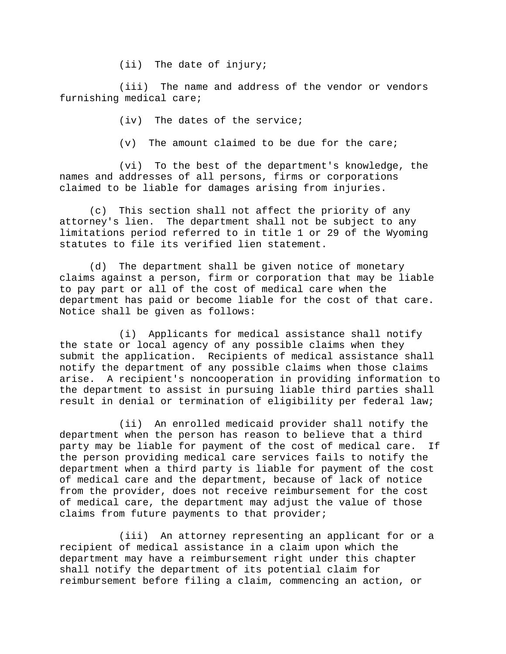(ii) The date of injury;

(iii) The name and address of the vendor or vendors furnishing medical care;

(iv) The dates of the service;

(v) The amount claimed to be due for the care;

(vi) To the best of the department's knowledge, the names and addresses of all persons, firms or corporations claimed to be liable for damages arising from injuries.

(c) This section shall not affect the priority of any attorney's lien. The department shall not be subject to any limitations period referred to in title 1 or 29 of the Wyoming statutes to file its verified lien statement.

(d) The department shall be given notice of monetary claims against a person, firm or corporation that may be liable to pay part or all of the cost of medical care when the department has paid or become liable for the cost of that care. Notice shall be given as follows:

(i) Applicants for medical assistance shall notify the state or local agency of any possible claims when they submit the application. Recipients of medical assistance shall notify the department of any possible claims when those claims arise. A recipient's noncooperation in providing information to the department to assist in pursuing liable third parties shall result in denial or termination of eligibility per federal law;

(ii) An enrolled medicaid provider shall notify the department when the person has reason to believe that a third party may be liable for payment of the cost of medical care. If the person providing medical care services fails to notify the department when a third party is liable for payment of the cost of medical care and the department, because of lack of notice from the provider, does not receive reimbursement for the cost of medical care, the department may adjust the value of those claims from future payments to that provider;

(iii) An attorney representing an applicant for or a recipient of medical assistance in a claim upon which the department may have a reimbursement right under this chapter shall notify the department of its potential claim for reimbursement before filing a claim, commencing an action, or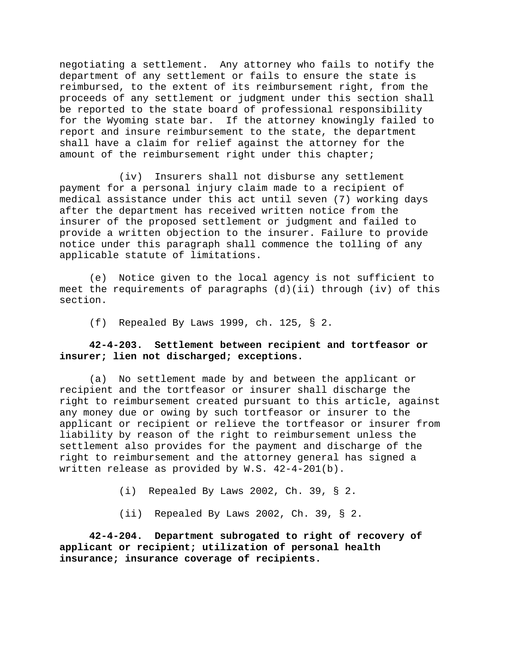negotiating a settlement. Any attorney who fails to notify the department of any settlement or fails to ensure the state is reimbursed, to the extent of its reimbursement right, from the proceeds of any settlement or judgment under this section shall be reported to the state board of professional responsibility for the Wyoming state bar. If the attorney knowingly failed to report and insure reimbursement to the state, the department shall have a claim for relief against the attorney for the amount of the reimbursement right under this chapter;

(iv) Insurers shall not disburse any settlement payment for a personal injury claim made to a recipient of medical assistance under this act until seven (7) working days after the department has received written notice from the insurer of the proposed settlement or judgment and failed to provide a written objection to the insurer. Failure to provide notice under this paragraph shall commence the tolling of any applicable statute of limitations.

(e) Notice given to the local agency is not sufficient to meet the requirements of paragraphs (d)(ii) through (iv) of this section.

(f) Repealed By Laws 1999, ch. 125, § 2.

# **42-4-203. Settlement between recipient and tortfeasor or insurer; lien not discharged; exceptions.**

(a) No settlement made by and between the applicant or recipient and the tortfeasor or insurer shall discharge the right to reimbursement created pursuant to this article, against any money due or owing by such tortfeasor or insurer to the applicant or recipient or relieve the tortfeasor or insurer from liability by reason of the right to reimbursement unless the settlement also provides for the payment and discharge of the right to reimbursement and the attorney general has signed a written release as provided by W.S. 42-4-201(b).

(i) Repealed By Laws 2002, Ch. 39, § 2.

(ii) Repealed By Laws 2002, Ch. 39, § 2.

**42-4-204. Department subrogated to right of recovery of applicant or recipient; utilization of personal health insurance; insurance coverage of recipients.**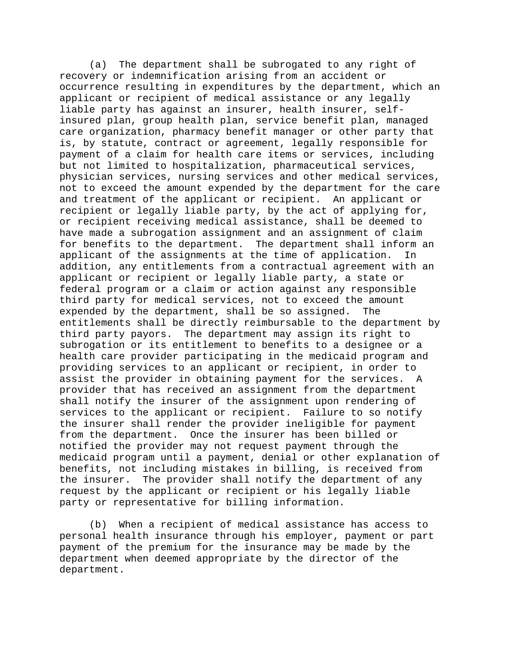(a) The department shall be subrogated to any right of recovery or indemnification arising from an accident or occurrence resulting in expenditures by the department, which an applicant or recipient of medical assistance or any legally liable party has against an insurer, health insurer, selfinsured plan, group health plan, service benefit plan, managed care organization, pharmacy benefit manager or other party that is, by statute, contract or agreement, legally responsible for payment of a claim for health care items or services, including but not limited to hospitalization, pharmaceutical services, physician services, nursing services and other medical services, not to exceed the amount expended by the department for the care and treatment of the applicant or recipient. An applicant or recipient or legally liable party, by the act of applying for, or recipient receiving medical assistance, shall be deemed to have made a subrogation assignment and an assignment of claim for benefits to the department. The department shall inform an applicant of the assignments at the time of application. In addition, any entitlements from a contractual agreement with an applicant or recipient or legally liable party, a state or federal program or a claim or action against any responsible third party for medical services, not to exceed the amount expended by the department, shall be so assigned. The entitlements shall be directly reimbursable to the department by third party payors. The department may assign its right to subrogation or its entitlement to benefits to a designee or a health care provider participating in the medicaid program and providing services to an applicant or recipient, in order to assist the provider in obtaining payment for the services. A provider that has received an assignment from the department shall notify the insurer of the assignment upon rendering of services to the applicant or recipient. Failure to so notify the insurer shall render the provider ineligible for payment from the department. Once the insurer has been billed or notified the provider may not request payment through the medicaid program until a payment, denial or other explanation of benefits, not including mistakes in billing, is received from the insurer. The provider shall notify the department of any request by the applicant or recipient or his legally liable party or representative for billing information.

(b) When a recipient of medical assistance has access to personal health insurance through his employer, payment or part payment of the premium for the insurance may be made by the department when deemed appropriate by the director of the department.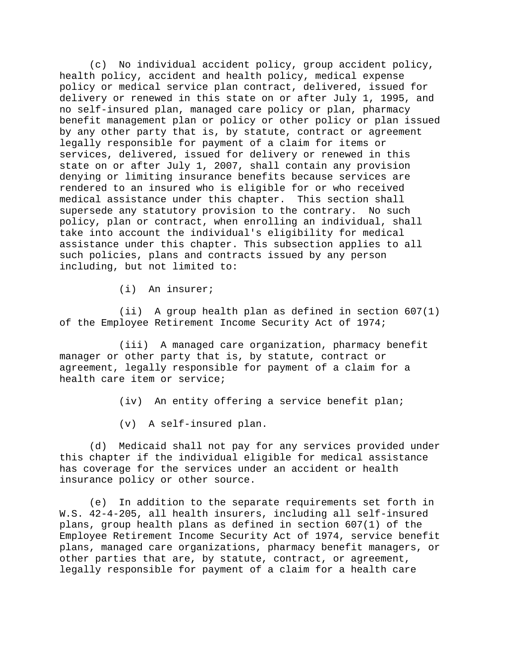(c) No individual accident policy, group accident policy, health policy, accident and health policy, medical expense policy or medical service plan contract, delivered, issued for delivery or renewed in this state on or after July 1, 1995, and no self-insured plan, managed care policy or plan, pharmacy benefit management plan or policy or other policy or plan issued by any other party that is, by statute, contract or agreement legally responsible for payment of a claim for items or services, delivered, issued for delivery or renewed in this state on or after July 1, 2007, shall contain any provision denying or limiting insurance benefits because services are rendered to an insured who is eligible for or who received medical assistance under this chapter. This section shall supersede any statutory provision to the contrary. No such policy, plan or contract, when enrolling an individual, shall take into account the individual's eligibility for medical assistance under this chapter. This subsection applies to all such policies, plans and contracts issued by any person including, but not limited to:

(i) An insurer;

(ii) A group health plan as defined in section 607(1) of the Employee Retirement Income Security Act of 1974;

(iii) A managed care organization, pharmacy benefit manager or other party that is, by statute, contract or agreement, legally responsible for payment of a claim for a health care item or service;

- (iv) An entity offering a service benefit plan;
- (v) A self-insured plan.

(d) Medicaid shall not pay for any services provided under this chapter if the individual eligible for medical assistance has coverage for the services under an accident or health insurance policy or other source.

(e) In addition to the separate requirements set forth in W.S. 42-4-205, all health insurers, including all self-insured plans, group health plans as defined in section 607(1) of the Employee Retirement Income Security Act of 1974, service benefit plans, managed care organizations, pharmacy benefit managers, or other parties that are, by statute, contract, or agreement, legally responsible for payment of a claim for a health care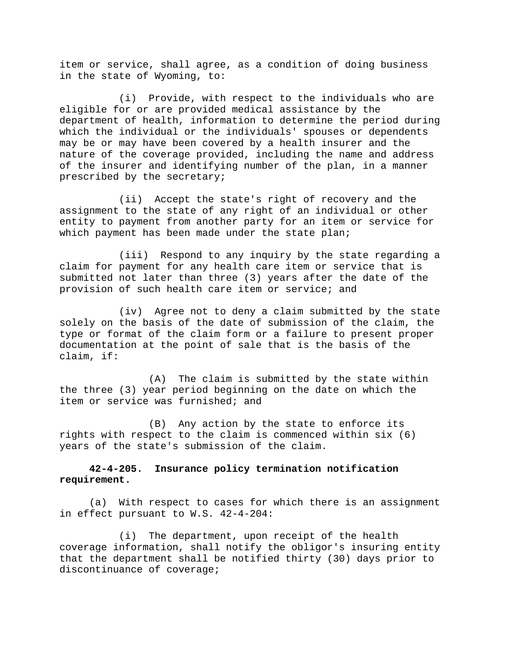item or service, shall agree, as a condition of doing business in the state of Wyoming, to:

(i) Provide, with respect to the individuals who are eligible for or are provided medical assistance by the department of health, information to determine the period during which the individual or the individuals' spouses or dependents may be or may have been covered by a health insurer and the nature of the coverage provided, including the name and address of the insurer and identifying number of the plan, in a manner prescribed by the secretary;

(ii) Accept the state's right of recovery and the assignment to the state of any right of an individual or other entity to payment from another party for an item or service for which payment has been made under the state plan;

(iii) Respond to any inquiry by the state regarding a claim for payment for any health care item or service that is submitted not later than three (3) years after the date of the provision of such health care item or service; and

(iv) Agree not to deny a claim submitted by the state solely on the basis of the date of submission of the claim, the type or format of the claim form or a failure to present proper documentation at the point of sale that is the basis of the claim, if:

(A) The claim is submitted by the state within the three (3) year period beginning on the date on which the item or service was furnished; and

(B) Any action by the state to enforce its rights with respect to the claim is commenced within six (6) years of the state's submission of the claim.

# **42-4-205. Insurance policy termination notification requirement.**

(a) With respect to cases for which there is an assignment in effect pursuant to W.S. 42-4-204:

(i) The department, upon receipt of the health coverage information, shall notify the obligor's insuring entity that the department shall be notified thirty (30) days prior to discontinuance of coverage;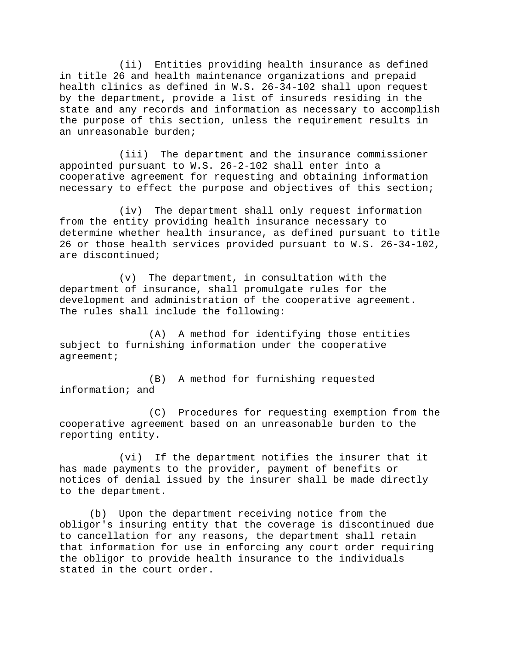(ii) Entities providing health insurance as defined in title 26 and health maintenance organizations and prepaid health clinics as defined in W.S. 26-34-102 shall upon request by the department, provide a list of insureds residing in the state and any records and information as necessary to accomplish the purpose of this section, unless the requirement results in an unreasonable burden;

(iii) The department and the insurance commissioner appointed pursuant to W.S. 26-2-102 shall enter into a cooperative agreement for requesting and obtaining information necessary to effect the purpose and objectives of this section;

(iv) The department shall only request information from the entity providing health insurance necessary to determine whether health insurance, as defined pursuant to title 26 or those health services provided pursuant to W.S. 26-34-102, are discontinued;

(v) The department, in consultation with the department of insurance, shall promulgate rules for the development and administration of the cooperative agreement. The rules shall include the following:

(A) A method for identifying those entities subject to furnishing information under the cooperative agreement;

(B) A method for furnishing requested information; and

(C) Procedures for requesting exemption from the cooperative agreement based on an unreasonable burden to the reporting entity.

(vi) If the department notifies the insurer that it has made payments to the provider, payment of benefits or notices of denial issued by the insurer shall be made directly to the department.

(b) Upon the department receiving notice from the obligor's insuring entity that the coverage is discontinued due to cancellation for any reasons, the department shall retain that information for use in enforcing any court order requiring the obligor to provide health insurance to the individuals stated in the court order.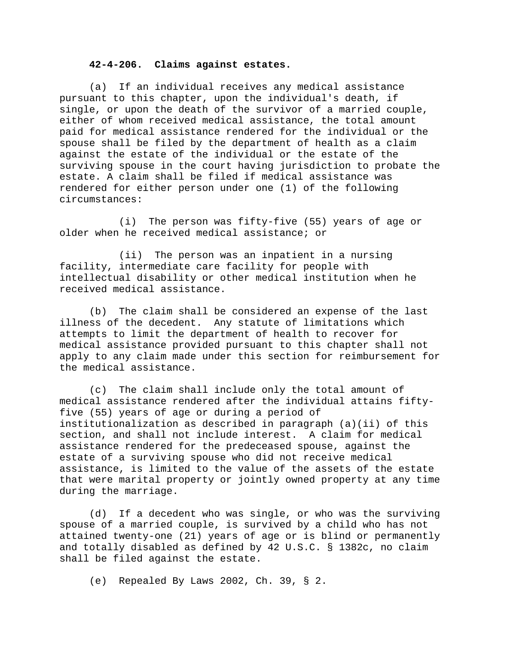#### **42-4-206. Claims against estates.**

(a) If an individual receives any medical assistance pursuant to this chapter, upon the individual's death, if single, or upon the death of the survivor of a married couple, either of whom received medical assistance, the total amount paid for medical assistance rendered for the individual or the spouse shall be filed by the department of health as a claim against the estate of the individual or the estate of the surviving spouse in the court having jurisdiction to probate the estate. A claim shall be filed if medical assistance was rendered for either person under one (1) of the following circumstances:

(i) The person was fifty-five (55) years of age or older when he received medical assistance; or

(ii) The person was an inpatient in a nursing facility, intermediate care facility for people with intellectual disability or other medical institution when he received medical assistance.

(b) The claim shall be considered an expense of the last illness of the decedent. Any statute of limitations which attempts to limit the department of health to recover for medical assistance provided pursuant to this chapter shall not apply to any claim made under this section for reimbursement for the medical assistance.

(c) The claim shall include only the total amount of medical assistance rendered after the individual attains fiftyfive (55) years of age or during a period of institutionalization as described in paragraph (a)(ii) of this section, and shall not include interest. A claim for medical assistance rendered for the predeceased spouse, against the estate of a surviving spouse who did not receive medical assistance, is limited to the value of the assets of the estate that were marital property or jointly owned property at any time during the marriage.

(d) If a decedent who was single, or who was the surviving spouse of a married couple, is survived by a child who has not attained twenty-one (21) years of age or is blind or permanently and totally disabled as defined by 42 U.S.C. § 1382c, no claim shall be filed against the estate.

(e) Repealed By Laws 2002, Ch. 39, § 2.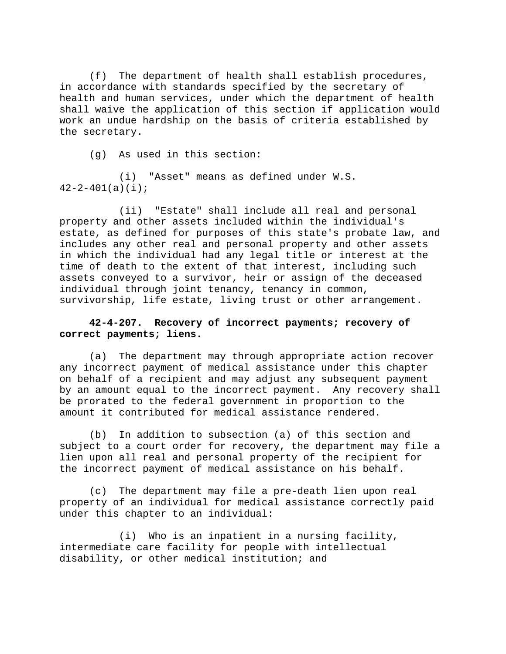(f) The department of health shall establish procedures, in accordance with standards specified by the secretary of health and human services, under which the department of health shall waive the application of this section if application would work an undue hardship on the basis of criteria established by the secretary.

(g) As used in this section:

(i) "Asset" means as defined under W.S.  $42 - 2 - 401(a)(i);$ 

(ii) "Estate" shall include all real and personal property and other assets included within the individual's estate, as defined for purposes of this state's probate law, and includes any other real and personal property and other assets in which the individual had any legal title or interest at the time of death to the extent of that interest, including such assets conveyed to a survivor, heir or assign of the deceased individual through joint tenancy, tenancy in common, survivorship, life estate, living trust or other arrangement.

# **42-4-207. Recovery of incorrect payments; recovery of correct payments; liens.**

(a) The department may through appropriate action recover any incorrect payment of medical assistance under this chapter on behalf of a recipient and may adjust any subsequent payment by an amount equal to the incorrect payment. Any recovery shall be prorated to the federal government in proportion to the amount it contributed for medical assistance rendered.

(b) In addition to subsection (a) of this section and subject to a court order for recovery, the department may file a lien upon all real and personal property of the recipient for the incorrect payment of medical assistance on his behalf.

(c) The department may file a pre-death lien upon real property of an individual for medical assistance correctly paid under this chapter to an individual:

(i) Who is an inpatient in a nursing facility, intermediate care facility for people with intellectual disability, or other medical institution; and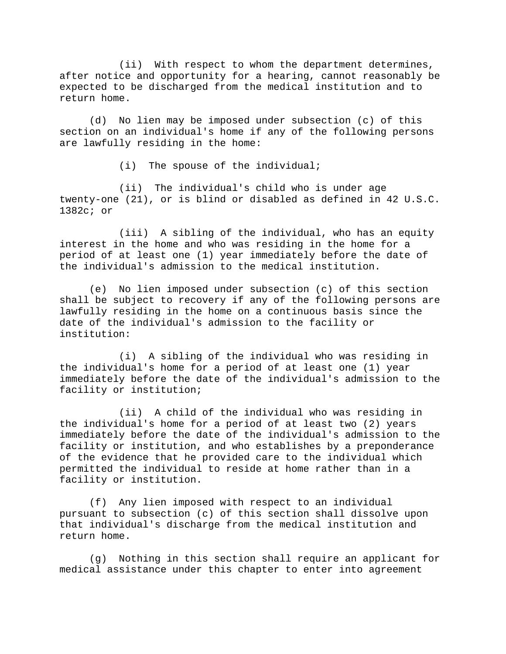(ii) With respect to whom the department determines, after notice and opportunity for a hearing, cannot reasonably be expected to be discharged from the medical institution and to return home.

(d) No lien may be imposed under subsection (c) of this section on an individual's home if any of the following persons are lawfully residing in the home:

(i) The spouse of the individual;

(ii) The individual's child who is under age twenty-one (21), or is blind or disabled as defined in 42 U.S.C. 1382c; or

(iii) A sibling of the individual, who has an equity interest in the home and who was residing in the home for a period of at least one (1) year immediately before the date of the individual's admission to the medical institution.

(e) No lien imposed under subsection (c) of this section shall be subject to recovery if any of the following persons are lawfully residing in the home on a continuous basis since the date of the individual's admission to the facility or institution:

(i) A sibling of the individual who was residing in the individual's home for a period of at least one (1) year immediately before the date of the individual's admission to the facility or institution;

(ii) A child of the individual who was residing in the individual's home for a period of at least two (2) years immediately before the date of the individual's admission to the facility or institution, and who establishes by a preponderance of the evidence that he provided care to the individual which permitted the individual to reside at home rather than in a facility or institution.

(f) Any lien imposed with respect to an individual pursuant to subsection (c) of this section shall dissolve upon that individual's discharge from the medical institution and return home.

(g) Nothing in this section shall require an applicant for medical assistance under this chapter to enter into agreement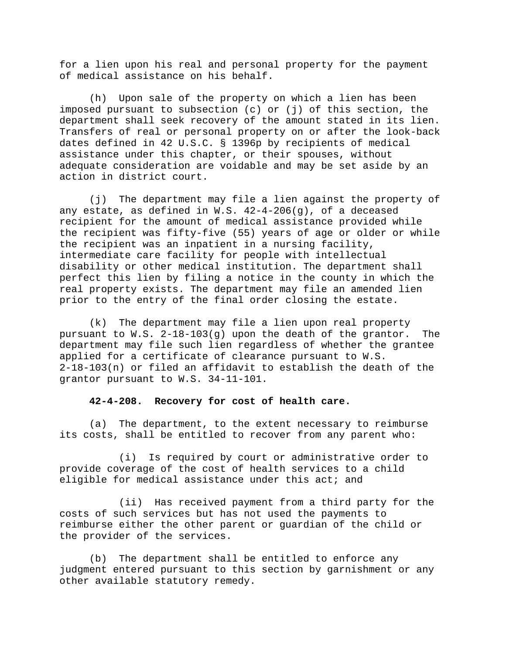for a lien upon his real and personal property for the payment of medical assistance on his behalf.

(h) Upon sale of the property on which a lien has been imposed pursuant to subsection (c) or (j) of this section, the department shall seek recovery of the amount stated in its lien. Transfers of real or personal property on or after the look-back dates defined in 42 U.S.C. § 1396p by recipients of medical assistance under this chapter, or their spouses, without adequate consideration are voidable and may be set aside by an action in district court.

(j) The department may file a lien against the property of any estate, as defined in W.S.  $42-4-206(q)$ , of a deceased recipient for the amount of medical assistance provided while the recipient was fifty-five (55) years of age or older or while the recipient was an inpatient in a nursing facility, intermediate care facility for people with intellectual disability or other medical institution. The department shall perfect this lien by filing a notice in the county in which the real property exists. The department may file an amended lien prior to the entry of the final order closing the estate.

(k) The department may file a lien upon real property pursuant to W.S. 2-18-103(g) upon the death of the grantor. The department may file such lien regardless of whether the grantee applied for a certificate of clearance pursuant to W.S. 2-18-103(n) or filed an affidavit to establish the death of the grantor pursuant to W.S. 34-11-101.

#### **42-4-208. Recovery for cost of health care.**

(a) The department, to the extent necessary to reimburse its costs, shall be entitled to recover from any parent who:

(i) Is required by court or administrative order to provide coverage of the cost of health services to a child eligible for medical assistance under this act; and

(ii) Has received payment from a third party for the costs of such services but has not used the payments to reimburse either the other parent or guardian of the child or the provider of the services.

(b) The department shall be entitled to enforce any judgment entered pursuant to this section by garnishment or any other available statutory remedy.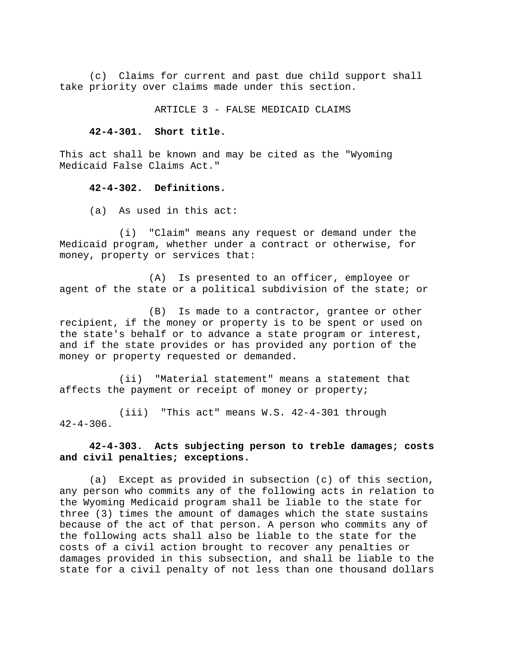(c) Claims for current and past due child support shall take priority over claims made under this section.

ARTICLE 3 - FALSE MEDICAID CLAIMS

#### **42-4-301. Short title.**

This act shall be known and may be cited as the "Wyoming Medicaid False Claims Act."

## **42-4-302. Definitions.**

(a) As used in this act:

(i) "Claim" means any request or demand under the Medicaid program, whether under a contract or otherwise, for money, property or services that:

(A) Is presented to an officer, employee or agent of the state or a political subdivision of the state; or

(B) Is made to a contractor, grantee or other recipient, if the money or property is to be spent or used on the state's behalf or to advance a state program or interest, and if the state provides or has provided any portion of the money or property requested or demanded.

(ii) "Material statement" means a statement that affects the payment or receipt of money or property;

(iii) "This act" means W.S. 42-4-301 through  $42 - 4 - 306$ .

# **42-4-303. Acts subjecting person to treble damages; costs and civil penalties; exceptions.**

(a) Except as provided in subsection (c) of this section, any person who commits any of the following acts in relation to the Wyoming Medicaid program shall be liable to the state for three (3) times the amount of damages which the state sustains because of the act of that person. A person who commits any of the following acts shall also be liable to the state for the costs of a civil action brought to recover any penalties or damages provided in this subsection, and shall be liable to the state for a civil penalty of not less than one thousand dollars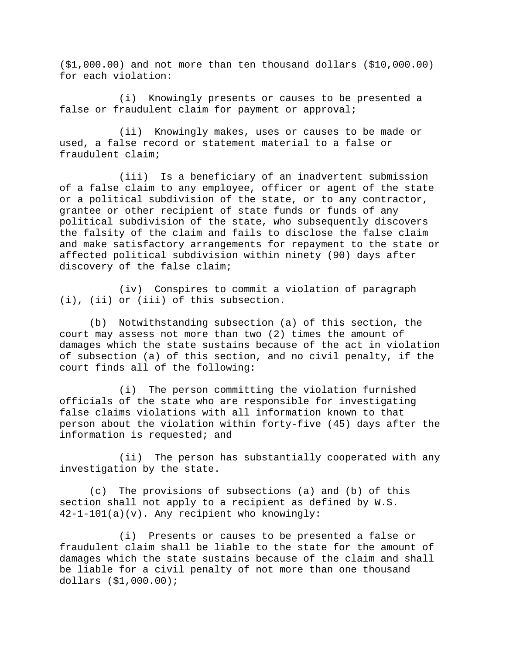(\$1,000.00) and not more than ten thousand dollars (\$10,000.00) for each violation:

(i) Knowingly presents or causes to be presented a false or fraudulent claim for payment or approval;

(ii) Knowingly makes, uses or causes to be made or used, a false record or statement material to a false or fraudulent claim;

(iii) Is a beneficiary of an inadvertent submission of a false claim to any employee, officer or agent of the state or a political subdivision of the state, or to any contractor, grantee or other recipient of state funds or funds of any political subdivision of the state, who subsequently discovers the falsity of the claim and fails to disclose the false claim and make satisfactory arrangements for repayment to the state or affected political subdivision within ninety (90) days after discovery of the false claim;

(iv) Conspires to commit a violation of paragraph (i), (ii) or (iii) of this subsection.

(b) Notwithstanding subsection (a) of this section, the court may assess not more than two (2) times the amount of damages which the state sustains because of the act in violation of subsection (a) of this section, and no civil penalty, if the court finds all of the following:

(i) The person committing the violation furnished officials of the state who are responsible for investigating false claims violations with all information known to that person about the violation within forty-five (45) days after the information is requested; and

(ii) The person has substantially cooperated with any investigation by the state.

(c) The provisions of subsections (a) and (b) of this section shall not apply to a recipient as defined by W.S. 42-1-101(a)(v). Any recipient who knowingly:

(i) Presents or causes to be presented a false or fraudulent claim shall be liable to the state for the amount of damages which the state sustains because of the claim and shall be liable for a civil penalty of not more than one thousand dollars (\$1,000.00);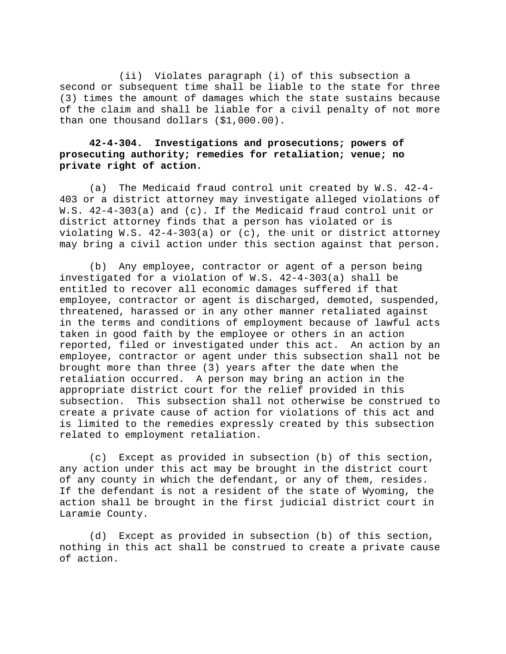(ii) Violates paragraph (i) of this subsection a second or subsequent time shall be liable to the state for three (3) times the amount of damages which the state sustains because of the claim and shall be liable for a civil penalty of not more than one thousand dollars (\$1,000.00).

# **42-4-304. Investigations and prosecutions; powers of prosecuting authority; remedies for retaliation; venue; no private right of action.**

(a) The Medicaid fraud control unit created by W.S. 42-4- 403 or a district attorney may investigate alleged violations of W.S. 42-4-303(a) and (c). If the Medicaid fraud control unit or district attorney finds that a person has violated or is violating W.S. 42-4-303(a) or (c), the unit or district attorney may bring a civil action under this section against that person.

(b) Any employee, contractor or agent of a person being investigated for a violation of W.S. 42-4-303(a) shall be entitled to recover all economic damages suffered if that employee, contractor or agent is discharged, demoted, suspended, threatened, harassed or in any other manner retaliated against in the terms and conditions of employment because of lawful acts taken in good faith by the employee or others in an action reported, filed or investigated under this act. An action by an employee, contractor or agent under this subsection shall not be brought more than three (3) years after the date when the retaliation occurred. A person may bring an action in the appropriate district court for the relief provided in this subsection. This subsection shall not otherwise be construed to create a private cause of action for violations of this act and is limited to the remedies expressly created by this subsection related to employment retaliation.

(c) Except as provided in subsection (b) of this section, any action under this act may be brought in the district court of any county in which the defendant, or any of them, resides. If the defendant is not a resident of the state of Wyoming, the action shall be brought in the first judicial district court in Laramie County.

(d) Except as provided in subsection (b) of this section, nothing in this act shall be construed to create a private cause of action.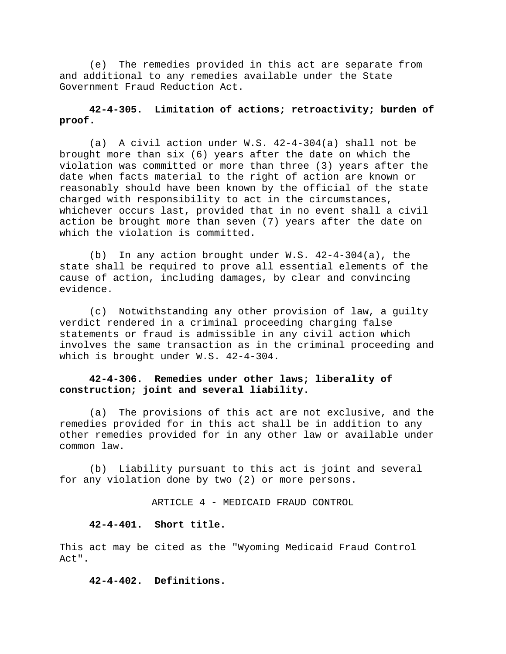(e) The remedies provided in this act are separate from and additional to any remedies available under the State Government Fraud Reduction Act.

# **42-4-305. Limitation of actions; retroactivity; burden of proof.**

(a) A civil action under W.S. 42-4-304(a) shall not be brought more than six (6) years after the date on which the violation was committed or more than three (3) years after the date when facts material to the right of action are known or reasonably should have been known by the official of the state charged with responsibility to act in the circumstances, whichever occurs last, provided that in no event shall a civil action be brought more than seven (7) years after the date on which the violation is committed.

(b) In any action brought under W.S. 42-4-304(a), the state shall be required to prove all essential elements of the cause of action, including damages, by clear and convincing evidence.

(c) Notwithstanding any other provision of law, a guilty verdict rendered in a criminal proceeding charging false statements or fraud is admissible in any civil action which involves the same transaction as in the criminal proceeding and which is brought under W.S. 42-4-304.

# **42-4-306. Remedies under other laws; liberality of construction; joint and several liability.**

(a) The provisions of this act are not exclusive, and the remedies provided for in this act shall be in addition to any other remedies provided for in any other law or available under common law.

(b) Liability pursuant to this act is joint and several for any violation done by two (2) or more persons.

ARTICLE 4 - MEDICAID FRAUD CONTROL

## **42-4-401. Short title.**

This act may be cited as the "Wyoming Medicaid Fraud Control Act".

**42-4-402. Definitions.**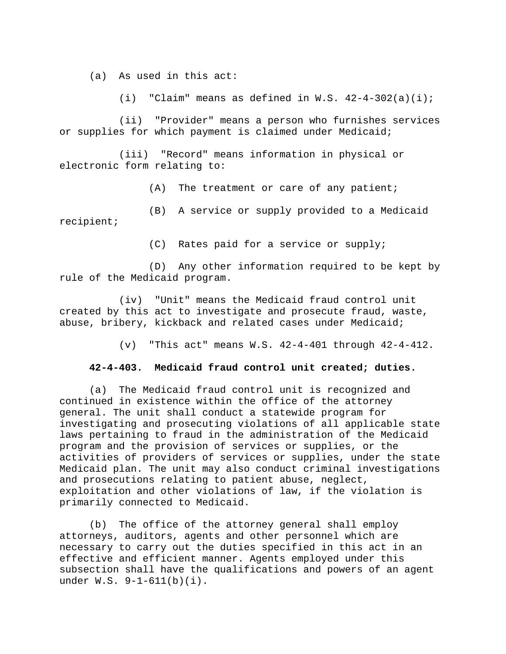(a) As used in this act:

(i) "Claim" means as defined in W.S.  $42-4-302(a)(i)$ ;

(ii) "Provider" means a person who furnishes services or supplies for which payment is claimed under Medicaid;

(iii) "Record" means information in physical or electronic form relating to:

(A) The treatment or care of any patient;

(B) A service or supply provided to a Medicaid recipient;

(C) Rates paid for a service or supply;

(D) Any other information required to be kept by rule of the Medicaid program.

(iv) "Unit" means the Medicaid fraud control unit created by this act to investigate and prosecute fraud, waste, abuse, bribery, kickback and related cases under Medicaid;

(v) "This act" means W.S. 42-4-401 through 42-4-412.

## **42-4-403. Medicaid fraud control unit created; duties.**

(a) The Medicaid fraud control unit is recognized and continued in existence within the office of the attorney general. The unit shall conduct a statewide program for investigating and prosecuting violations of all applicable state laws pertaining to fraud in the administration of the Medicaid program and the provision of services or supplies, or the activities of providers of services or supplies, under the state Medicaid plan. The unit may also conduct criminal investigations and prosecutions relating to patient abuse, neglect, exploitation and other violations of law, if the violation is primarily connected to Medicaid.

(b) The office of the attorney general shall employ attorneys, auditors, agents and other personnel which are necessary to carry out the duties specified in this act in an effective and efficient manner. Agents employed under this subsection shall have the qualifications and powers of an agent under W.S. 9-1-611(b)(i).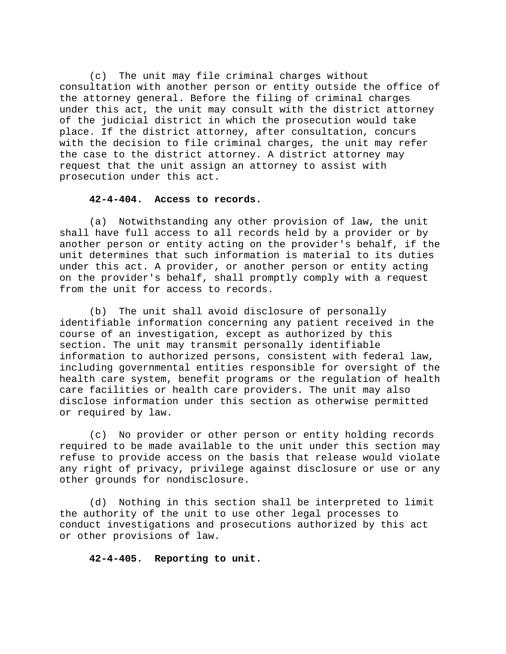(c) The unit may file criminal charges without consultation with another person or entity outside the office of the attorney general. Before the filing of criminal charges under this act, the unit may consult with the district attorney of the judicial district in which the prosecution would take place. If the district attorney, after consultation, concurs with the decision to file criminal charges, the unit may refer the case to the district attorney. A district attorney may request that the unit assign an attorney to assist with prosecution under this act.

## **42-4-404. Access to records.**

(a) Notwithstanding any other provision of law, the unit shall have full access to all records held by a provider or by another person or entity acting on the provider's behalf, if the unit determines that such information is material to its duties under this act. A provider, or another person or entity acting on the provider's behalf, shall promptly comply with a request from the unit for access to records.

(b) The unit shall avoid disclosure of personally identifiable information concerning any patient received in the course of an investigation, except as authorized by this section. The unit may transmit personally identifiable information to authorized persons, consistent with federal law, including governmental entities responsible for oversight of the health care system, benefit programs or the regulation of health care facilities or health care providers. The unit may also disclose information under this section as otherwise permitted or required by law.

(c) No provider or other person or entity holding records required to be made available to the unit under this section may refuse to provide access on the basis that release would violate any right of privacy, privilege against disclosure or use or any other grounds for nondisclosure.

(d) Nothing in this section shall be interpreted to limit the authority of the unit to use other legal processes to conduct investigations and prosecutions authorized by this act or other provisions of law.

# **42-4-405. Reporting to unit.**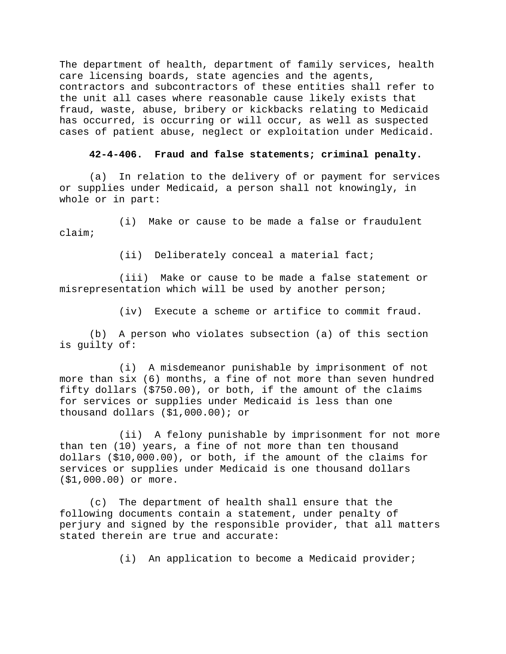The department of health, department of family services, health care licensing boards, state agencies and the agents, contractors and subcontractors of these entities shall refer to the unit all cases where reasonable cause likely exists that fraud, waste, abuse, bribery or kickbacks relating to Medicaid has occurred, is occurring or will occur, as well as suspected cases of patient abuse, neglect or exploitation under Medicaid.

#### **42-4-406. Fraud and false statements; criminal penalty.**

(a) In relation to the delivery of or payment for services or supplies under Medicaid, a person shall not knowingly, in whole or in part:

(i) Make or cause to be made a false or fraudulent claim;

(ii) Deliberately conceal a material fact;

(iii) Make or cause to be made a false statement or misrepresentation which will be used by another person;

(iv) Execute a scheme or artifice to commit fraud.

(b) A person who violates subsection (a) of this section is guilty of:

(i) A misdemeanor punishable by imprisonment of not more than six (6) months, a fine of not more than seven hundred fifty dollars (\$750.00), or both, if the amount of the claims for services or supplies under Medicaid is less than one thousand dollars (\$1,000.00); or

(ii) A felony punishable by imprisonment for not more than ten (10) years, a fine of not more than ten thousand dollars (\$10,000.00), or both, if the amount of the claims for services or supplies under Medicaid is one thousand dollars (\$1,000.00) or more.

(c) The department of health shall ensure that the following documents contain a statement, under penalty of perjury and signed by the responsible provider, that all matters stated therein are true and accurate:

(i) An application to become a Medicaid provider;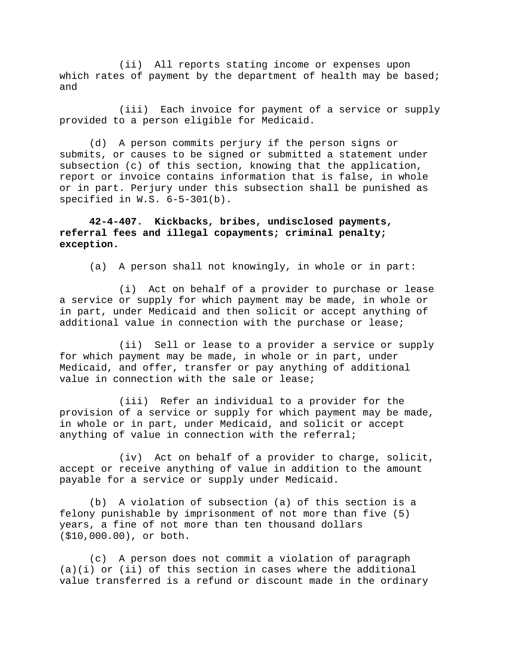(ii) All reports stating income or expenses upon which rates of payment by the department of health may be based; and

(iii) Each invoice for payment of a service or supply provided to a person eligible for Medicaid.

(d) A person commits perjury if the person signs or submits, or causes to be signed or submitted a statement under subsection (c) of this section, knowing that the application, report or invoice contains information that is false, in whole or in part. Perjury under this subsection shall be punished as specified in W.S. 6-5-301(b).

**42-4-407. Kickbacks, bribes, undisclosed payments, referral fees and illegal copayments; criminal penalty; exception.** 

(a) A person shall not knowingly, in whole or in part:

(i) Act on behalf of a provider to purchase or lease a service or supply for which payment may be made, in whole or in part, under Medicaid and then solicit or accept anything of additional value in connection with the purchase or lease;

(ii) Sell or lease to a provider a service or supply for which payment may be made, in whole or in part, under Medicaid, and offer, transfer or pay anything of additional value in connection with the sale or lease;

(iii) Refer an individual to a provider for the provision of a service or supply for which payment may be made, in whole or in part, under Medicaid, and solicit or accept anything of value in connection with the referral;

(iv) Act on behalf of a provider to charge, solicit, accept or receive anything of value in addition to the amount payable for a service or supply under Medicaid.

(b) A violation of subsection (a) of this section is a felony punishable by imprisonment of not more than five (5) years, a fine of not more than ten thousand dollars (\$10,000.00), or both.

(c) A person does not commit a violation of paragraph  $(a)(i)$  or (ii) of this section in cases where the additional value transferred is a refund or discount made in the ordinary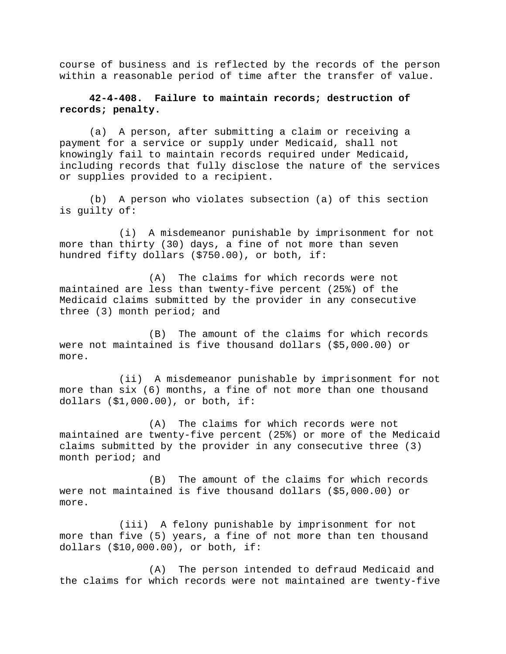course of business and is reflected by the records of the person within a reasonable period of time after the transfer of value.

## **42-4-408. Failure to maintain records; destruction of records; penalty.**

(a) A person, after submitting a claim or receiving a payment for a service or supply under Medicaid, shall not knowingly fail to maintain records required under Medicaid, including records that fully disclose the nature of the services or supplies provided to a recipient.

(b) A person who violates subsection (a) of this section is guilty of:

(i) A misdemeanor punishable by imprisonment for not more than thirty (30) days, a fine of not more than seven hundred fifty dollars (\$750.00), or both, if:

(A) The claims for which records were not maintained are less than twenty-five percent (25%) of the Medicaid claims submitted by the provider in any consecutive three (3) month period; and

(B) The amount of the claims for which records were not maintained is five thousand dollars (\$5,000.00) or more.

(ii) A misdemeanor punishable by imprisonment for not more than six (6) months, a fine of not more than one thousand dollars (\$1,000.00), or both, if:

(A) The claims for which records were not maintained are twenty-five percent (25%) or more of the Medicaid claims submitted by the provider in any consecutive three (3) month period; and

(B) The amount of the claims for which records were not maintained is five thousand dollars (\$5,000.00) or more.

(iii) A felony punishable by imprisonment for not more than five (5) years, a fine of not more than ten thousand dollars (\$10,000.00), or both, if:

(A) The person intended to defraud Medicaid and the claims for which records were not maintained are twenty-five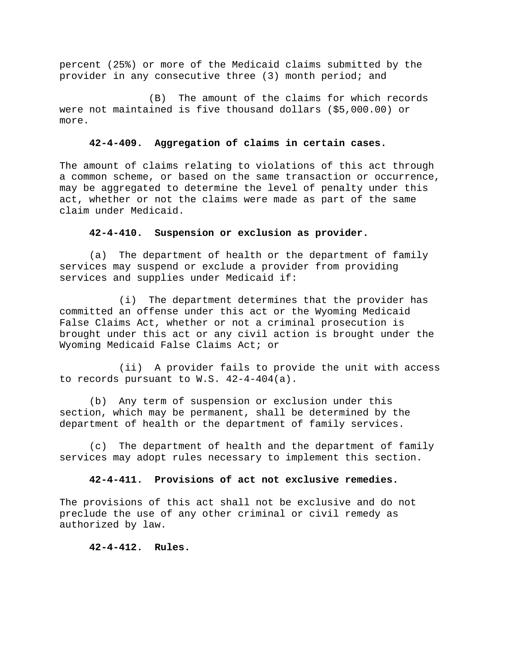percent (25%) or more of the Medicaid claims submitted by the provider in any consecutive three (3) month period; and

(B) The amount of the claims for which records were not maintained is five thousand dollars (\$5,000.00) or more.

## **42-4-409. Aggregation of claims in certain cases.**

The amount of claims relating to violations of this act through a common scheme, or based on the same transaction or occurrence, may be aggregated to determine the level of penalty under this act, whether or not the claims were made as part of the same claim under Medicaid.

### **42-4-410. Suspension or exclusion as provider.**

(a) The department of health or the department of family services may suspend or exclude a provider from providing services and supplies under Medicaid if:

(i) The department determines that the provider has committed an offense under this act or the Wyoming Medicaid False Claims Act, whether or not a criminal prosecution is brought under this act or any civil action is brought under the Wyoming Medicaid False Claims Act; or

(ii) A provider fails to provide the unit with access to records pursuant to W.S. 42-4-404(a).

(b) Any term of suspension or exclusion under this section, which may be permanent, shall be determined by the department of health or the department of family services.

(c) The department of health and the department of family services may adopt rules necessary to implement this section.

## **42-4-411. Provisions of act not exclusive remedies.**

The provisions of this act shall not be exclusive and do not preclude the use of any other criminal or civil remedy as authorized by law.

### **42-4-412. Rules.**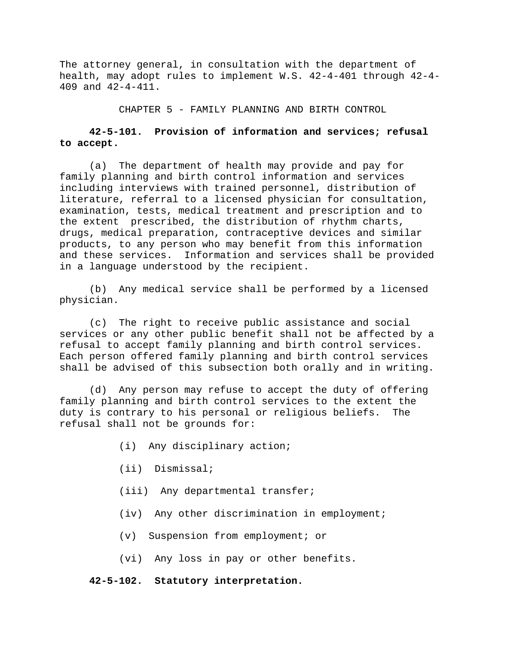The attorney general, in consultation with the department of health, may adopt rules to implement W.S. 42-4-401 through 42-4- 409 and 42-4-411.

CHAPTER 5 - FAMILY PLANNING AND BIRTH CONTROL

# **42-5-101. Provision of information and services; refusal to accept.**

(a) The department of health may provide and pay for family planning and birth control information and services including interviews with trained personnel, distribution of literature, referral to a licensed physician for consultation, examination, tests, medical treatment and prescription and to the extent prescribed, the distribution of rhythm charts, drugs, medical preparation, contraceptive devices and similar products, to any person who may benefit from this information and these services. Information and services shall be provided in a language understood by the recipient.

(b) Any medical service shall be performed by a licensed physician.

(c) The right to receive public assistance and social services or any other public benefit shall not be affected by a refusal to accept family planning and birth control services. Each person offered family planning and birth control services shall be advised of this subsection both orally and in writing.

(d) Any person may refuse to accept the duty of offering family planning and birth control services to the extent the duty is contrary to his personal or religious beliefs. The refusal shall not be grounds for:

- (i) Any disciplinary action;
- (ii) Dismissal;
- (iii) Any departmental transfer;
- (iv) Any other discrimination in employment;
- (v) Suspension from employment; or
- (vi) Any loss in pay or other benefits.

# **42-5-102. Statutory interpretation.**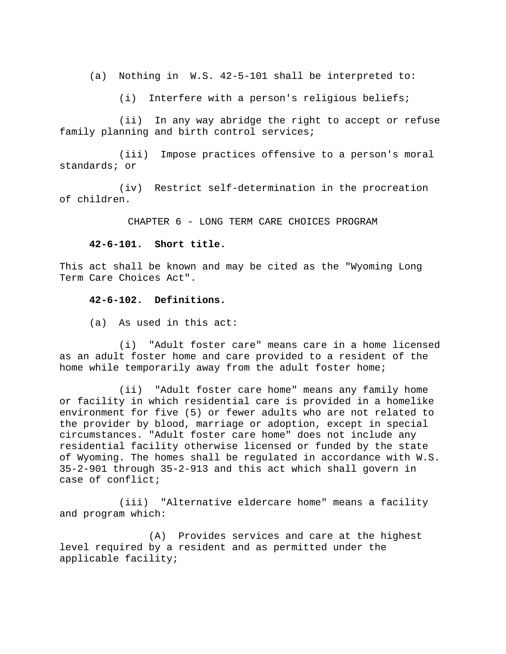(a) Nothing in W.S. 42-5-101 shall be interpreted to:

(i) Interfere with a person's religious beliefs;

(ii) In any way abridge the right to accept or refuse family planning and birth control services;

(iii) Impose practices offensive to a person's moral standards; or

(iv) Restrict self-determination in the procreation of children.

CHAPTER 6 - LONG TERM CARE CHOICES PROGRAM

#### **42-6-101. Short title.**

This act shall be known and may be cited as the "Wyoming Long Term Care Choices Act".

#### **42-6-102. Definitions.**

(a) As used in this act:

(i) "Adult foster care" means care in a home licensed as an adult foster home and care provided to a resident of the home while temporarily away from the adult foster home;

(ii) "Adult foster care home" means any family home or facility in which residential care is provided in a homelike environment for five (5) or fewer adults who are not related to the provider by blood, marriage or adoption, except in special circumstances. "Adult foster care home" does not include any residential facility otherwise licensed or funded by the state of Wyoming. The homes shall be regulated in accordance with W.S. 35-2-901 through 35-2-913 and this act which shall govern in case of conflict;

(iii) "Alternative eldercare home" means a facility and program which:

(A) Provides services and care at the highest level required by a resident and as permitted under the applicable facility;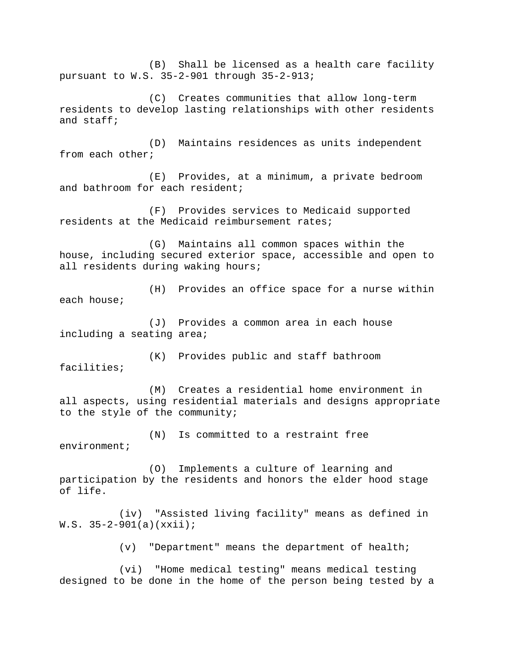(B) Shall be licensed as a health care facility pursuant to W.S. 35-2-901 through 35-2-913;

(C) Creates communities that allow long-term residents to develop lasting relationships with other residents and staff;

(D) Maintains residences as units independent from each other;

(E) Provides, at a minimum, a private bedroom and bathroom for each resident;

(F) Provides services to Medicaid supported residents at the Medicaid reimbursement rates;

(G) Maintains all common spaces within the house, including secured exterior space, accessible and open to all residents during waking hours;

(H) Provides an office space for a nurse within each house;

(J) Provides a common area in each house including a seating area;

(K) Provides public and staff bathroom facilities;

(M) Creates a residential home environment in all aspects, using residential materials and designs appropriate to the style of the community;

(N) Is committed to a restraint free environment;

(O) Implements a culture of learning and participation by the residents and honors the elder hood stage of life.

(iv) "Assisted living facility" means as defined in W.S.  $35-2-901(a)(xxii);$ 

(v) "Department" means the department of health;

(vi) "Home medical testing" means medical testing designed to be done in the home of the person being tested by a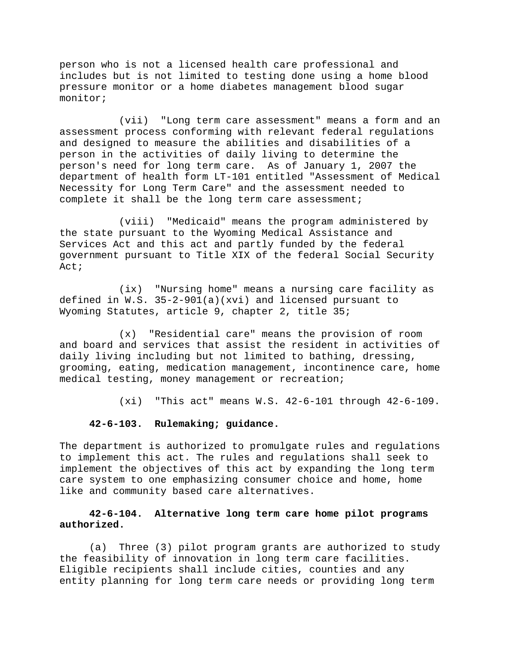person who is not a licensed health care professional and includes but is not limited to testing done using a home blood pressure monitor or a home diabetes management blood sugar monitor;

(vii) "Long term care assessment" means a form and an assessment process conforming with relevant federal regulations and designed to measure the abilities and disabilities of a person in the activities of daily living to determine the person's need for long term care. As of January 1, 2007 the department of health form LT-101 entitled "Assessment of Medical Necessity for Long Term Care" and the assessment needed to complete it shall be the long term care assessment;

(viii) "Medicaid" means the program administered by the state pursuant to the Wyoming Medical Assistance and Services Act and this act and partly funded by the federal government pursuant to Title XIX of the federal Social Security Act;

(ix) "Nursing home" means a nursing care facility as defined in W.S. 35-2-901(a)(xvi) and licensed pursuant to Wyoming Statutes, article 9, chapter 2, title 35;

(x) "Residential care" means the provision of room and board and services that assist the resident in activities of daily living including but not limited to bathing, dressing, grooming, eating, medication management, incontinence care, home medical testing, money management or recreation;

(xi) "This act" means W.S. 42-6-101 through 42-6-109.

### **42-6-103. Rulemaking; guidance.**

The department is authorized to promulgate rules and regulations to implement this act. The rules and regulations shall seek to implement the objectives of this act by expanding the long term care system to one emphasizing consumer choice and home, home like and community based care alternatives.

# **42-6-104. Alternative long term care home pilot programs authorized.**

(a) Three (3) pilot program grants are authorized to study the feasibility of innovation in long term care facilities. Eligible recipients shall include cities, counties and any entity planning for long term care needs or providing long term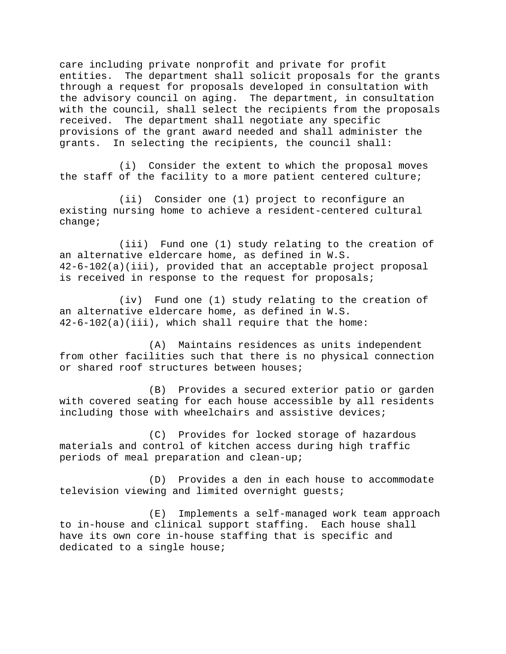care including private nonprofit and private for profit entities. The department shall solicit proposals for the grants through a request for proposals developed in consultation with the advisory council on aging. The department, in consultation with the council, shall select the recipients from the proposals received. The department shall negotiate any specific provisions of the grant award needed and shall administer the grants. In selecting the recipients, the council shall:

(i) Consider the extent to which the proposal moves the staff of the facility to a more patient centered culture;

(ii) Consider one (1) project to reconfigure an existing nursing home to achieve a resident-centered cultural change;

(iii) Fund one (1) study relating to the creation of an alternative eldercare home, as defined in W.S. 42-6-102(a)(iii), provided that an acceptable project proposal is received in response to the request for proposals;

(iv) Fund one (1) study relating to the creation of an alternative eldercare home, as defined in W.S. 42-6-102(a)(iii), which shall require that the home:

(A) Maintains residences as units independent from other facilities such that there is no physical connection or shared roof structures between houses;

(B) Provides a secured exterior patio or garden with covered seating for each house accessible by all residents including those with wheelchairs and assistive devices;

(C) Provides for locked storage of hazardous materials and control of kitchen access during high traffic periods of meal preparation and clean-up;

(D) Provides a den in each house to accommodate television viewing and limited overnight guests;

(E) Implements a self-managed work team approach to in-house and clinical support staffing. Each house shall have its own core in-house staffing that is specific and dedicated to a single house;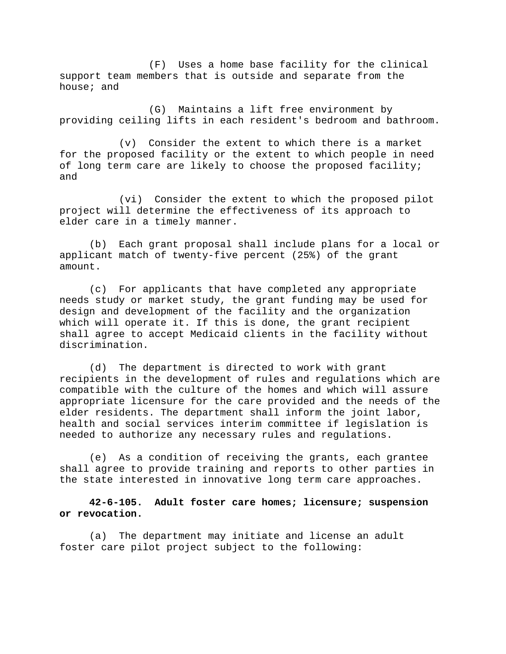(F) Uses a home base facility for the clinical support team members that is outside and separate from the house; and

(G) Maintains a lift free environment by providing ceiling lifts in each resident's bedroom and bathroom.

(v) Consider the extent to which there is a market for the proposed facility or the extent to which people in need of long term care are likely to choose the proposed facility; and

(vi) Consider the extent to which the proposed pilot project will determine the effectiveness of its approach to elder care in a timely manner.

(b) Each grant proposal shall include plans for a local or applicant match of twenty-five percent (25%) of the grant amount.

(c) For applicants that have completed any appropriate needs study or market study, the grant funding may be used for design and development of the facility and the organization which will operate it. If this is done, the grant recipient shall agree to accept Medicaid clients in the facility without discrimination.

(d) The department is directed to work with grant recipients in the development of rules and regulations which are compatible with the culture of the homes and which will assure appropriate licensure for the care provided and the needs of the elder residents. The department shall inform the joint labor, health and social services interim committee if legislation is needed to authorize any necessary rules and regulations.

(e) As a condition of receiving the grants, each grantee shall agree to provide training and reports to other parties in the state interested in innovative long term care approaches.

**42-6-105. Adult foster care homes; licensure; suspension or revocation.** 

(a) The department may initiate and license an adult foster care pilot project subject to the following: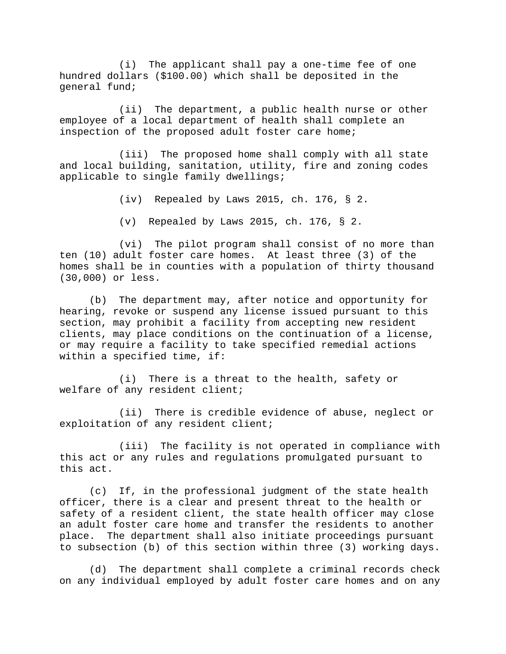(i) The applicant shall pay a one-time fee of one hundred dollars (\$100.00) which shall be deposited in the general fund;

(ii) The department, a public health nurse or other employee of a local department of health shall complete an inspection of the proposed adult foster care home;

(iii) The proposed home shall comply with all state and local building, sanitation, utility, fire and zoning codes applicable to single family dwellings;

(iv) Repealed by Laws 2015, ch. 176, § 2.

(v) Repealed by Laws 2015, ch. 176, § 2.

(vi) The pilot program shall consist of no more than ten (10) adult foster care homes. At least three (3) of the homes shall be in counties with a population of thirty thousand (30,000) or less.

(b) The department may, after notice and opportunity for hearing, revoke or suspend any license issued pursuant to this section, may prohibit a facility from accepting new resident clients, may place conditions on the continuation of a license, or may require a facility to take specified remedial actions within a specified time, if:

(i) There is a threat to the health, safety or welfare of any resident client;

(ii) There is credible evidence of abuse, neglect or exploitation of any resident client;

(iii) The facility is not operated in compliance with this act or any rules and regulations promulgated pursuant to this act.

(c) If, in the professional judgment of the state health officer, there is a clear and present threat to the health or safety of a resident client, the state health officer may close an adult foster care home and transfer the residents to another place. The department shall also initiate proceedings pursuant to subsection (b) of this section within three (3) working days.

(d) The department shall complete a criminal records check on any individual employed by adult foster care homes and on any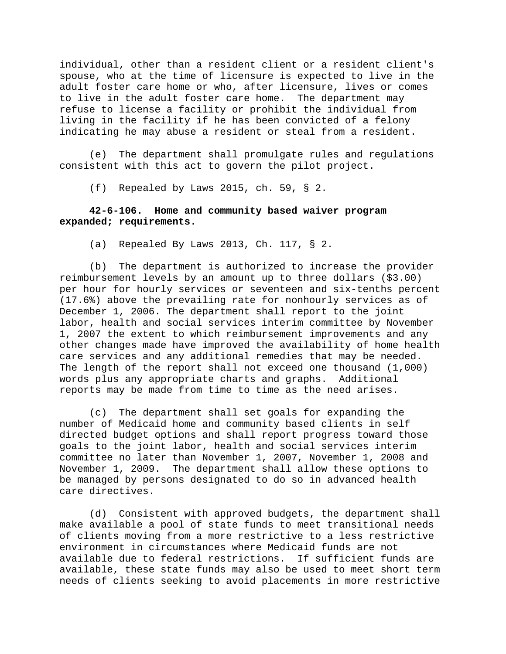individual, other than a resident client or a resident client's spouse, who at the time of licensure is expected to live in the adult foster care home or who, after licensure, lives or comes to live in the adult foster care home. The department may refuse to license a facility or prohibit the individual from living in the facility if he has been convicted of a felony indicating he may abuse a resident or steal from a resident.

(e) The department shall promulgate rules and regulations consistent with this act to govern the pilot project.

(f) Repealed by Laws 2015, ch. 59, § 2.

## **42-6-106. Home and community based waiver program expanded; requirements.**

(a) Repealed By Laws 2013, Ch. 117, § 2.

(b) The department is authorized to increase the provider reimbursement levels by an amount up to three dollars (\$3.00) per hour for hourly services or seventeen and six-tenths percent (17.6%) above the prevailing rate for nonhourly services as of December 1, 2006. The department shall report to the joint labor, health and social services interim committee by November 1, 2007 the extent to which reimbursement improvements and any other changes made have improved the availability of home health care services and any additional remedies that may be needed. The length of the report shall not exceed one thousand (1,000) words plus any appropriate charts and graphs. Additional reports may be made from time to time as the need arises.

(c) The department shall set goals for expanding the number of Medicaid home and community based clients in self directed budget options and shall report progress toward those goals to the joint labor, health and social services interim committee no later than November 1, 2007, November 1, 2008 and November 1, 2009. The department shall allow these options to be managed by persons designated to do so in advanced health care directives.

(d) Consistent with approved budgets, the department shall make available a pool of state funds to meet transitional needs of clients moving from a more restrictive to a less restrictive environment in circumstances where Medicaid funds are not available due to federal restrictions. If sufficient funds are available, these state funds may also be used to meet short term needs of clients seeking to avoid placements in more restrictive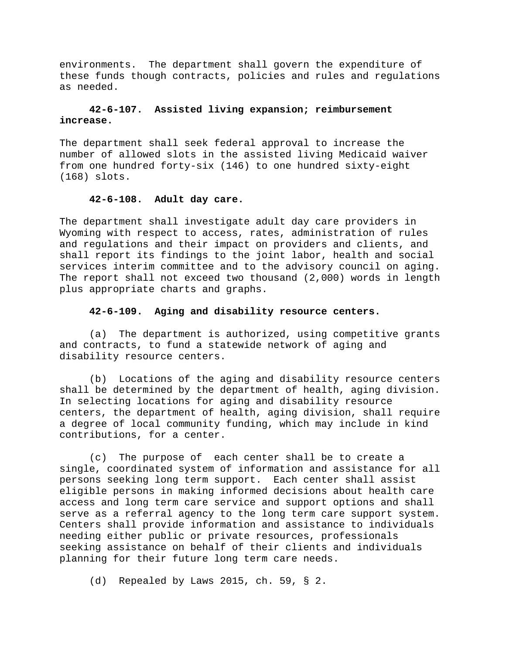environments. The department shall govern the expenditure of these funds though contracts, policies and rules and regulations as needed.

# **42-6-107. Assisted living expansion; reimbursement increase.**

The department shall seek federal approval to increase the number of allowed slots in the assisted living Medicaid waiver from one hundred forty-six (146) to one hundred sixty-eight (168) slots.

# **42-6-108. Adult day care.**

The department shall investigate adult day care providers in Wyoming with respect to access, rates, administration of rules and regulations and their impact on providers and clients, and shall report its findings to the joint labor, health and social services interim committee and to the advisory council on aging. The report shall not exceed two thousand (2,000) words in length plus appropriate charts and graphs.

### **42-6-109. Aging and disability resource centers.**

(a) The department is authorized, using competitive grants and contracts, to fund a statewide network of aging and disability resource centers.

(b) Locations of the aging and disability resource centers shall be determined by the department of health, aging division. In selecting locations for aging and disability resource centers, the department of health, aging division, shall require a degree of local community funding, which may include in kind contributions, for a center.

(c) The purpose of each center shall be to create a single, coordinated system of information and assistance for all persons seeking long term support. Each center shall assist eligible persons in making informed decisions about health care access and long term care service and support options and shall serve as a referral agency to the long term care support system. Centers shall provide information and assistance to individuals needing either public or private resources, professionals seeking assistance on behalf of their clients and individuals planning for their future long term care needs.

(d) Repealed by Laws 2015, ch. 59, § 2.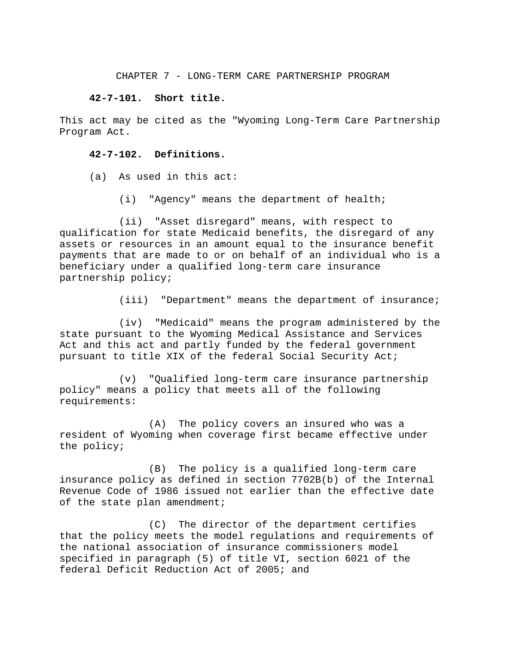#### CHAPTER 7 - LONG-TERM CARE PARTNERSHIP PROGRAM

#### **42-7-101. Short title.**

This act may be cited as the "Wyoming Long-Term Care Partnership Program Act.

## **42-7-102. Definitions.**

(a) As used in this act:

(i) "Agency" means the department of health;

(ii) "Asset disregard" means, with respect to qualification for state Medicaid benefits, the disregard of any assets or resources in an amount equal to the insurance benefit payments that are made to or on behalf of an individual who is a beneficiary under a qualified long-term care insurance partnership policy;

(iii) "Department" means the department of insurance;

(iv) "Medicaid" means the program administered by the state pursuant to the Wyoming Medical Assistance and Services Act and this act and partly funded by the federal government pursuant to title XIX of the federal Social Security Act;

(v) "Qualified long-term care insurance partnership policy" means a policy that meets all of the following requirements:

(A) The policy covers an insured who was a resident of Wyoming when coverage first became effective under the policy;

(B) The policy is a qualified long-term care insurance policy as defined in section 7702B(b) of the Internal Revenue Code of 1986 issued not earlier than the effective date of the state plan amendment;

(C) The director of the department certifies that the policy meets the model regulations and requirements of the national association of insurance commissioners model specified in paragraph (5) of title VI, section 6021 of the federal Deficit Reduction Act of 2005; and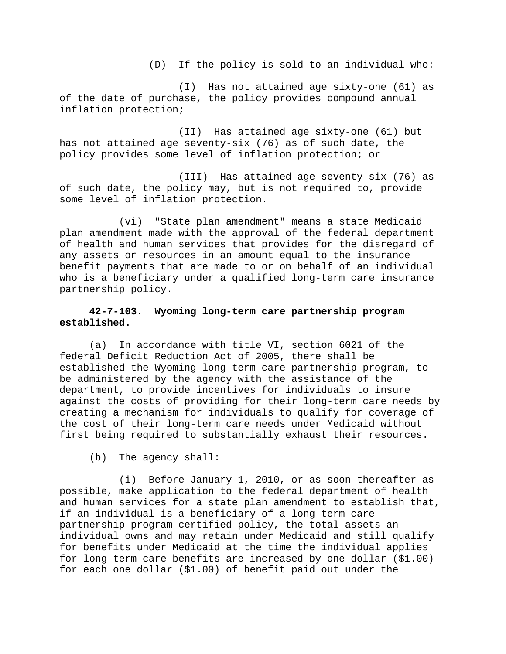(D) If the policy is sold to an individual who:

(I) Has not attained age sixty-one (61) as of the date of purchase, the policy provides compound annual inflation protection;

(II) Has attained age sixty-one (61) but has not attained age seventy-six (76) as of such date, the policy provides some level of inflation protection; or

(III) Has attained age seventy-six (76) as of such date, the policy may, but is not required to, provide some level of inflation protection.

(vi) "State plan amendment" means a state Medicaid plan amendment made with the approval of the federal department of health and human services that provides for the disregard of any assets or resources in an amount equal to the insurance benefit payments that are made to or on behalf of an individual who is a beneficiary under a qualified long-term care insurance partnership policy.

# **42-7-103. Wyoming long-term care partnership program established.**

(a) In accordance with title VI, section 6021 of the federal Deficit Reduction Act of 2005, there shall be established the Wyoming long-term care partnership program, to be administered by the agency with the assistance of the department, to provide incentives for individuals to insure against the costs of providing for their long-term care needs by creating a mechanism for individuals to qualify for coverage of the cost of their long-term care needs under Medicaid without first being required to substantially exhaust their resources.

(b) The agency shall:

(i) Before January 1, 2010, or as soon thereafter as possible, make application to the federal department of health and human services for a state plan amendment to establish that, if an individual is a beneficiary of a long-term care partnership program certified policy, the total assets an individual owns and may retain under Medicaid and still qualify for benefits under Medicaid at the time the individual applies for long-term care benefits are increased by one dollar (\$1.00) for each one dollar (\$1.00) of benefit paid out under the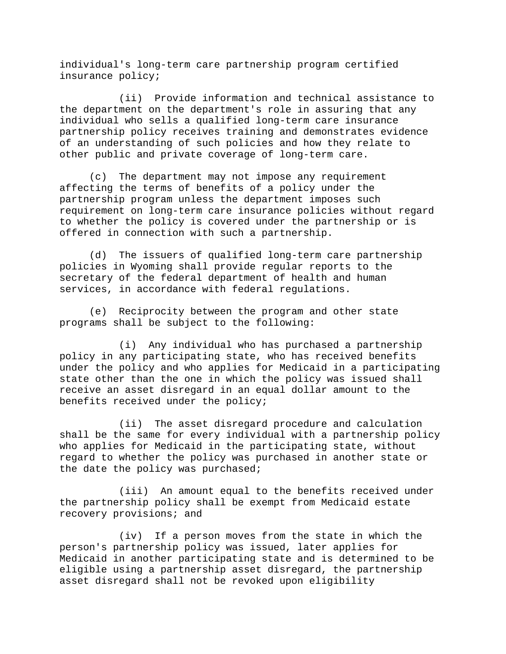individual's long-term care partnership program certified insurance policy;

(ii) Provide information and technical assistance to the department on the department's role in assuring that any individual who sells a qualified long-term care insurance partnership policy receives training and demonstrates evidence of an understanding of such policies and how they relate to other public and private coverage of long-term care.

(c) The department may not impose any requirement affecting the terms of benefits of a policy under the partnership program unless the department imposes such requirement on long-term care insurance policies without regard to whether the policy is covered under the partnership or is offered in connection with such a partnership.

(d) The issuers of qualified long-term care partnership policies in Wyoming shall provide regular reports to the secretary of the federal department of health and human services, in accordance with federal regulations.

(e) Reciprocity between the program and other state programs shall be subject to the following:

(i) Any individual who has purchased a partnership policy in any participating state, who has received benefits under the policy and who applies for Medicaid in a participating state other than the one in which the policy was issued shall receive an asset disregard in an equal dollar amount to the benefits received under the policy;

(ii) The asset disregard procedure and calculation shall be the same for every individual with a partnership policy who applies for Medicaid in the participating state, without regard to whether the policy was purchased in another state or the date the policy was purchased;

(iii) An amount equal to the benefits received under the partnership policy shall be exempt from Medicaid estate recovery provisions; and

(iv) If a person moves from the state in which the person's partnership policy was issued, later applies for Medicaid in another participating state and is determined to be eligible using a partnership asset disregard, the partnership asset disregard shall not be revoked upon eligibility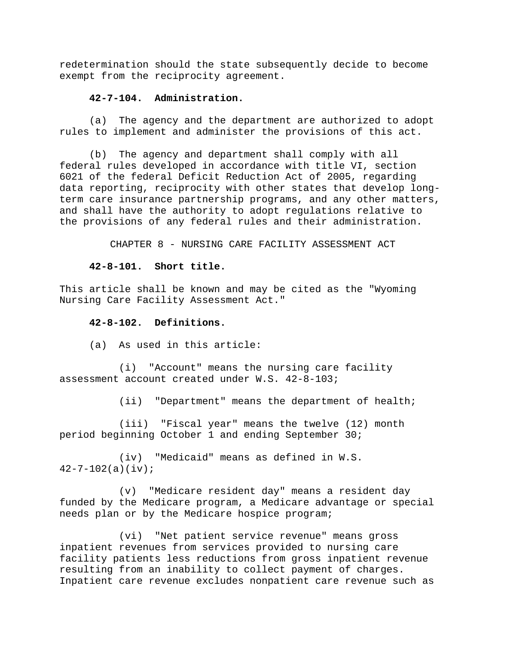redetermination should the state subsequently decide to become exempt from the reciprocity agreement.

#### **42-7-104. Administration.**

(a) The agency and the department are authorized to adopt rules to implement and administer the provisions of this act.

(b) The agency and department shall comply with all federal rules developed in accordance with title VI, section 6021 of the federal Deficit Reduction Act of 2005, regarding data reporting, reciprocity with other states that develop longterm care insurance partnership programs, and any other matters, and shall have the authority to adopt regulations relative to the provisions of any federal rules and their administration.

CHAPTER 8 - NURSING CARE FACILITY ASSESSMENT ACT

#### **42-8-101. Short title.**

This article shall be known and may be cited as the "Wyoming Nursing Care Facility Assessment Act."

### **42-8-102. Definitions.**

(a) As used in this article:

(i) "Account" means the nursing care facility assessment account created under W.S. 42-8-103;

(ii) "Department" means the department of health;

(iii) "Fiscal year" means the twelve (12) month period beginning October 1 and ending September 30;

(iv) "Medicaid" means as defined in W.S.  $42 - 7 - 102(a)(iv);$ 

(v) "Medicare resident day" means a resident day funded by the Medicare program, a Medicare advantage or special needs plan or by the Medicare hospice program;

(vi) "Net patient service revenue" means gross inpatient revenues from services provided to nursing care facility patients less reductions from gross inpatient revenue resulting from an inability to collect payment of charges. Inpatient care revenue excludes nonpatient care revenue such as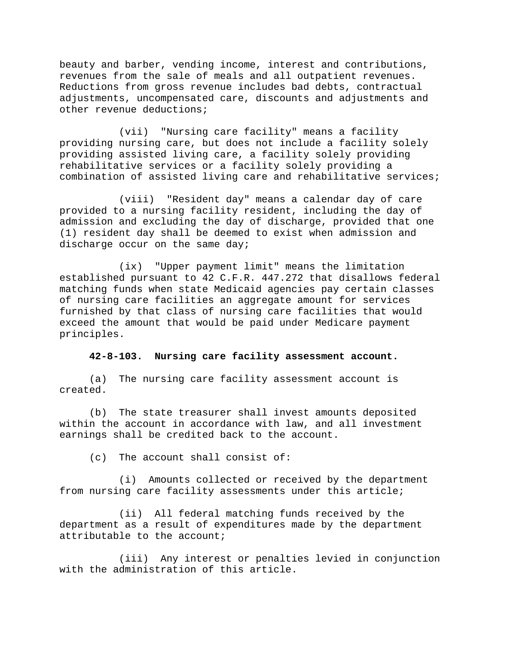beauty and barber, vending income, interest and contributions, revenues from the sale of meals and all outpatient revenues. Reductions from gross revenue includes bad debts, contractual adjustments, uncompensated care, discounts and adjustments and other revenue deductions;

(vii) "Nursing care facility" means a facility providing nursing care, but does not include a facility solely providing assisted living care, a facility solely providing rehabilitative services or a facility solely providing a combination of assisted living care and rehabilitative services;

(viii) "Resident day" means a calendar day of care provided to a nursing facility resident, including the day of admission and excluding the day of discharge, provided that one (1) resident day shall be deemed to exist when admission and discharge occur on the same day;

(ix) "Upper payment limit" means the limitation established pursuant to 42 C.F.R. 447.272 that disallows federal matching funds when state Medicaid agencies pay certain classes of nursing care facilities an aggregate amount for services furnished by that class of nursing care facilities that would exceed the amount that would be paid under Medicare payment principles.

### **42-8-103. Nursing care facility assessment account.**

(a) The nursing care facility assessment account is created.

(b) The state treasurer shall invest amounts deposited within the account in accordance with law, and all investment earnings shall be credited back to the account.

(c) The account shall consist of:

(i) Amounts collected or received by the department from nursing care facility assessments under this article;

(ii) All federal matching funds received by the department as a result of expenditures made by the department attributable to the account;

(iii) Any interest or penalties levied in conjunction with the administration of this article.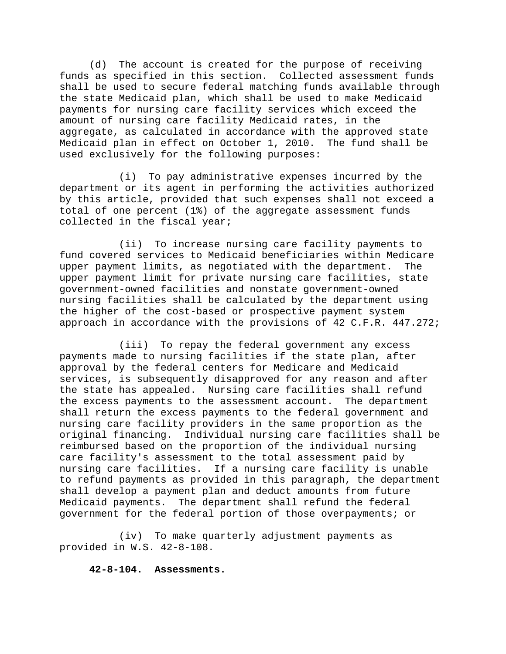(d) The account is created for the purpose of receiving funds as specified in this section. Collected assessment funds shall be used to secure federal matching funds available through the state Medicaid plan, which shall be used to make Medicaid payments for nursing care facility services which exceed the amount of nursing care facility Medicaid rates, in the aggregate, as calculated in accordance with the approved state Medicaid plan in effect on October 1, 2010. The fund shall be used exclusively for the following purposes:

(i) To pay administrative expenses incurred by the department or its agent in performing the activities authorized by this article, provided that such expenses shall not exceed a total of one percent (1%) of the aggregate assessment funds collected in the fiscal year;

(ii) To increase nursing care facility payments to fund covered services to Medicaid beneficiaries within Medicare upper payment limits, as negotiated with the department. The upper payment limit for private nursing care facilities, state government-owned facilities and nonstate government-owned nursing facilities shall be calculated by the department using the higher of the cost-based or prospective payment system approach in accordance with the provisions of 42 C.F.R. 447.272;

(iii) To repay the federal government any excess payments made to nursing facilities if the state plan, after approval by the federal centers for Medicare and Medicaid services, is subsequently disapproved for any reason and after the state has appealed. Nursing care facilities shall refund the excess payments to the assessment account. The department shall return the excess payments to the federal government and nursing care facility providers in the same proportion as the original financing. Individual nursing care facilities shall be reimbursed based on the proportion of the individual nursing care facility's assessment to the total assessment paid by nursing care facilities. If a nursing care facility is unable to refund payments as provided in this paragraph, the department shall develop a payment plan and deduct amounts from future Medicaid payments. The department shall refund the federal government for the federal portion of those overpayments; or

(iv) To make quarterly adjustment payments as provided in W.S. 42-8-108.

**42-8-104. Assessments.**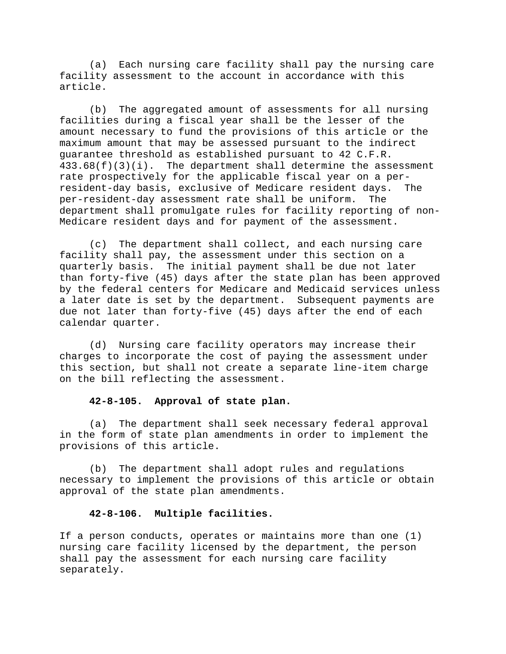(a) Each nursing care facility shall pay the nursing care facility assessment to the account in accordance with this article.

(b) The aggregated amount of assessments for all nursing facilities during a fiscal year shall be the lesser of the amount necessary to fund the provisions of this article or the maximum amount that may be assessed pursuant to the indirect guarantee threshold as established pursuant to 42 C.F.R.  $433.68(f)(3)(i)$ . The department shall determine the assessment rate prospectively for the applicable fiscal year on a perresident-day basis, exclusive of Medicare resident days. The per-resident-day assessment rate shall be uniform. The department shall promulgate rules for facility reporting of non-Medicare resident days and for payment of the assessment.

(c) The department shall collect, and each nursing care facility shall pay, the assessment under this section on a quarterly basis. The initial payment shall be due not later than forty-five (45) days after the state plan has been approved by the federal centers for Medicare and Medicaid services unless a later date is set by the department. Subsequent payments are due not later than forty-five (45) days after the end of each calendar quarter.

(d) Nursing care facility operators may increase their charges to incorporate the cost of paying the assessment under this section, but shall not create a separate line-item charge on the bill reflecting the assessment.

#### **42-8-105. Approval of state plan.**

(a) The department shall seek necessary federal approval in the form of state plan amendments in order to implement the provisions of this article.

(b) The department shall adopt rules and regulations necessary to implement the provisions of this article or obtain approval of the state plan amendments.

## **42-8-106. Multiple facilities.**

If a person conducts, operates or maintains more than one (1) nursing care facility licensed by the department, the person shall pay the assessment for each nursing care facility separately.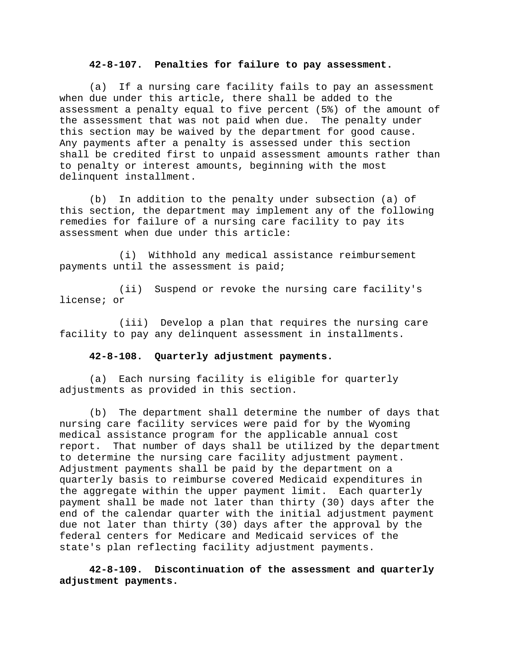### **42-8-107. Penalties for failure to pay assessment.**

(a) If a nursing care facility fails to pay an assessment when due under this article, there shall be added to the assessment a penalty equal to five percent (5%) of the amount of the assessment that was not paid when due. The penalty under this section may be waived by the department for good cause. Any payments after a penalty is assessed under this section shall be credited first to unpaid assessment amounts rather than to penalty or interest amounts, beginning with the most delinquent installment.

(b) In addition to the penalty under subsection (a) of this section, the department may implement any of the following remedies for failure of a nursing care facility to pay its assessment when due under this article:

(i) Withhold any medical assistance reimbursement payments until the assessment is paid;

(ii) Suspend or revoke the nursing care facility's license; or

(iii) Develop a plan that requires the nursing care facility to pay any delinquent assessment in installments.

#### **42-8-108. Quarterly adjustment payments.**

(a) Each nursing facility is eligible for quarterly adjustments as provided in this section.

(b) The department shall determine the number of days that nursing care facility services were paid for by the Wyoming medical assistance program for the applicable annual cost report. That number of days shall be utilized by the department to determine the nursing care facility adjustment payment. Adjustment payments shall be paid by the department on a quarterly basis to reimburse covered Medicaid expenditures in the aggregate within the upper payment limit. Each quarterly payment shall be made not later than thirty (30) days after the end of the calendar quarter with the initial adjustment payment due not later than thirty (30) days after the approval by the federal centers for Medicare and Medicaid services of the state's plan reflecting facility adjustment payments.

**42-8-109. Discontinuation of the assessment and quarterly adjustment payments.**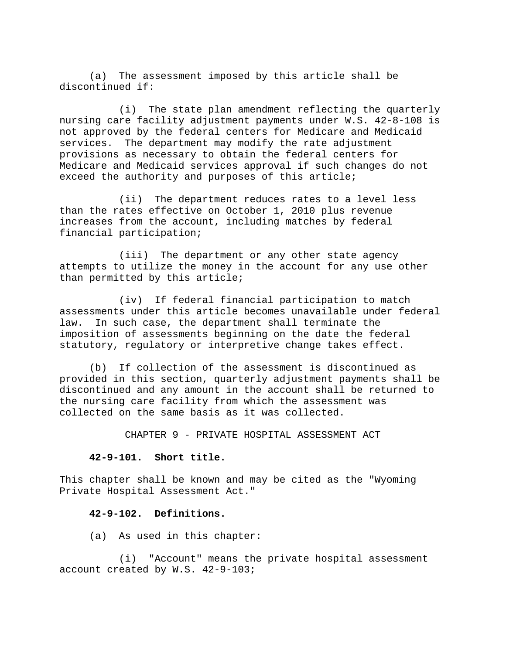(a) The assessment imposed by this article shall be discontinued if:

(i) The state plan amendment reflecting the quarterly nursing care facility adjustment payments under W.S. 42-8-108 is not approved by the federal centers for Medicare and Medicaid services. The department may modify the rate adjustment provisions as necessary to obtain the federal centers for Medicare and Medicaid services approval if such changes do not exceed the authority and purposes of this article;

(ii) The department reduces rates to a level less than the rates effective on October 1, 2010 plus revenue increases from the account, including matches by federal financial participation;

(iii) The department or any other state agency attempts to utilize the money in the account for any use other than permitted by this article;

(iv) If federal financial participation to match assessments under this article becomes unavailable under federal law. In such case, the department shall terminate the imposition of assessments beginning on the date the federal statutory, regulatory or interpretive change takes effect.

(b) If collection of the assessment is discontinued as provided in this section, quarterly adjustment payments shall be discontinued and any amount in the account shall be returned to the nursing care facility from which the assessment was collected on the same basis as it was collected.

CHAPTER 9 - PRIVATE HOSPITAL ASSESSMENT ACT

#### **42-9-101. Short title.**

This chapter shall be known and may be cited as the "Wyoming Private Hospital Assessment Act."

## **42-9-102. Definitions.**

(a) As used in this chapter:

(i) "Account" means the private hospital assessment account created by W.S. 42-9-103;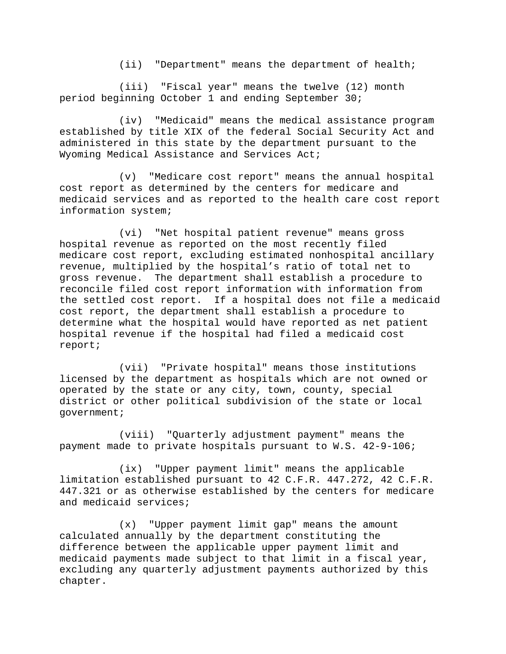(ii) "Department" means the department of health;

(iii) "Fiscal year" means the twelve (12) month period beginning October 1 and ending September 30;

(iv) "Medicaid" means the medical assistance program established by title XIX of the federal Social Security Act and administered in this state by the department pursuant to the Wyoming Medical Assistance and Services Act;

(v) "Medicare cost report" means the annual hospital cost report as determined by the centers for medicare and medicaid services and as reported to the health care cost report information system;

(vi) "Net hospital patient revenue" means gross hospital revenue as reported on the most recently filed medicare cost report, excluding estimated nonhospital ancillary revenue, multiplied by the hospital's ratio of total net to gross revenue. The department shall establish a procedure to reconcile filed cost report information with information from the settled cost report. If a hospital does not file a medicaid cost report, the department shall establish a procedure to determine what the hospital would have reported as net patient hospital revenue if the hospital had filed a medicaid cost report;

(vii) "Private hospital" means those institutions licensed by the department as hospitals which are not owned or operated by the state or any city, town, county, special district or other political subdivision of the state or local government;

(viii) "Quarterly adjustment payment" means the payment made to private hospitals pursuant to W.S. 42-9-106;

(ix) "Upper payment limit" means the applicable limitation established pursuant to 42 C.F.R. 447.272, 42 C.F.R. 447.321 or as otherwise established by the centers for medicare and medicaid services;

(x) "Upper payment limit gap" means the amount calculated annually by the department constituting the difference between the applicable upper payment limit and medicaid payments made subject to that limit in a fiscal year, excluding any quarterly adjustment payments authorized by this chapter.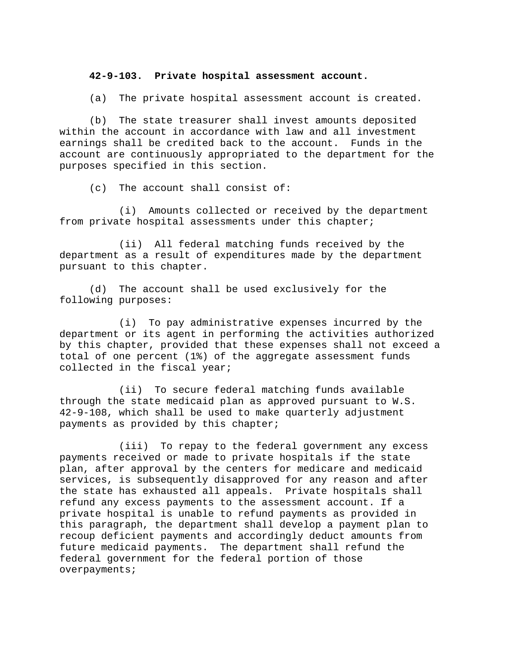#### **42-9-103. Private hospital assessment account.**

(a) The private hospital assessment account is created.

(b) The state treasurer shall invest amounts deposited within the account in accordance with law and all investment earnings shall be credited back to the account. Funds in the account are continuously appropriated to the department for the purposes specified in this section.

(c) The account shall consist of:

(i) Amounts collected or received by the department from private hospital assessments under this chapter;

(ii) All federal matching funds received by the department as a result of expenditures made by the department pursuant to this chapter.

(d) The account shall be used exclusively for the following purposes:

(i) To pay administrative expenses incurred by the department or its agent in performing the activities authorized by this chapter, provided that these expenses shall not exceed a total of one percent (1%) of the aggregate assessment funds collected in the fiscal year;

(ii) To secure federal matching funds available through the state medicaid plan as approved pursuant to W.S. 42-9-108, which shall be used to make quarterly adjustment payments as provided by this chapter;

(iii) To repay to the federal government any excess payments received or made to private hospitals if the state plan, after approval by the centers for medicare and medicaid services, is subsequently disapproved for any reason and after the state has exhausted all appeals. Private hospitals shall refund any excess payments to the assessment account. If a private hospital is unable to refund payments as provided in this paragraph, the department shall develop a payment plan to recoup deficient payments and accordingly deduct amounts from future medicaid payments. The department shall refund the federal government for the federal portion of those overpayments;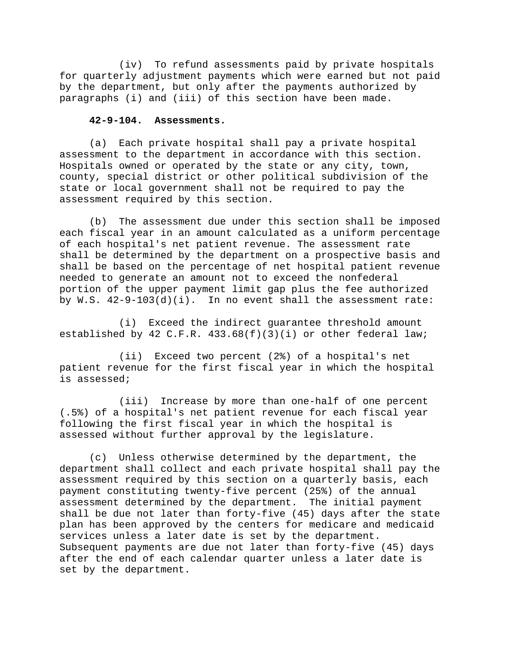(iv) To refund assessments paid by private hospitals for quarterly adjustment payments which were earned but not paid by the department, but only after the payments authorized by paragraphs (i) and (iii) of this section have been made.

#### **42-9-104. Assessments.**

(a) Each private hospital shall pay a private hospital assessment to the department in accordance with this section. Hospitals owned or operated by the state or any city, town, county, special district or other political subdivision of the state or local government shall not be required to pay the assessment required by this section.

(b) The assessment due under this section shall be imposed each fiscal year in an amount calculated as a uniform percentage of each hospital's net patient revenue. The assessment rate shall be determined by the department on a prospective basis and shall be based on the percentage of net hospital patient revenue needed to generate an amount not to exceed the nonfederal portion of the upper payment limit gap plus the fee authorized by  $W.S. 42-9-103(d)(i)$ . In no event shall the assessment rate:

(i) Exceed the indirect guarantee threshold amount established by 42 C.F.R.  $433.68(f)(3)(i)$  or other federal law;

(ii) Exceed two percent (2%) of a hospital's net patient revenue for the first fiscal year in which the hospital is assessed;

(iii) Increase by more than one-half of one percent (.5%) of a hospital's net patient revenue for each fiscal year following the first fiscal year in which the hospital is assessed without further approval by the legislature.

(c) Unless otherwise determined by the department, the department shall collect and each private hospital shall pay the assessment required by this section on a quarterly basis, each payment constituting twenty-five percent (25%) of the annual assessment determined by the department. The initial payment shall be due not later than forty-five (45) days after the state plan has been approved by the centers for medicare and medicaid services unless a later date is set by the department. Subsequent payments are due not later than forty-five (45) days after the end of each calendar quarter unless a later date is set by the department.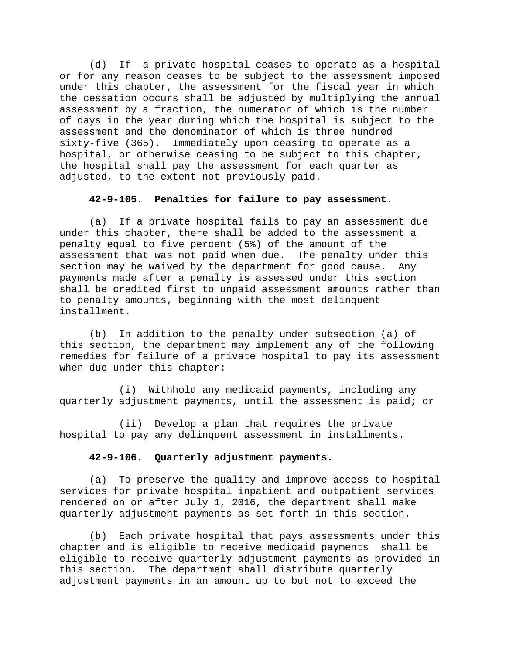(d) If a private hospital ceases to operate as a hospital or for any reason ceases to be subject to the assessment imposed under this chapter, the assessment for the fiscal year in which the cessation occurs shall be adjusted by multiplying the annual assessment by a fraction, the numerator of which is the number of days in the year during which the hospital is subject to the assessment and the denominator of which is three hundred sixty-five (365). Immediately upon ceasing to operate as a hospital, or otherwise ceasing to be subject to this chapter, the hospital shall pay the assessment for each quarter as adjusted, to the extent not previously paid.

## **42-9-105. Penalties for failure to pay assessment.**

(a) If a private hospital fails to pay an assessment due under this chapter, there shall be added to the assessment a penalty equal to five percent (5%) of the amount of the assessment that was not paid when due. The penalty under this section may be waived by the department for good cause. Any payments made after a penalty is assessed under this section shall be credited first to unpaid assessment amounts rather than to penalty amounts, beginning with the most delinquent installment.

(b) In addition to the penalty under subsection (a) of this section, the department may implement any of the following remedies for failure of a private hospital to pay its assessment when due under this chapter:

(i) Withhold any medicaid payments, including any quarterly adjustment payments, until the assessment is paid; or

(ii) Develop a plan that requires the private hospital to pay any delinquent assessment in installments.

#### **42-9-106. Quarterly adjustment payments.**

(a) To preserve the quality and improve access to hospital services for private hospital inpatient and outpatient services rendered on or after July 1, 2016, the department shall make quarterly adjustment payments as set forth in this section.

(b) Each private hospital that pays assessments under this chapter and is eligible to receive medicaid payments shall be eligible to receive quarterly adjustment payments as provided in this section. The department shall distribute quarterly adjustment payments in an amount up to but not to exceed the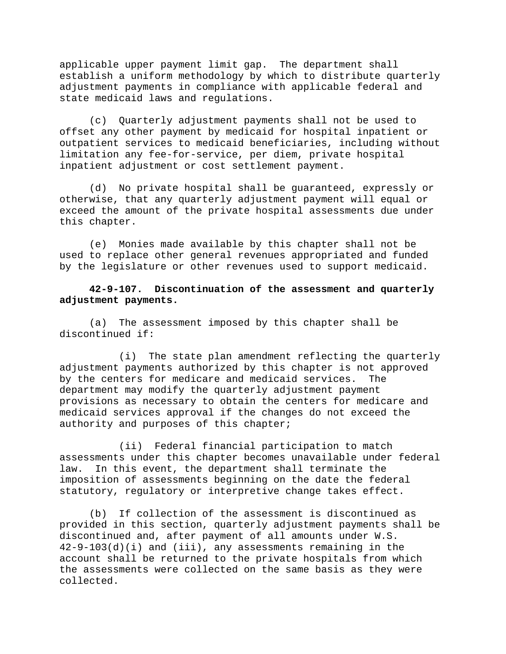applicable upper payment limit gap. The department shall establish a uniform methodology by which to distribute quarterly adjustment payments in compliance with applicable federal and state medicaid laws and regulations.

(c) Quarterly adjustment payments shall not be used to offset any other payment by medicaid for hospital inpatient or outpatient services to medicaid beneficiaries, including without limitation any fee-for-service, per diem, private hospital inpatient adjustment or cost settlement payment.

(d) No private hospital shall be guaranteed, expressly or otherwise, that any quarterly adjustment payment will equal or exceed the amount of the private hospital assessments due under this chapter.

(e) Monies made available by this chapter shall not be used to replace other general revenues appropriated and funded by the legislature or other revenues used to support medicaid.

**42-9-107. Discontinuation of the assessment and quarterly adjustment payments.** 

(a) The assessment imposed by this chapter shall be discontinued if:

(i) The state plan amendment reflecting the quarterly adjustment payments authorized by this chapter is not approved by the centers for medicare and medicaid services. The department may modify the quarterly adjustment payment provisions as necessary to obtain the centers for medicare and medicaid services approval if the changes do not exceed the authority and purposes of this chapter;

(ii) Federal financial participation to match assessments under this chapter becomes unavailable under federal law. In this event, the department shall terminate the imposition of assessments beginning on the date the federal statutory, regulatory or interpretive change takes effect.

(b) If collection of the assessment is discontinued as provided in this section, quarterly adjustment payments shall be discontinued and, after payment of all amounts under W.S. 42-9-103(d)(i) and (iii), any assessments remaining in the account shall be returned to the private hospitals from which the assessments were collected on the same basis as they were collected.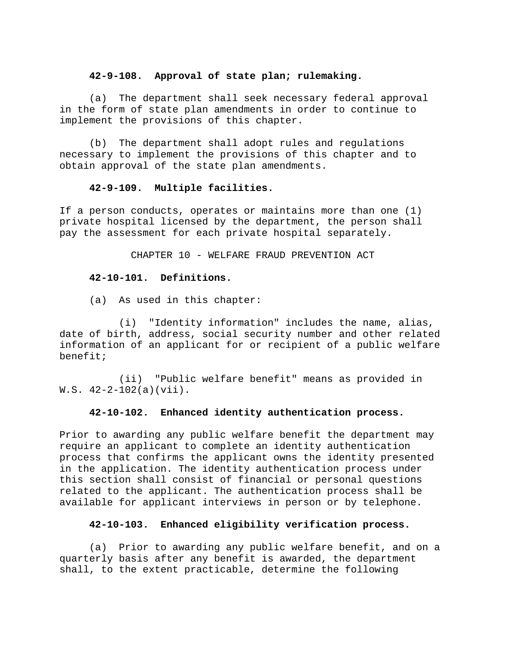### **42-9-108. Approval of state plan; rulemaking.**

(a) The department shall seek necessary federal approval in the form of state plan amendments in order to continue to implement the provisions of this chapter.

(b) The department shall adopt rules and regulations necessary to implement the provisions of this chapter and to obtain approval of the state plan amendments.

# **42-9-109. Multiple facilities.**

If a person conducts, operates or maintains more than one (1) private hospital licensed by the department, the person shall pay the assessment for each private hospital separately.

CHAPTER 10 - WELFARE FRAUD PREVENTION ACT

## **42-10-101. Definitions.**

(a) As used in this chapter:

(i) "Identity information" includes the name, alias, date of birth, address, social security number and other related information of an applicant for or recipient of a public welfare benefit;

(ii) "Public welfare benefit" means as provided in W.S. 42-2-102(a)(vii).

### **42-10-102. Enhanced identity authentication process.**

Prior to awarding any public welfare benefit the department may require an applicant to complete an identity authentication process that confirms the applicant owns the identity presented in the application. The identity authentication process under this section shall consist of financial or personal questions related to the applicant. The authentication process shall be available for applicant interviews in person or by telephone.

### **42-10-103. Enhanced eligibility verification process.**

(a) Prior to awarding any public welfare benefit, and on a quarterly basis after any benefit is awarded, the department shall, to the extent practicable, determine the following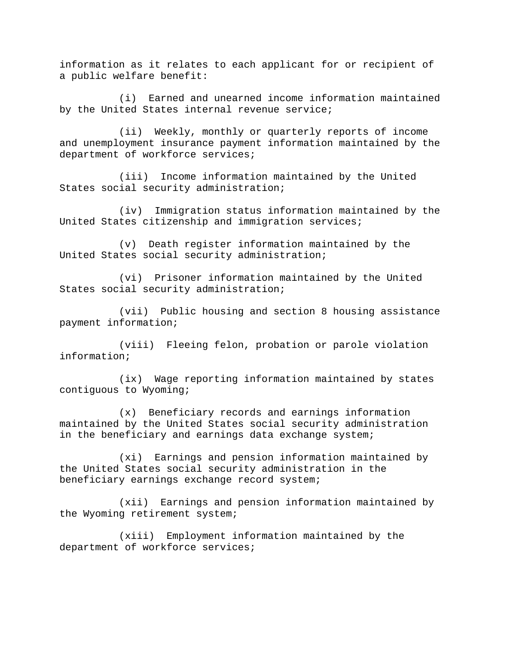information as it relates to each applicant for or recipient of a public welfare benefit:

(i) Earned and unearned income information maintained by the United States internal revenue service;

(ii) Weekly, monthly or quarterly reports of income and unemployment insurance payment information maintained by the department of workforce services;

(iii) Income information maintained by the United States social security administration;

(iv) Immigration status information maintained by the United States citizenship and immigration services;

(v) Death register information maintained by the United States social security administration;

(vi) Prisoner information maintained by the United States social security administration;

(vii) Public housing and section 8 housing assistance payment information;

(viii) Fleeing felon, probation or parole violation information;

(ix) Wage reporting information maintained by states contiguous to Wyoming;

(x) Beneficiary records and earnings information maintained by the United States social security administration in the beneficiary and earnings data exchange system;

(xi) Earnings and pension information maintained by the United States social security administration in the beneficiary earnings exchange record system;

(xii) Earnings and pension information maintained by the Wyoming retirement system;

(xiii) Employment information maintained by the department of workforce services;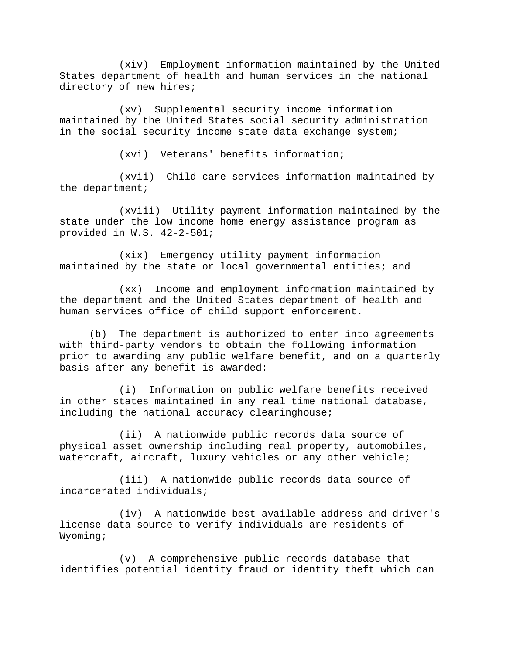(xiv) Employment information maintained by the United States department of health and human services in the national directory of new hires;

(xv) Supplemental security income information maintained by the United States social security administration in the social security income state data exchange system;

(xvi) Veterans' benefits information;

(xvii) Child care services information maintained by the department;

(xviii) Utility payment information maintained by the state under the low income home energy assistance program as provided in W.S. 42-2-501;

(xix) Emergency utility payment information maintained by the state or local governmental entities; and

(xx) Income and employment information maintained by the department and the United States department of health and human services office of child support enforcement.

(b) The department is authorized to enter into agreements with third-party vendors to obtain the following information prior to awarding any public welfare benefit, and on a quarterly basis after any benefit is awarded:

(i) Information on public welfare benefits received in other states maintained in any real time national database, including the national accuracy clearinghouse;

(ii) A nationwide public records data source of physical asset ownership including real property, automobiles, watercraft, aircraft, luxury vehicles or any other vehicle;

(iii) A nationwide public records data source of incarcerated individuals;

(iv) A nationwide best available address and driver's license data source to verify individuals are residents of Wyoming;

(v) A comprehensive public records database that identifies potential identity fraud or identity theft which can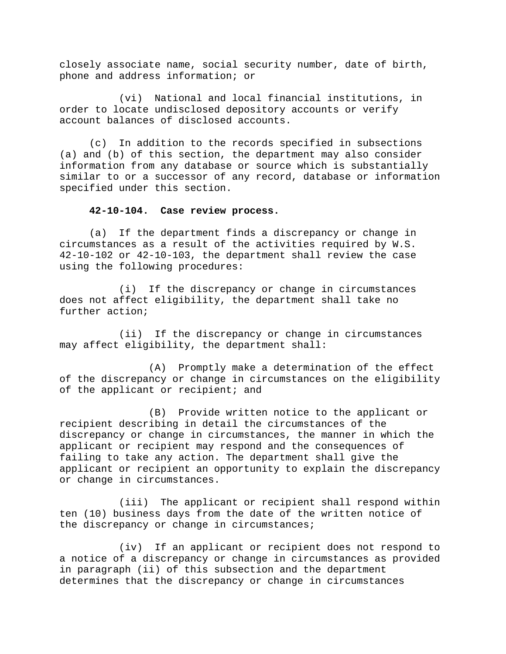closely associate name, social security number, date of birth, phone and address information; or

(vi) National and local financial institutions, in order to locate undisclosed depository accounts or verify account balances of disclosed accounts.

(c) In addition to the records specified in subsections (a) and (b) of this section, the department may also consider information from any database or source which is substantially similar to or a successor of any record, database or information specified under this section.

#### **42-10-104. Case review process.**

(a) If the department finds a discrepancy or change in circumstances as a result of the activities required by W.S. 42-10-102 or 42-10-103, the department shall review the case using the following procedures:

(i) If the discrepancy or change in circumstances does not affect eligibility, the department shall take no further action;

(ii) If the discrepancy or change in circumstances may affect eligibility, the department shall:

(A) Promptly make a determination of the effect of the discrepancy or change in circumstances on the eligibility of the applicant or recipient; and

(B) Provide written notice to the applicant or recipient describing in detail the circumstances of the discrepancy or change in circumstances, the manner in which the applicant or recipient may respond and the consequences of failing to take any action. The department shall give the applicant or recipient an opportunity to explain the discrepancy or change in circumstances.

(iii) The applicant or recipient shall respond within ten (10) business days from the date of the written notice of the discrepancy or change in circumstances;

(iv) If an applicant or recipient does not respond to a notice of a discrepancy or change in circumstances as provided in paragraph (ii) of this subsection and the department determines that the discrepancy or change in circumstances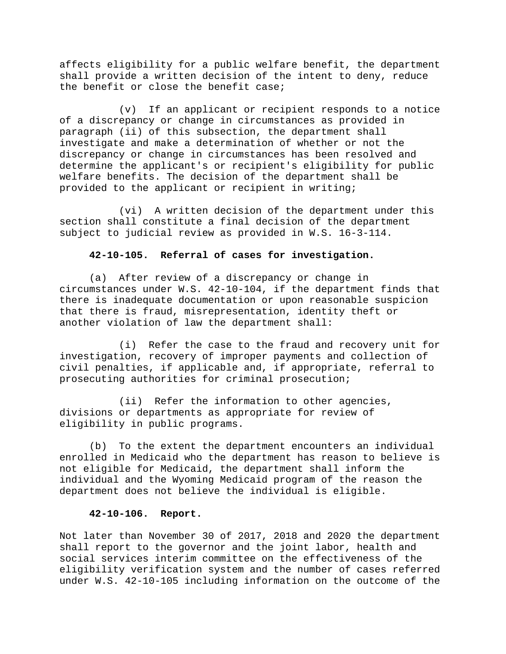affects eligibility for a public welfare benefit, the department shall provide a written decision of the intent to deny, reduce the benefit or close the benefit case;

(v) If an applicant or recipient responds to a notice of a discrepancy or change in circumstances as provided in paragraph (ii) of this subsection, the department shall investigate and make a determination of whether or not the discrepancy or change in circumstances has been resolved and determine the applicant's or recipient's eligibility for public welfare benefits. The decision of the department shall be provided to the applicant or recipient in writing;

(vi) A written decision of the department under this section shall constitute a final decision of the department subject to judicial review as provided in W.S. 16-3-114.

## **42-10-105. Referral of cases for investigation.**

(a) After review of a discrepancy or change in circumstances under W.S. 42-10-104, if the department finds that there is inadequate documentation or upon reasonable suspicion that there is fraud, misrepresentation, identity theft or another violation of law the department shall:

(i) Refer the case to the fraud and recovery unit for investigation, recovery of improper payments and collection of civil penalties, if applicable and, if appropriate, referral to prosecuting authorities for criminal prosecution;

(ii) Refer the information to other agencies, divisions or departments as appropriate for review of eligibility in public programs.

(b) To the extent the department encounters an individual enrolled in Medicaid who the department has reason to believe is not eligible for Medicaid, the department shall inform the individual and the Wyoming Medicaid program of the reason the department does not believe the individual is eligible.

# **42-10-106. Report.**

Not later than November 30 of 2017, 2018 and 2020 the department shall report to the governor and the joint labor, health and social services interim committee on the effectiveness of the eligibility verification system and the number of cases referred under W.S. 42-10-105 including information on the outcome of the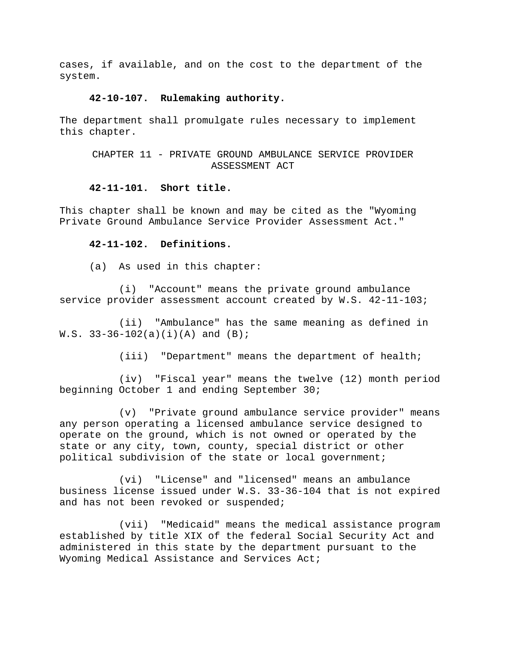cases, if available, and on the cost to the department of the system.

#### **42-10-107. Rulemaking authority.**

The department shall promulgate rules necessary to implement this chapter.

CHAPTER 11 - PRIVATE GROUND AMBULANCE SERVICE PROVIDER ASSESSMENT ACT

### **42-11-101. Short title.**

This chapter shall be known and may be cited as the "Wyoming Private Ground Ambulance Service Provider Assessment Act."

#### **42-11-102. Definitions.**

(a) As used in this chapter:

(i) "Account" means the private ground ambulance service provider assessment account created by W.S. 42-11-103;

(ii) "Ambulance" has the same meaning as defined in  $W.S. 33-36-102(a)(i)(A)$  and  $(B)$ ;

(iii) "Department" means the department of health;

(iv) "Fiscal year" means the twelve (12) month period beginning October 1 and ending September 30;

(v) "Private ground ambulance service provider" means any person operating a licensed ambulance service designed to operate on the ground, which is not owned or operated by the state or any city, town, county, special district or other political subdivision of the state or local government;

(vi) "License" and "licensed" means an ambulance business license issued under W.S. 33-36-104 that is not expired and has not been revoked or suspended;

(vii) "Medicaid" means the medical assistance program established by title XIX of the federal Social Security Act and administered in this state by the department pursuant to the Wyoming Medical Assistance and Services Act;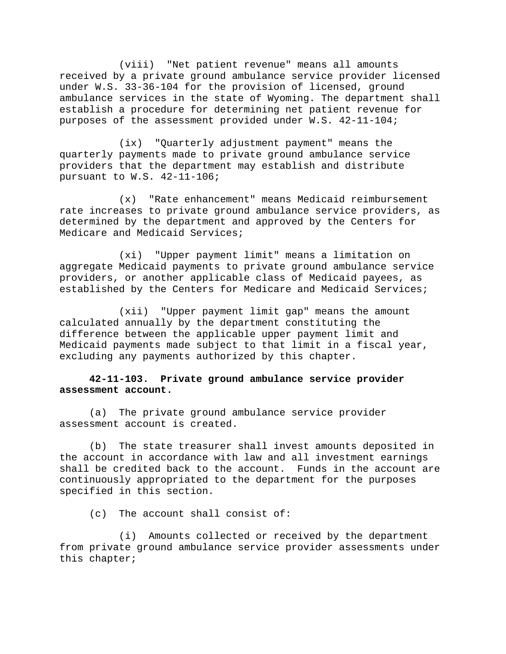(viii) "Net patient revenue" means all amounts received by a private ground ambulance service provider licensed under W.S. 33-36-104 for the provision of licensed, ground ambulance services in the state of Wyoming. The department shall establish a procedure for determining net patient revenue for purposes of the assessment provided under W.S. 42-11-104;

(ix) "Quarterly adjustment payment" means the quarterly payments made to private ground ambulance service providers that the department may establish and distribute pursuant to W.S. 42-11-106;

(x) "Rate enhancement" means Medicaid reimbursement rate increases to private ground ambulance service providers, as determined by the department and approved by the Centers for Medicare and Medicaid Services;

(xi) "Upper payment limit" means a limitation on aggregate Medicaid payments to private ground ambulance service providers, or another applicable class of Medicaid payees, as established by the Centers for Medicare and Medicaid Services;

(xii) "Upper payment limit gap" means the amount calculated annually by the department constituting the difference between the applicable upper payment limit and Medicaid payments made subject to that limit in a fiscal year, excluding any payments authorized by this chapter.

# **42-11-103. Private ground ambulance service provider assessment account.**

(a) The private ground ambulance service provider assessment account is created.

(b) The state treasurer shall invest amounts deposited in the account in accordance with law and all investment earnings shall be credited back to the account. Funds in the account are continuously appropriated to the department for the purposes specified in this section.

(c) The account shall consist of:

(i) Amounts collected or received by the department from private ground ambulance service provider assessments under this chapter;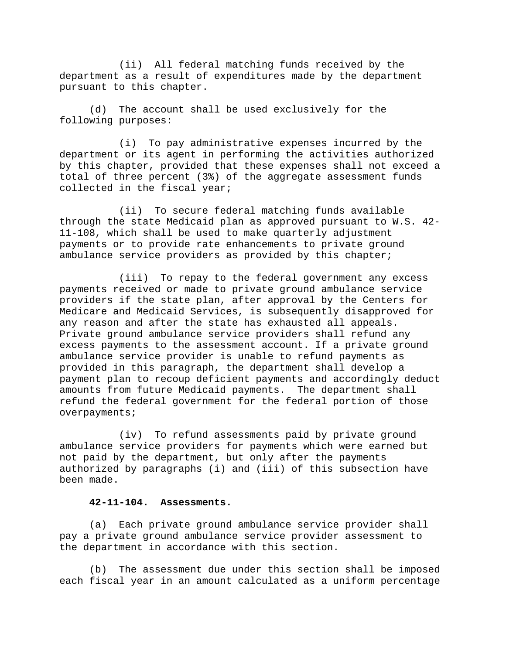(ii) All federal matching funds received by the department as a result of expenditures made by the department pursuant to this chapter.

(d) The account shall be used exclusively for the following purposes:

(i) To pay administrative expenses incurred by the department or its agent in performing the activities authorized by this chapter, provided that these expenses shall not exceed a total of three percent (3%) of the aggregate assessment funds collected in the fiscal year;

(ii) To secure federal matching funds available through the state Medicaid plan as approved pursuant to W.S. 42- 11-108, which shall be used to make quarterly adjustment payments or to provide rate enhancements to private ground ambulance service providers as provided by this chapter;

(iii) To repay to the federal government any excess payments received or made to private ground ambulance service providers if the state plan, after approval by the Centers for Medicare and Medicaid Services, is subsequently disapproved for any reason and after the state has exhausted all appeals. Private ground ambulance service providers shall refund any excess payments to the assessment account. If a private ground ambulance service provider is unable to refund payments as provided in this paragraph, the department shall develop a payment plan to recoup deficient payments and accordingly deduct amounts from future Medicaid payments. The department shall refund the federal government for the federal portion of those overpayments;

(iv) To refund assessments paid by private ground ambulance service providers for payments which were earned but not paid by the department, but only after the payments authorized by paragraphs (i) and (iii) of this subsection have been made.

## **42-11-104. Assessments.**

(a) Each private ground ambulance service provider shall pay a private ground ambulance service provider assessment to the department in accordance with this section.

(b) The assessment due under this section shall be imposed each fiscal year in an amount calculated as a uniform percentage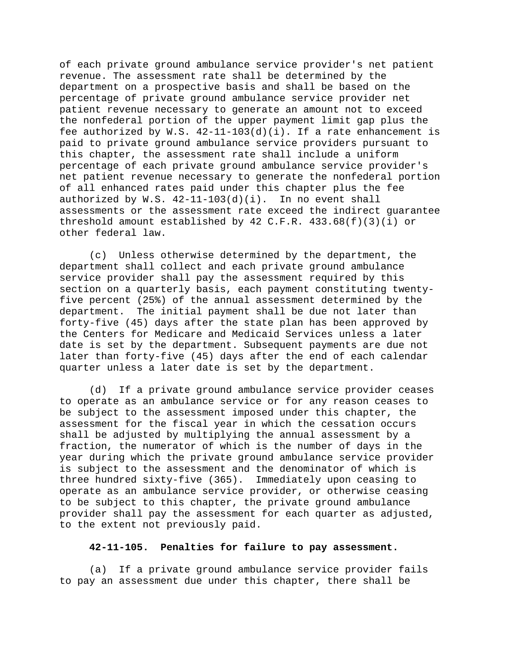of each private ground ambulance service provider's net patient revenue. The assessment rate shall be determined by the department on a prospective basis and shall be based on the percentage of private ground ambulance service provider net patient revenue necessary to generate an amount not to exceed the nonfederal portion of the upper payment limit gap plus the fee authorized by W.S. 42-11-103(d)(i). If a rate enhancement is paid to private ground ambulance service providers pursuant to this chapter, the assessment rate shall include a uniform percentage of each private ground ambulance service provider's net patient revenue necessary to generate the nonfederal portion of all enhanced rates paid under this chapter plus the fee authorized by W.S. 42-11-103(d)(i). In no event shall assessments or the assessment rate exceed the indirect guarantee threshold amount established by 42 C.F.R.  $433.68(f)(3)(i)$  or other federal law.

(c) Unless otherwise determined by the department, the department shall collect and each private ground ambulance service provider shall pay the assessment required by this section on a quarterly basis, each payment constituting twentyfive percent (25%) of the annual assessment determined by the department. The initial payment shall be due not later than forty-five (45) days after the state plan has been approved by the Centers for Medicare and Medicaid Services unless a later date is set by the department. Subsequent payments are due not later than forty-five (45) days after the end of each calendar quarter unless a later date is set by the department.

(d) If a private ground ambulance service provider ceases to operate as an ambulance service or for any reason ceases to be subject to the assessment imposed under this chapter, the assessment for the fiscal year in which the cessation occurs shall be adjusted by multiplying the annual assessment by a fraction, the numerator of which is the number of days in the year during which the private ground ambulance service provider is subject to the assessment and the denominator of which is three hundred sixty-five (365). Immediately upon ceasing to operate as an ambulance service provider, or otherwise ceasing to be subject to this chapter, the private ground ambulance provider shall pay the assessment for each quarter as adjusted, to the extent not previously paid.

### **42-11-105. Penalties for failure to pay assessment.**

(a) If a private ground ambulance service provider fails to pay an assessment due under this chapter, there shall be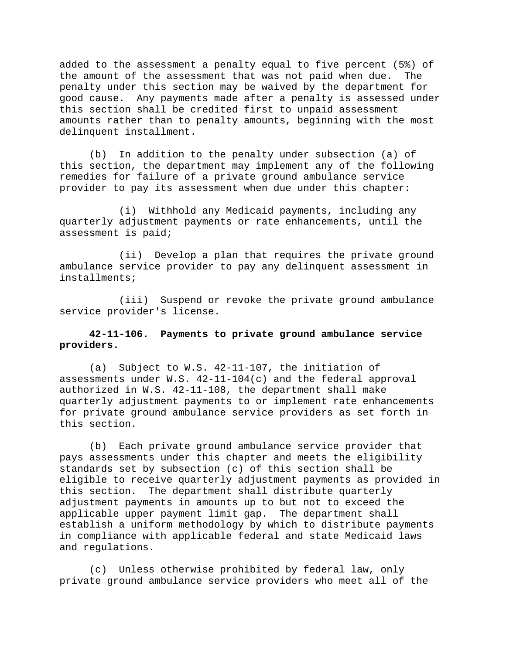added to the assessment a penalty equal to five percent (5%) of the amount of the assessment that was not paid when due. The penalty under this section may be waived by the department for good cause. Any payments made after a penalty is assessed under this section shall be credited first to unpaid assessment amounts rather than to penalty amounts, beginning with the most delinquent installment.

(b) In addition to the penalty under subsection (a) of this section, the department may implement any of the following remedies for failure of a private ground ambulance service provider to pay its assessment when due under this chapter:

(i) Withhold any Medicaid payments, including any quarterly adjustment payments or rate enhancements, until the assessment is paid;

(ii) Develop a plan that requires the private ground ambulance service provider to pay any delinquent assessment in installments;

(iii) Suspend or revoke the private ground ambulance service provider's license.

# **42-11-106. Payments to private ground ambulance service providers.**

(a) Subject to W.S. 42-11-107, the initiation of assessments under W.S. 42-11-104(c) and the federal approval authorized in W.S. 42-11-108, the department shall make quarterly adjustment payments to or implement rate enhancements for private ground ambulance service providers as set forth in this section.

(b) Each private ground ambulance service provider that pays assessments under this chapter and meets the eligibility standards set by subsection (c) of this section shall be eligible to receive quarterly adjustment payments as provided in this section. The department shall distribute quarterly adjustment payments in amounts up to but not to exceed the applicable upper payment limit gap. The department shall establish a uniform methodology by which to distribute payments in compliance with applicable federal and state Medicaid laws and regulations.

(c) Unless otherwise prohibited by federal law, only private ground ambulance service providers who meet all of the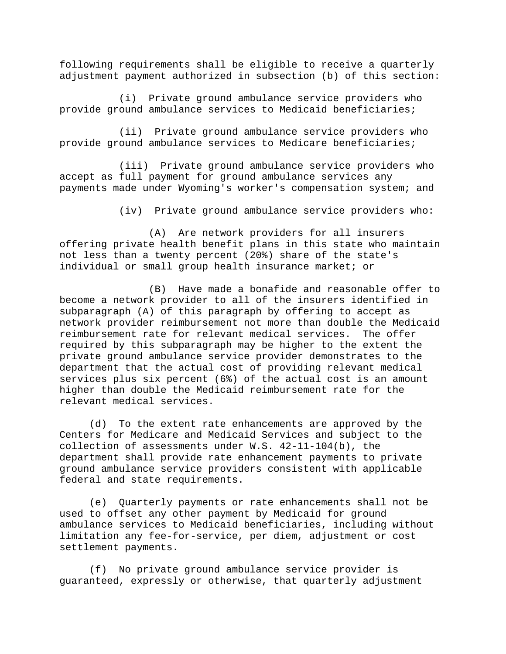following requirements shall be eligible to receive a quarterly adjustment payment authorized in subsection (b) of this section:

(i) Private ground ambulance service providers who provide ground ambulance services to Medicaid beneficiaries;

(ii) Private ground ambulance service providers who provide ground ambulance services to Medicare beneficiaries;

(iii) Private ground ambulance service providers who accept as full payment for ground ambulance services any payments made under Wyoming's worker's compensation system; and

(iv) Private ground ambulance service providers who:

(A) Are network providers for all insurers offering private health benefit plans in this state who maintain not less than a twenty percent (20%) share of the state's individual or small group health insurance market; or

(B) Have made a bonafide and reasonable offer to become a network provider to all of the insurers identified in subparagraph (A) of this paragraph by offering to accept as network provider reimbursement not more than double the Medicaid reimbursement rate for relevant medical services. The offer required by this subparagraph may be higher to the extent the private ground ambulance service provider demonstrates to the department that the actual cost of providing relevant medical services plus six percent (6%) of the actual cost is an amount higher than double the Medicaid reimbursement rate for the relevant medical services.

(d) To the extent rate enhancements are approved by the Centers for Medicare and Medicaid Services and subject to the collection of assessments under W.S. 42-11-104(b), the department shall provide rate enhancement payments to private ground ambulance service providers consistent with applicable federal and state requirements.

(e) Quarterly payments or rate enhancements shall not be used to offset any other payment by Medicaid for ground ambulance services to Medicaid beneficiaries, including without limitation any fee-for-service, per diem, adjustment or cost settlement payments.

(f) No private ground ambulance service provider is guaranteed, expressly or otherwise, that quarterly adjustment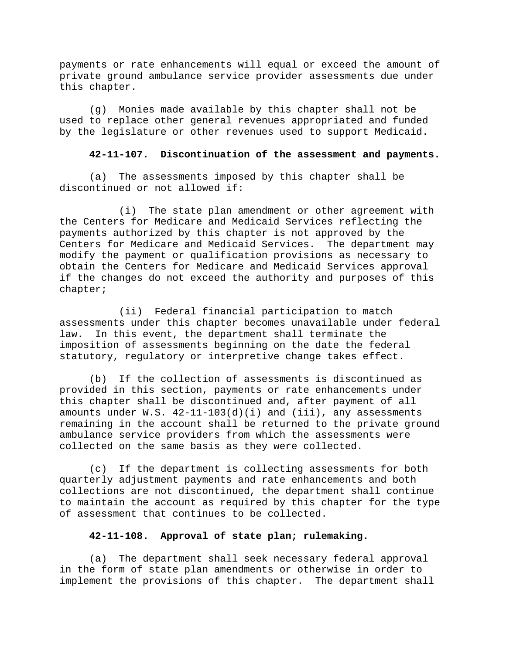payments or rate enhancements will equal or exceed the amount of private ground ambulance service provider assessments due under this chapter.

(g) Monies made available by this chapter shall not be used to replace other general revenues appropriated and funded by the legislature or other revenues used to support Medicaid.

# **42-11-107. Discontinuation of the assessment and payments.**

(a) The assessments imposed by this chapter shall be discontinued or not allowed if:

(i) The state plan amendment or other agreement with the Centers for Medicare and Medicaid Services reflecting the payments authorized by this chapter is not approved by the Centers for Medicare and Medicaid Services. The department may modify the payment or qualification provisions as necessary to obtain the Centers for Medicare and Medicaid Services approval if the changes do not exceed the authority and purposes of this chapter;

(ii) Federal financial participation to match assessments under this chapter becomes unavailable under federal law. In this event, the department shall terminate the imposition of assessments beginning on the date the federal statutory, regulatory or interpretive change takes effect.

(b) If the collection of assessments is discontinued as provided in this section, payments or rate enhancements under this chapter shall be discontinued and, after payment of all amounts under W.S.  $42-11-103(d)(i)$  and (iii), any assessments remaining in the account shall be returned to the private ground ambulance service providers from which the assessments were collected on the same basis as they were collected.

(c) If the department is collecting assessments for both quarterly adjustment payments and rate enhancements and both collections are not discontinued, the department shall continue to maintain the account as required by this chapter for the type of assessment that continues to be collected.

# **42-11-108. Approval of state plan; rulemaking.**

(a) The department shall seek necessary federal approval in the form of state plan amendments or otherwise in order to implement the provisions of this chapter. The department shall